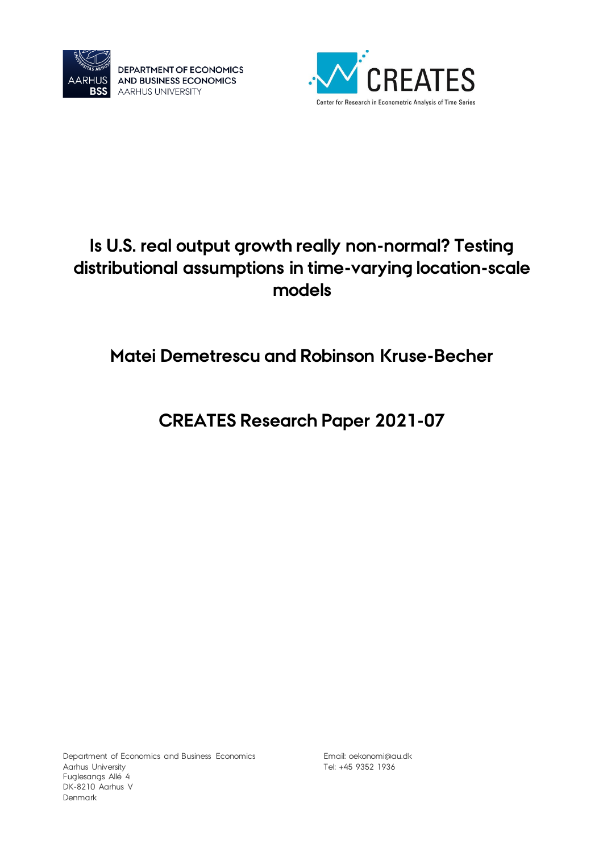

DEPARTMENT OF ECONOMICS AND BUSINESS ECONOMICS **AARHUS UNIVERSITY** 



# **Is U.S. real output growth really non-normal? Testing distributional assumptions in time-varying location-scale models**

# **Matei Demetrescu and Robinson Kruse-Becher**

# **CREATES Research Paper 2021-07**

Department of Economics and Business Economics Aarhus University Fuglesangs Allé 4 DK-8210 Aarhus V Denmark

Email: [oekonomi@au.dk](mailto:oekonomi@au.dk) Tel: +45 9352 1936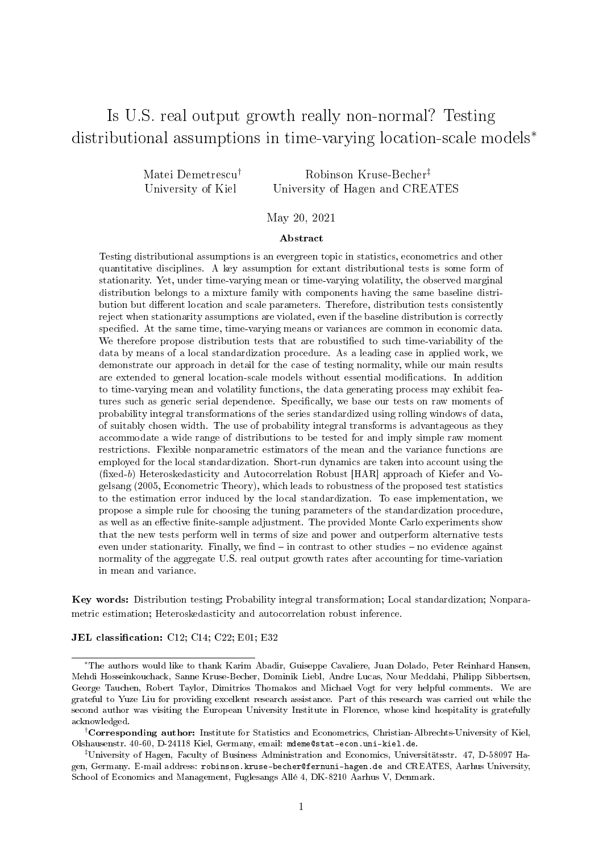# Is U.S. real output growth really non-normal? Testing distributional assumptions in time-varying location-scale models<sup>∗</sup>

Matei Demetrescu† University of Kiel Robinson Kruse-Becher‡ University of Hagen and CREATES

May 20, 2021

#### Abstract

Testing distributional assumptions is an evergreen topic in statistics, econometrics and other quantitative disciplines. A key assumption for extant distributional tests is some form of stationarity. Yet, under time-varying mean or time-varying volatility, the observed marginal distribution belongs to a mixture family with components having the same baseline distribution but different location and scale parameters. Therefore, distribution tests consistently reject when stationarity assumptions are violated, even if the baseline distribution is correctly specified. At the same time, time-varying means or variances are common in economic data. We therefore propose distribution tests that are robustified to such time-variability of the data by means of a local standardization procedure. As a leading case in applied work, we demonstrate our approach in detail for the case of testing normality, while our main results are extended to general location-scale models without essential modifications. In addition to time-varying mean and volatility functions, the data generating process may exhibit features such as generic serial dependence. Specifically, we base our tests on raw moments of probability integral transformations of the series standardized using rolling windows of data, of suitably chosen width. The use of probability integral transforms is advantageous as they accommodate a wide range of distributions to be tested for and imply simple raw moment restrictions. Flexible nonparametric estimators of the mean and the variance functions are employed for the local standardization. Short-run dynamics are taken into account using the  $(fixed-b)$  Heteroskedasticity and Autocorrelation Robust [HAR] approach of Kiefer and Vogelsang (2005, Econometric Theory), which leads to robustness of the proposed test statistics to the estimation error induced by the local standardization. To ease implementation, we propose a simple rule for choosing the tuning parameters of the standardization procedure, as well as an effective finite-sample adjustment. The provided Monte Carlo experiments show that the new tests perform well in terms of size and power and outperform alternative tests even under stationarity. Finally, we find  $-$  in contrast to other studies  $-$  no evidence against normality of the aggregate U.S. real output growth rates after accounting for time-variation in mean and variance.

Key words: Distribution testing; Probability integral transformation; Local standardization; Nonparametric estimation; Heteroskedasticity and autocorrelation robust inference.

JEL classification: C12; C14; C22; E01; E32

<sup>∗</sup>The authors would like to thank Karim Abadir, Guiseppe Cavaliere, Juan Dolado, Peter Reinhard Hansen, Mehdi Hosseinkouchack, Sanne Kruse-Becher, Dominik Liebl, Andre Lucas, Nour Meddahi, Philipp Sibbertsen, George Tauchen, Robert Taylor, Dimitrios Thomakos and Michael Vogt for very helpful comments. We are grateful to Yuze Liu for providing excellent research assistance. Part of this research was carried out while the second author was visiting the European University Institute in Florence, whose kind hospitality is gratefully acknowledged.

<sup>†</sup>Corresponding author: Institute for Statistics and Econometrics, Christian-Albrechts-University of Kiel, Olshausenstr. 40-60, D-24118 Kiel, Germany, email: mdeme@stat-econ.uni-kiel.de.

<sup>‡</sup>University of Hagen, Faculty of Business Administration and Economics, Universitätsstr. 47, D-58097 Hagen, Germany. E-mail address: robinson.kruse-becher@fernuni-hagen.de and CREATES, Aarhus University, School of Economics and Management, Fuglesangs Allé 4, DK-8210 Aarhus V, Denmark.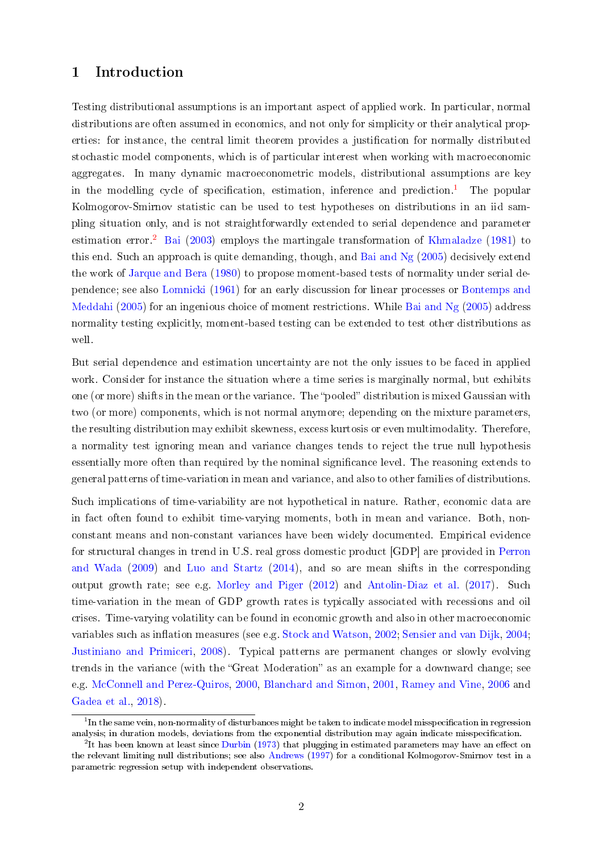# 1 Introduction

Testing distributional assumptions is an important aspect of applied work. In particular, normal distributions are often assumed in economics, and not only for simplicity or their analytical properties: for instance, the central limit theorem provides a justification for normally distributed stochastic model components, which is of particular interest when working with macroeconomic aggregates. In many dynamic macroeconometric models, distributional assumptions are key in the modelling cycle of specification, estimation, inference and prediction.<sup>[1](#page-2-0)</sup> The popular Kolmogorov-Smirnov statistic can be used to test hypotheses on distributions in an iid sampling situation only, and is not straightforwardly extended to serial dependence and parameter estimation error.<sup>[2](#page-2-1)</sup> [Bai](#page-28-0) [\(2003\)](#page-28-0) employs the martingale transformation of [Khmaladze](#page-30-0) [\(1981\)](#page-30-0) to this end. Such an approach is quite demanding, though, and [Bai and Ng](#page-28-1) [\(2005\)](#page-28-1) decisively extend the work of [Jarque and Bera](#page-30-1) [\(1980\)](#page-30-1) to propose moment-based tests of normality under serial dependence; see also [Lomnicki](#page-30-2) [\(1961\)](#page-30-2) for an early discussion for linear processes or [Bontemps and](#page-28-2) [Meddahi](#page-28-2) [\(2005\)](#page-28-1) for an ingenious choice of moment restrictions. While [Bai and Ng](#page-28-1) (2005) address normality testing explicitly, moment-based testing can be extended to test other distributions as well.

But serial dependence and estimation uncertainty are not the only issues to be faced in applied work. Consider for instance the situation where a time series is marginally normal, but exhibits one (or more) shifts in the mean or the variance. The "pooled" distribution is mixed Gaussian with two (or more) components, which is not normal anymore; depending on the mixture parameters, the resulting distribution may exhibit skewness, excess kurtosis or even multimodality. Therefore, a normality test ignoring mean and variance changes tends to reject the true null hypothesis essentially more often than required by the nominal significance level. The reasoning extends to general patterns of time-variation in mean and variance, and also to other families of distributions.

Such implications of time-variability are not hypothetical in nature. Rather, economic data are in fact often found to exhibit time-varying moments, both in mean and variance. Both, nonconstant means and non-constant variances have been widely documented. Empirical evidence for structural changes in trend in U.S. real gross domestic product [GDP] are provided in [Perron](#page-31-0) [and Wada](#page-31-0) [\(2009\)](#page-31-0) and [Luo and Startz](#page-30-3) [\(2014\)](#page-30-3), and so are mean shifts in the corresponding output growth rate; see e.g. [Morley and Piger](#page-31-1) [\(2012\)](#page-31-1) and [Antolin-Diaz et al.](#page-28-3) [\(2017\)](#page-28-3). Such time-variation in the mean of GDP growth rates is typically associated with recessions and oil crises. Time-varying volatility can be found in economic growth and also in other macroeconomic variables such as inflation measures (see e.g. [Stock and Watson,](#page-31-2) [2002;](#page-31-2) [Sensier and van Dijk,](#page-31-3) [2004;](#page-31-3) [Justiniano and Primiceri,](#page-30-4) [2008\)](#page-30-4). Typical patterns are permanent changes or slowly evolving trends in the variance (with the "Great Moderation" as an example for a downward change; see e.g. [McConnell and Perez-Quiros,](#page-31-4) [2000,](#page-31-4) [Blanchard and Simon,](#page-28-4) [2001,](#page-28-4) [Ramey and Vine,](#page-31-5) [2006](#page-31-5) and [Gadea et al.,](#page-29-0) [2018\)](#page-29-0).

<span id="page-2-0"></span> $^{\rm 1}{\rm In}$  the same vein, non-normality of disturbances might be taken to indicate model misspecification in regression analysis; in duration models, deviations from the exponential distribution may again indicate misspecification.

<span id="page-2-1"></span> $2$ It has been known at least since [Durbin](#page-29-1) [\(1973\)](#page-29-1) that plugging in estimated parameters may have an effect on the relevant limiting null distributions; see also [Andrews](#page-28-5) [\(1997\)](#page-28-5) for a conditional Kolmogorov-Smirnov test in a parametric regression setup with independent observations.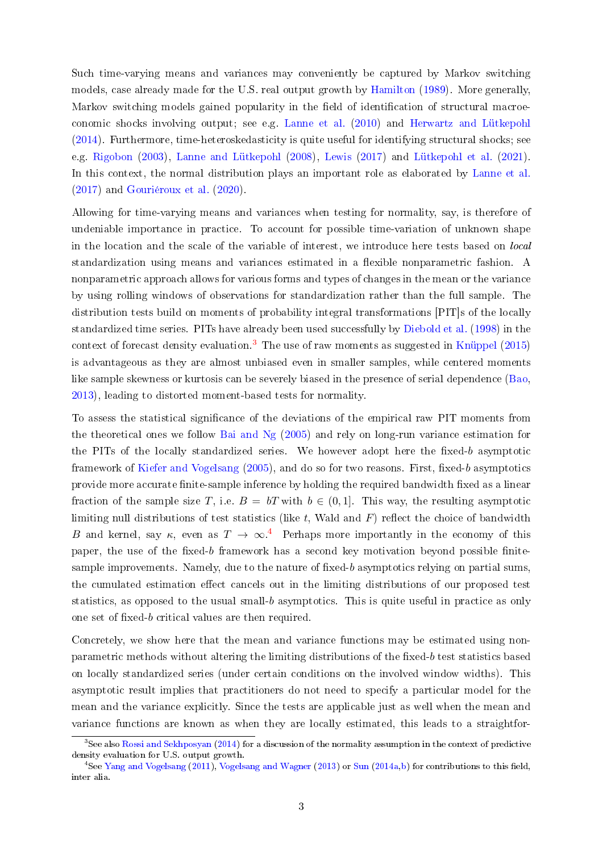Such time-varying means and variances may conveniently be captured by Markov switching models, case already made for the U.S. real output growth by [Hamilton](#page-29-2) [\(1989\)](#page-29-2). More generally, Markov switching models gained popularity in the field of identification of structural macroeconomic shocks involving output; see e.g. [Lanne et al.](#page-30-5) [\(2010\)](#page-30-5) and [Herwartz and Lütkepohl](#page-29-3) [\(2014\)](#page-29-3). Furthermore, time-heteroskedasticity is quite useful for identifying structural shocks; see e.g. [Rigobon](#page-31-6) [\(2003\)](#page-31-6), [Lanne and Lütkepohl](#page-30-6) [\(2008\)](#page-30-6), [Lewis](#page-30-7) [\(2017\)](#page-30-7) and [Lütkepohl et al.](#page-31-7) [\(2021\)](#page-31-7). In this context, the normal distribution plays an important role as elaborated by [Lanne et al.](#page-30-8) [\(2017\)](#page-30-8) and [Gouriéroux et al.](#page-29-4) [\(2020\)](#page-29-4).

Allowing for time-varying means and variances when testing for normality, say, is therefore of undeniable importance in practice. To account for possible time-variation of unknown shape in the location and the scale of the variable of interest, we introduce here tests based on local standardization using means and variances estimated in a flexible nonparametric fashion. A nonparametric approach allows for various forms and types of changes in the mean or the variance by using rolling windows of observations for standardization rather than the full sample. The distribution tests build on moments of probability integral transformations [PIT]s of the locally standardized time series. PITs have already been used successfully by [Diebold et al.](#page-29-5) [\(1998\)](#page-29-5) in the context of forecast density evaluation.<sup>[3](#page-3-0)</sup> The use of raw moments as suggested in [Knüppel](#page-30-9)  $(2015)$ is advantageous as they are almost unbiased even in smaller samples, while centered moments like sample skewness or kurtosis can be severely biased in the presence of serial dependence [\(Bao,](#page-28-6) [2013\)](#page-28-6), leading to distorted moment-based tests for normality.

To assess the statistical signicance of the deviations of the empirical raw PIT moments from the theoretical ones we follow [Bai and Ng](#page-28-1) [\(2005\)](#page-28-1) and rely on long-run variance estimation for the PITs of the locally standardized series. We however adopt here the fixed-b asymptotic framework of [Kiefer and Vogelsang](#page-30-10)  $(2005)$ , and do so for two reasons. First, fixed-b asymptotics provide more accurate finite-sample inference by holding the required bandwidth fixed as a linear fraction of the sample size T, i.e.  $B = bT$  with  $b \in (0, 1]$ . This way, the resulting asymptotic limiting null distributions of test statistics (like t, Wald and  $F$ ) reflect the choice of bandwidth B and kernel, say  $\kappa$ , even as  $T \to \infty$ .<sup>[4](#page-3-1)</sup> Perhaps more importantly in the economy of this paper, the use of the fixed-b framework has a second key motivation beyond possible finitesample improvements. Namely, due to the nature of fixed-b asymptotics relying on partial sums, the cumulated estimation effect cancels out in the limiting distributions of our proposed test statistics, as opposed to the usual small-b asymptotics. This is quite useful in practice as only one set of fixed- $b$  critical values are then required.

Concretely, we show here that the mean and variance functions may be estimated using nonparametric methods without altering the limiting distributions of the fixed-b test statistics based on locally standardized series (under certain conditions on the involved window widths). This asymptotic result implies that practitioners do not need to specify a particular model for the mean and the variance explicitly. Since the tests are applicable just as well when the mean and variance functions are known as when they are locally estimated, this leads to a straightfor-

<span id="page-3-0"></span><sup>&</sup>lt;sup>3</sup>See also [Rossi and Sekhposyan](#page-31-8) [\(2014\)](#page-31-8) for a discussion of the normality assumption in the context of predictive density evaluation for U.S. output growth.

<span id="page-3-1"></span><sup>&</sup>lt;sup>4</sup>See [Yang and Vogelsang](#page-32-0) [\(2011\)](#page-32-0), [Vogelsang and Wagner](#page-31-9) [\(2013\)](#page-31-9) or [Sun](#page-31-10) [\(2014a](#page-31-10)[,b\)](#page-31-11) for contributions to this field, inter alia.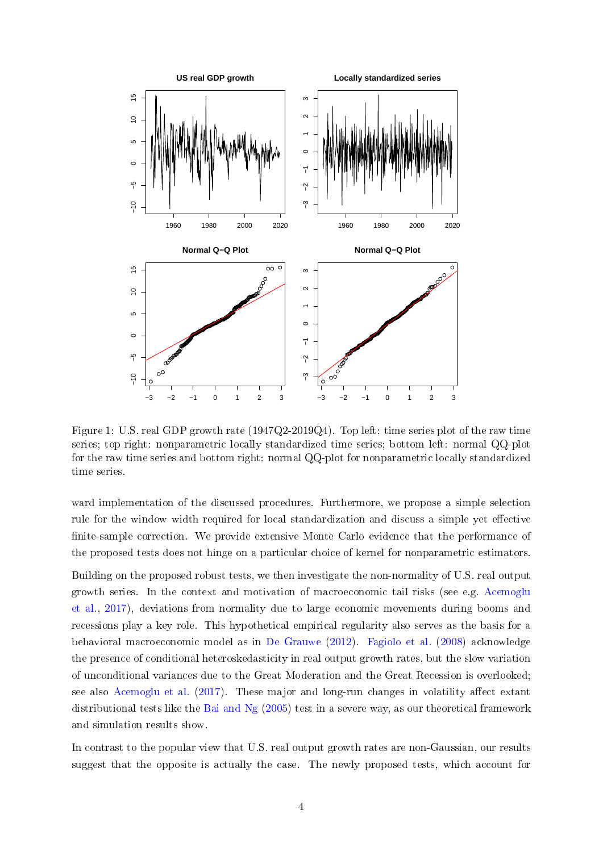

<span id="page-4-0"></span>Figure 1: U.S. real GDP growth rate (1947Q2-2019Q4). Top left: time series plot of the raw time series; top right: nonparametric locally standardized time series; bottom left: normal QQ-plot for the raw time series and bottom right: normal QQ-plot for nonparametric locally standardized time series.

ward implementation of the discussed procedures. Furthermore, we propose a simple selection rule for the window width required for local standardization and discuss a simple yet effective finite-sample correction. We provide extensive Monte Carlo evidence that the performance of the proposed tests does not hinge on a particular choice of kernel for nonparametric estimators.

Building on the proposed robust tests, we then investigate the non-normality of U.S. real output growth series. In the context and motivation of macroeconomic tail risks (see e.g. [Acemoglu](#page-28-7) [et al.,](#page-28-7) [2017\)](#page-28-7), deviations from normality due to large economic movements during booms and recessions play a key role. This hypothetical empirical regularity also serves as the basis for a behavioral macroeconomic model as in [De Grauwe](#page-29-6) [\(2012\)](#page-29-6). [Fagiolo et al.](#page-29-7) [\(2008\)](#page-29-7) acknowledge the presence of conditional heteroskedasticity in real output growth rates, but the slow variation of unconditional variances due to the Great Moderation and the Great Recession is overlooked; see also [Acemoglu et al.](#page-28-7)  $(2017)$ . These major and long-run changes in volatility affect extant distributional tests like the [Bai and Ng](#page-28-1) [\(2005\)](#page-28-1) test in a severe way, as our theoretical framework and simulation results show.

In contrast to the popular view that U.S. real output growth rates are non-Gaussian, our results suggest that the opposite is actually the case. The newly proposed tests, which account for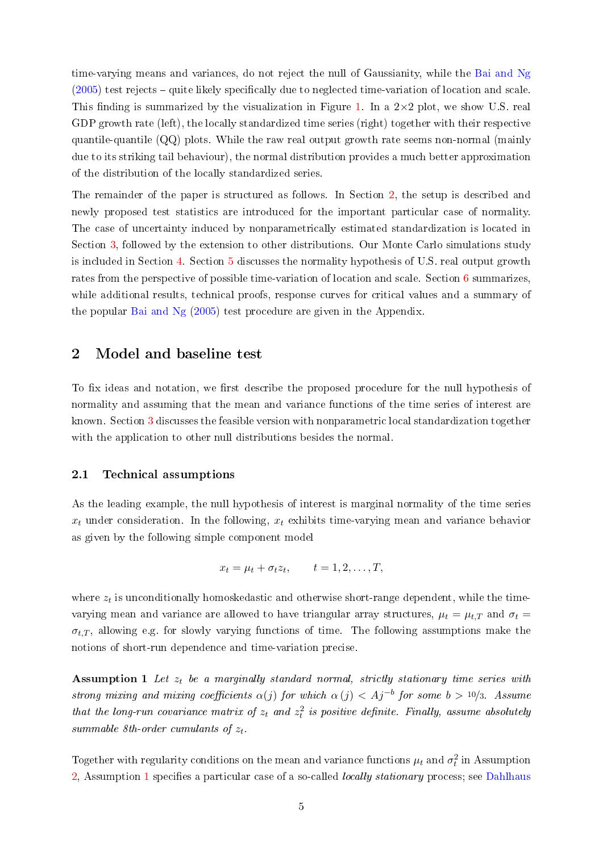time-varying means and variances, do not reject the null of Gaussianity, while the [Bai and Ng](#page-28-1)  $(2005)$  test rejects – quite likely specifically due to neglected time-variation of location and scale. This finding is summarized by the visualization in Figure [1.](#page-4-0) In a  $2\times 2$  plot, we show U.S. real GDP growth rate (left), the locally standardized time series (right) together with their respective quantile-quantile (QQ) plots. While the raw real output growth rate seems non-normal (mainly due to its striking tail behaviour), the normal distribution provides a much better approximation of the distribution of the locally standardized series.

The remainder of the paper is structured as follows. In Section [2,](#page-5-0) the setup is described and newly proposed test statistics are introduced for the important particular case of normality. The case of uncertainty induced by nonparametrically estimated standardization is located in Section [3,](#page-9-0) followed by the extension to other distributions. Our Monte Carlo simulations study is included in Section [4.](#page-14-0) Section [5](#page-22-0) discusses the normality hypothesis of U.S. real output growth rates from the perspective of possible time-variation of location and scale. Section [6](#page-27-0) summarizes, while additional results, technical proofs, response curves for critical values and a summary of the popular [Bai and Ng](#page-28-1) [\(2005\)](#page-28-1) test procedure are given in the Appendix.

## <span id="page-5-0"></span>2 Model and baseline test

To fix ideas and notation, we first describe the proposed procedure for the null hypothesis of normality and assuming that the mean and variance functions of the time series of interest are known. Section [3](#page-9-0) discusses the feasible version with nonparametric local standardization together with the application to other null distributions besides the normal.

#### 2.1 Technical assumptions

As the leading example, the null hypothesis of interest is marginal normality of the time series  $x_t$  under consideration. In the following,  $x_t$  exhibits time-varying mean and variance behavior as given by the following simple component model

$$
x_t = \mu_t + \sigma_t z_t, \qquad t = 1, 2, \dots, T,
$$

where  $z_t$  is unconditionally homoskedastic and otherwise short-range dependent, while the timevarying mean and variance are allowed to have triangular array structures,  $\mu_t = \mu_{t,T}$  and  $\sigma_t =$  $\sigma_{t,T}$ , allowing e.g. for slowly varying functions of time. The following assumptions make the notions of short-run dependence and time-variation precise.

<span id="page-5-1"></span>Assumption 1 Let  $z_t$  be a marginally standard normal, strictly stationary time series with strong mixing and mixing coefficients  $\alpha(j)$  for which  $\alpha(j) < Aj^{-b}$  for some  $b > 10/3$ . Assume that the long-run covariance matrix of  $z_t$  and  $z_t^2$  is positive definite. Finally, assume absolutely summable 8th-order cumulants of  $z_t$ .

Together with regularity conditions on the mean and variance functions  $\mu_t$  and  $\sigma_t^2$  in Assumption  $2$ , Assumption [1](#page-5-1) specifies a particular case of a so-called *locally stationary* process; see [Dahlhaus](#page-29-8)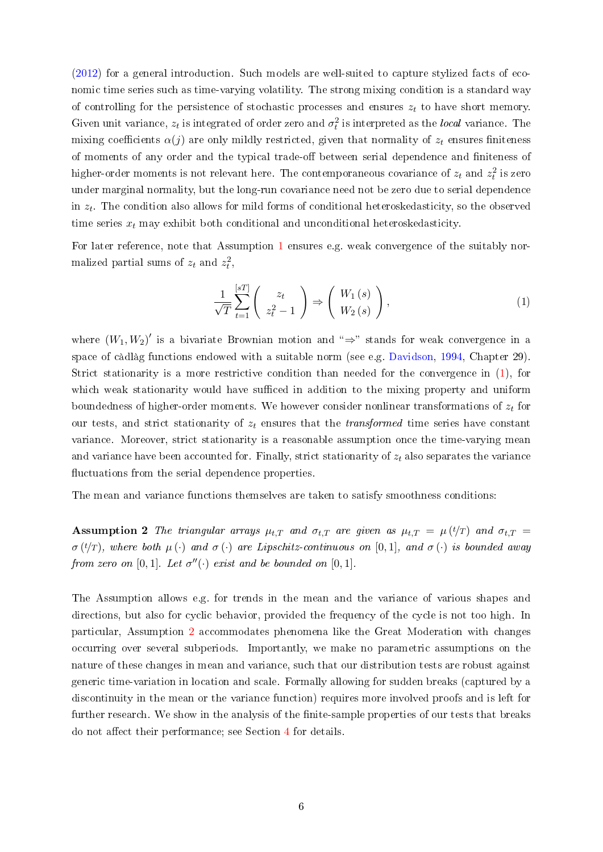[\(2012\)](#page-29-8) for a general introduction. Such models are well-suited to capture stylized facts of economic time series such as time-varying volatility. The strong mixing condition is a standard way of controlling for the persistence of stochastic processes and ensures  $z_t$  to have short memory. Given unit variance,  $z_t$  is integrated of order zero and  $\sigma_t^2$  is interpreted as the local variance. The mixing coefficients  $\alpha(i)$  are only mildly restricted, given that normality of  $z_t$  ensures finiteness of moments of any order and the typical trade-off between serial dependence and finiteness of higher-order moments is not relevant here. The contemporaneous covariance of  $z_t$  and  $z_t^2$  is zero under marginal normality, but the long-run covariance need not be zero due to serial dependence in  $z_t$ . The condition also allows for mild forms of conditional heteroskedasticity, so the observed time series  $x_t$  may exhibit both conditional and unconditional heteroskedasticity.

For later reference, note that Assumption [1](#page-5-1) ensures e.g. weak convergence of the suitably normalized partial sums of  $z_t$  and  $z_t^2$ ,

<span id="page-6-1"></span>
$$
\frac{1}{\sqrt{T}}\sum_{t=1}^{[sT]} \left( \begin{array}{c} z_t \\ z_t^2 - 1 \end{array} \right) \Rightarrow \left( \begin{array}{c} W_1(s) \\ W_2(s) \end{array} \right),\tag{1}
$$

where  $(W_1, W_2)'$  is a bivariate Brownian motion and " $\Rightarrow$ " stands for weak convergence in a space of càdlàg functions endowed with a suitable norm (see e.g. [Davidson,](#page-29-9) [1994,](#page-29-9) Chapter 29). Strict stationarity is a more restrictive condition than needed for the convergence in [\(1\)](#page-6-1), for which weak stationarity would have sufficed in addition to the mixing property and uniform boundedness of higher-order moments. We however consider nonlinear transformations of  $z_t$  for our tests, and strict stationarity of  $z_t$  ensures that the *transformed* time series have constant variance. Moreover, strict stationarity is a reasonable assumption once the time-varying mean and variance have been accounted for. Finally, strict stationarity of  $z_t$  also separates the variance fluctuations from the serial dependence properties.

<span id="page-6-0"></span>The mean and variance functions themselves are taken to satisfy smoothness conditions:

**Assumption 2** The triangular arrays  $\mu_{t,T}$  and  $\sigma_{t,T}$  are given as  $\mu_{t,T} = \mu(t/T)$  and  $\sigma_{t,T} =$  $\sigma(t/T)$ , where both  $\mu(\cdot)$  and  $\sigma(\cdot)$  are Lipschitz-continuous on [0,1], and  $\sigma(\cdot)$  is bounded away from zero on  $[0,1]$ . Let  $\sigma''(\cdot)$  exist and be bounded on  $[0,1]$ .

The Assumption allows e.g. for trends in the mean and the variance of various shapes and directions, but also for cyclic behavior, provided the frequency of the cycle is not too high. In particular, Assumption [2](#page-6-0) accommodates phenomena like the Great Moderation with changes occurring over several subperiods. Importantly, we make no parametric assumptions on the nature of these changes in mean and variance, such that our distribution tests are robust against generic time-variation in location and scale. Formally allowing for sudden breaks (captured by a discontinuity in the mean or the variance function) requires more involved proofs and is left for further research. We show in the analysis of the finite-sample properties of our tests that breaks do not affect their performance; see Section [4](#page-14-0) for details.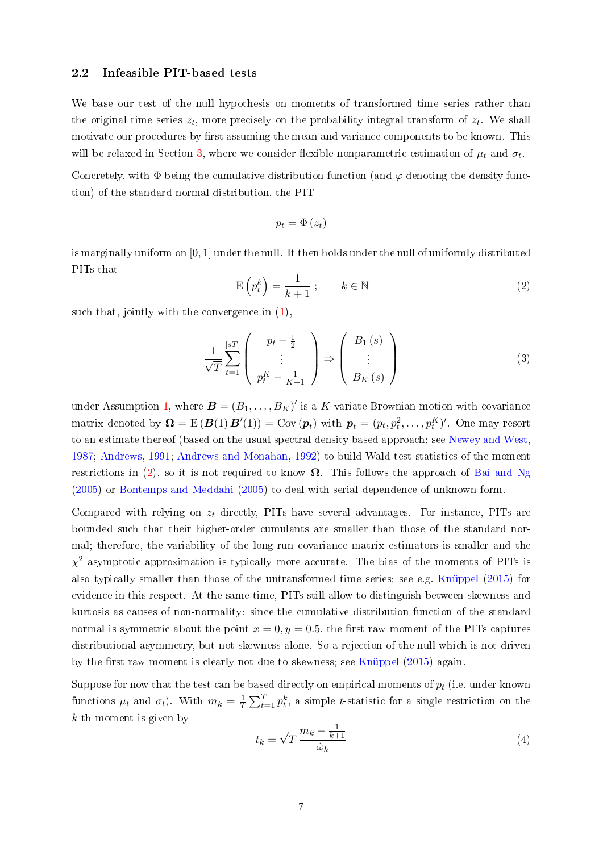#### 2.2 Infeasible PIT-based tests

We base our test of the null hypothesis on moments of transformed time series rather than the original time series  $z_t$ , more precisely on the probability integral transform of  $z_t$ . We shall motivate our procedures by first assuming the mean and variance components to be known. This will be relaxed in Section [3,](#page-9-0) where we consider flexible nonparametric estimation of  $\mu_t$  and  $\sigma_t$ .

Concretely, with  $\Phi$  being the cumulative distribution function (and  $\varphi$  denoting the density function) of the standard normal distribution, the PIT

$$
p_t = \Phi(z_t)
$$

is marginally uniform on [0, 1] under the null. It then holds under the null of uniformly distributed PITs that

<span id="page-7-0"></span>
$$
E\left(p_t^k\right) = \frac{1}{k+1} \, ; \qquad k \in \mathbb{N} \tag{2}
$$

such that, jointly with the convergence in [\(1\)](#page-6-1),

<span id="page-7-1"></span>
$$
\frac{1}{\sqrt{T}} \sum_{t=1}^{[sT]} \left( \begin{array}{c} p_t - \frac{1}{2} \\ \vdots \\ p_t^K - \frac{1}{K+1} \end{array} \right) \Rightarrow \left( \begin{array}{c} B_1(s) \\ \vdots \\ B_K(s) \end{array} \right)
$$
(3)

under Assumption [1,](#page-5-1) where  $\boldsymbol{B} = (B_1, \ldots, B_K)'$  is a K-variate Brownian motion with covariance matrix denoted by  $\mathbf{\Omega} = \mathrm{E} \left( \bm{B}(1) \, \bm{B}'(1) \right) = \mathrm{Cov} \left( \bm{p}_t \right)$  with  $\bm{p}_t = (p_t, p_t^2, \dots, p_t^K)'$ . One may resort to an estimate thereof (based on the usual spectral density based approach; see [Newey and West,](#page-31-12) [1987;](#page-31-12) [Andrews,](#page-28-8) [1991;](#page-28-8) [Andrews and Monahan,](#page-28-9) [1992\)](#page-28-9) to build Wald test statistics of the moment restrictions in [\(2\)](#page-7-0), so it is not required to know  $\Omega$ . This follows the approach of [Bai and Ng](#page-28-1) [\(2005\)](#page-28-1) or [Bontemps and Meddahi](#page-28-2) [\(2005\)](#page-28-2) to deal with serial dependence of unknown form.

Compared with relying on  $z_t$  directly, PITs have several advantages. For instance, PITs are bounded such that their higher-order cumulants are smaller than those of the standard normal; therefore, the variability of the long-run covariance matrix estimators is smaller and the  $\chi^2$  asymptotic approximation is typically more accurate. The bias of the moments of PITs is also typically smaller than those of the untransformed time series; see e.g. [Knüppel](#page-30-9) [\(2015\)](#page-30-9) for evidence in this respect. At the same time, PITs still allow to distinguish between skewness and kurtosis as causes of non-normality: since the cumulative distribution function of the standard normal is symmetric about the point  $x = 0, y = 0.5$ , the first raw moment of the PITs captures distributional asymmetry, but not skewness alone. So a rejection of the null which is not driven by the first raw moment is clearly not due to skewness; see [Knüppel](#page-30-9)  $(2015)$  again.

Suppose for now that the test can be based directly on empirical moments of  $p_t$  (i.e. under known functions  $\mu_t$  and  $\sigma_t$ ). With  $m_k = \frac{1}{7}$  $\frac{1}{T} \sum_{t=1}^{T} p_t^k$ , a simple *t*-statistic for a single restriction on the k-th moment is given by

<span id="page-7-2"></span>
$$
t_k = \sqrt{T} \frac{m_k - \frac{1}{k+1}}{\hat{\omega}_k} \tag{4}
$$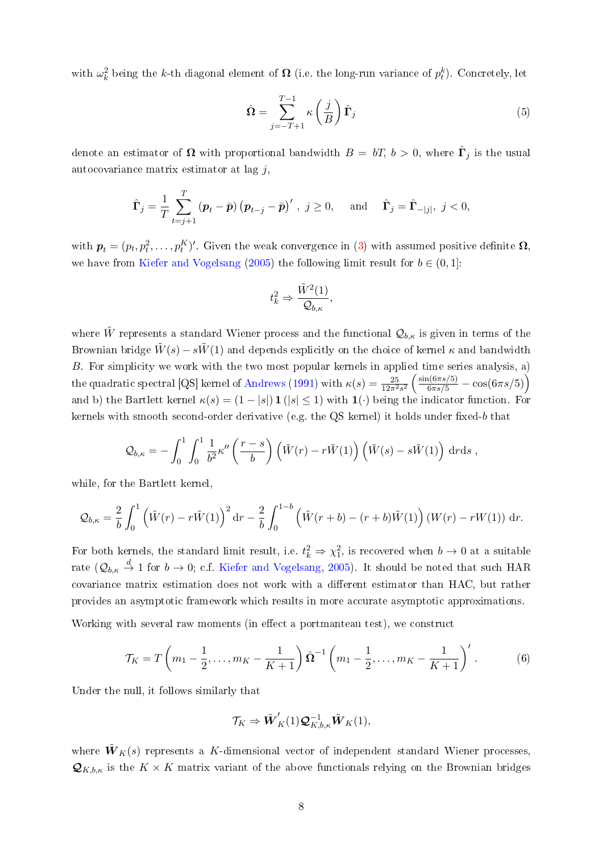with  $\omega_k^2$  being the k-th diagonal element of  $\boldsymbol{\Omega}$  (i.e. the long-run variance of  $p_t^k$ ). Concretely, let

<span id="page-8-0"></span>
$$
\hat{\Omega} = \sum_{j=-T+1}^{T-1} \kappa \left(\frac{j}{B}\right) \hat{\Gamma}_j
$$
\n(5)

denote an estimator of  $\boldsymbol{\Omega}$  with proportional bandwidth  $B = \mathit{bT}, \mathit{b} > 0$ , where  $\hat{\boldsymbol{\Gamma}}_j$  is the usual autocovariance matrix estimator at lag  $j$ ,

$$
\hat{\mathbf{\Gamma}}_j = \frac{1}{T} \sum_{t=j+1}^T \left( \mathbf{p}_t - \bar{\mathbf{p}} \right) \left( \mathbf{p}_{t-j} - \bar{\mathbf{p}} \right)', \ j \ge 0, \quad \text{and} \quad \hat{\mathbf{\Gamma}}_j = \hat{\mathbf{\Gamma}}_{-|j|}, \ j < 0,
$$

with  $\bm{p}_t=(p_t,p_t^2,\ldots,p_t^K)'$ . Given the weak convergence in [\(3\)](#page-7-1) with assumed positive definite  $\bm{\Omega},$ we have from [Kiefer and Vogelsang](#page-30-10) [\(2005\)](#page-30-10) the following limit result for  $b \in (0,1]$ :

$$
t_k^2 \Rightarrow \frac{\tilde{W}^2(1)}{\mathcal{Q}_{b,\kappa}},
$$

where  $\tilde{W}$  represents a standard Wiener process and the functional  $\mathcal{Q}_{b,\kappa}$  is given in terms of the Brownian bridge  $\tilde{W}(s) - s\tilde{W}(1)$  and depends explicitly on the choice of kernel  $\kappa$  and bandwidth B. For simplicity we work with the two most popular kernels in applied time series analysis, a) the quadratic spectral [QS] kernel of [Andrews](#page-28-8) [\(1991\)](#page-28-8) with  $\kappa(s) = \frac{25}{12\pi^2s^2} \left( \frac{\sin(6\pi s/5)}{6\pi s/5} - \cos(6\pi s/5) \right)$ and b) the Bartlett kernel  $\kappa(s) = (1 - |s|) \mathbf{1}(|s| \leq 1)$  with  $\mathbf{1}(\cdot)$  being the indicator function. For kernels with smooth second-order derivative (e.g. the QS kernel) it holds under fixed-b that

$$
Q_{b,\kappa} = -\int_0^1 \int_0^1 \frac{1}{b^2} \kappa''\left(\frac{r-s}{b}\right) \left(\tilde{W}(r) - r\tilde{W}(1)\right) \left(\tilde{W}(s) - s\tilde{W}(1)\right) drds,
$$

while, for the Bartlett kernel,

$$
Q_{b,\kappa} = \frac{2}{b} \int_0^1 \left( \tilde{W}(r) - r \tilde{W}(1) \right)^2 dr - \frac{2}{b} \int_0^{1-b} \left( \tilde{W}(r+b) - (r+b) \tilde{W}(1) \right) (W(r) - rW(1)) dr.
$$

For both kernels, the standard limit result, i.e.  $t_k^2 \Rightarrow \chi_1^2$ , is recovered when  $b \to 0$  at a suitable rate  $(\mathcal{Q}_{b,\kappa} \stackrel{d}{\to} 1$  for  $b \to 0$ ; c.f. [Kiefer and Vogelsang,](#page-30-10) [2005\)](#page-30-10). It should be noted that such HAR covariance matrix estimation does not work with a different estimator than HAC, but rather provides an asymptotic framework which results in more accurate asymptotic approximations.

Working with several raw moments (in effect a portmanteau test), we construct

<span id="page-8-1"></span>
$$
\mathcal{T}_K = T\left(m_1 - \frac{1}{2}, \dots, m_K - \frac{1}{K+1}\right) \hat{\Omega}^{-1} \left(m_1 - \frac{1}{2}, \dots, m_K - \frac{1}{K+1}\right)'.
$$
 (6)

Under the null, it follows similarly that

$$
\mathcal{T}_K \Rightarrow \tilde{\boldsymbol{W}}_K'(1)\boldsymbol{\mathcal{Q}}_{K,b,\kappa}^{-1}\tilde{\boldsymbol{W}}_K(1),
$$

where  $\tilde{W}_K(s)$  represents a K-dimensional vector of independent standard Wiener processes,  $\mathcal{Q}_{K,b,\kappa}$  is the  $K \times K$  matrix variant of the above functionals relying on the Brownian bridges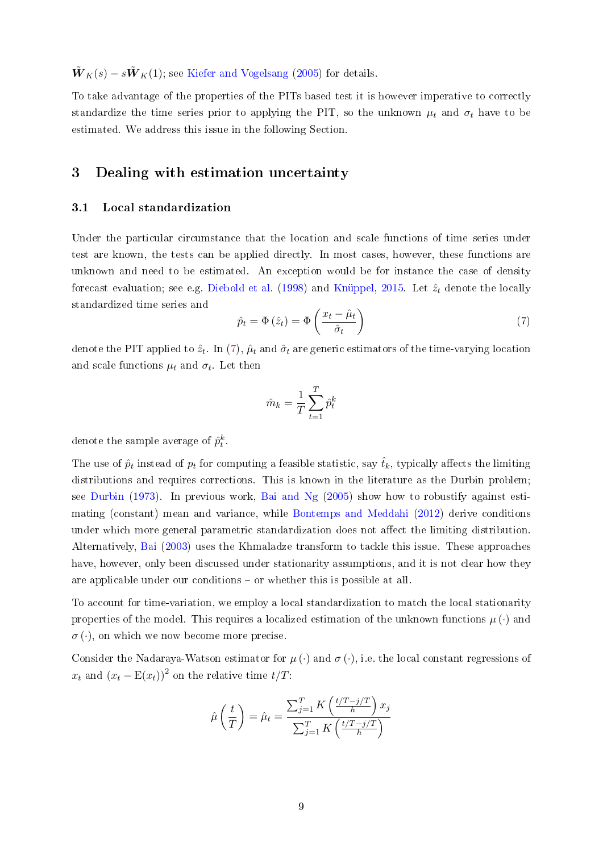$\tilde{W}_K(s) - s\tilde{W}_K(1)$ ; see [Kiefer and Vogelsang](#page-30-10) [\(2005\)](#page-30-10) for details.

To take advantage of the properties of the PITs based test it is however imperative to correctly standardize the time series prior to applying the PIT, so the unknown  $\mu_t$  and  $\sigma_t$  have to be estimated. We address this issue in the following Section.

## <span id="page-9-0"></span>3 Dealing with estimation uncertainty

### 3.1 Local standardization

Under the particular circumstance that the location and scale functions of time series under test are known, the tests can be applied directly. In most cases, however, these functions are unknown and need to be estimated. An exception would be for instance the case of density forecast evaluation; see e.g. [Diebold et al.](#page-29-5) [\(1998\)](#page-29-5) and [Knüppel,](#page-30-9) [2015.](#page-30-9) Let  $\hat{z}_t$  denote the locally standardized time series and

<span id="page-9-1"></span>
$$
\hat{p}_t = \Phi\left(\hat{z}_t\right) = \Phi\left(\frac{x_t - \hat{\mu}_t}{\hat{\sigma}_t}\right) \tag{7}
$$

denote the PIT applied to  $\hat{z}_t$ . In [\(7\)](#page-9-1),  $\hat{\mu}_t$  and  $\hat{\sigma}_t$  are generic estimators of the time-varying location and scale functions  $\mu_t$  and  $\sigma_t$ . Let then

$$
\hat{m}_k = \frac{1}{T} \sum_{t=1}^T \hat{p}_t^k
$$

denote the sample average of  $\hat{p}_t^k$ .

The use of  $\hat{p}_t$  instead of  $p_t$  for computing a feasible statistic, say  $\hat{t}_k$ , typically affects the limiting distributions and requires corrections. This is known in the literature as the Durbin problem; see [Durbin](#page-29-1) [\(1973\)](#page-29-1). In previous work, [Bai and Ng](#page-28-1) [\(2005\)](#page-28-1) show how to robustify against estimating (constant) mean and variance, while [Bontemps and Meddahi](#page-29-10) [\(2012\)](#page-29-10) derive conditions under which more general parametric standardization does not affect the limiting distribution. Alternatively, [Bai](#page-28-0) [\(2003\)](#page-28-0) uses the Khmaladze transform to tackle this issue. These approaches have, however, only been discussed under stationarity assumptions, and it is not clear how they are applicable under our conditions - or whether this is possible at all.

To account for time-variation, we employ a local standardization to match the local stationarity properties of the model. This requires a localized estimation of the unknown functions  $\mu(\cdot)$  and  $\sigma(\cdot)$ , on which we now become more precise.

Consider the Nadaraya-Watson estimator for  $\mu$  (·) and  $\sigma$  (·), i.e. the local constant regressions of  $x_t$  and  $(x_t - \mathbb{E}(x_t))^2$  on the relative time  $t/T$ :

$$
\hat{\mu}\left(\frac{t}{T}\right) = \hat{\mu}_t = \frac{\sum_{j=1}^T K\left(\frac{t/T - j/T}{h}\right) x_j}{\sum_{j=1}^T K\left(\frac{t/T - j/T}{h}\right)}
$$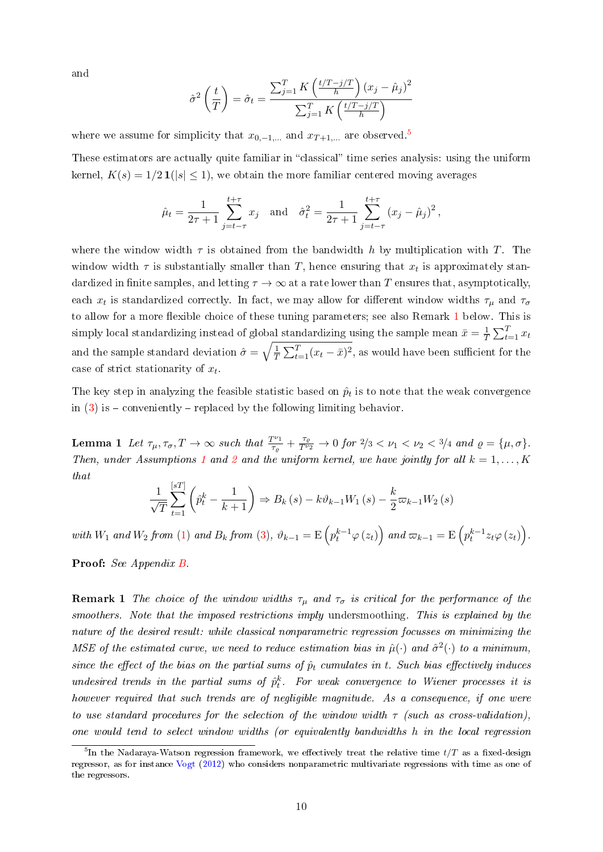and

$$
\hat{\sigma}^2 \left( \frac{t}{T} \right) = \hat{\sigma}_t = \frac{\sum_{j=1}^T K \left( \frac{t/T - j/T}{h} \right) (x_j - \hat{\mu}_j)^2}{\sum_{j=1}^T K \left( \frac{t/T - j/T}{h} \right)}
$$

where we assume for simplicity that  $x_{0,-1,...}$  and  $x_{T+1,...}$  are observed.<sup>[5](#page-10-0)</sup>

These estimators are actually quite familiar in "classical" time series analysis: using the uniform kernel,  $K(s) = 1/2 \mathbf{1}(|s| \leq 1)$ , we obtain the more familiar centered moving averages

$$
\hat{\mu}_t = \frac{1}{2\tau + 1} \sum_{j=t-\tau}^{t+\tau} x_j
$$
 and  $\hat{\sigma}_t^2 = \frac{1}{2\tau + 1} \sum_{j=t-\tau}^{t+\tau} (x_j - \hat{\mu}_j)^2$ ,

where the window width  $\tau$  is obtained from the bandwidth h by multiplication with T. The window width  $\tau$  is substantially smaller than T, hence ensuring that  $x_t$  is approximately standardized in finite samples, and letting  $\tau \to \infty$  at a rate lower than T ensures that, asymptotically, each  $x_t$  is standardized correctly. In fact, we may allow for different window widths  $\tau_\mu$  and  $\tau_\sigma$ to allow for a more flexible choice of these tuning parameters; see also Remark [1](#page-10-1) below. This is simply local standardizing instead of global standardizing using the sample mean  $\bar{x}=\frac{1}{7}$  $\frac{1}{T} \sum_{t=1}^T x_t$ and the sample standard deviation  $\hat{\sigma} = \sqrt{\frac{1}{7}}$  $\frac{1}{T} \sum_{t=1}^{T} (x_t - \bar{x})^2$ , as would have been sufficient for the case of strict stationarity of  $x_t$ .

The key step in analyzing the feasible statistic based on  $\hat{p}_t$  is to note that the weak convergence in  $(3)$  is – conveniently – replaced by the following limiting behavior.

<span id="page-10-2"></span>**Lemma 1** Let  $\tau_{\mu}, \tau_{\sigma}, T \rightarrow \infty$  such that  $\frac{T^{\nu_1}}{\tau_{\sigma_1}}$  $\frac{\tau_{\nu_1}}{\tau_{\varrho}} + \frac{\tau_{\varrho}}{T^{\nu}}$  $\frac{\tau_{\varrho}}{T^{\nu_2}} \to 0$  for  $2/3 < \nu_1 < \nu_2 < 3/4$  and  $\varrho = {\mu, \sigma}.$ Then, under Assumptions [1](#page-5-1) and [2](#page-6-0) and the uniform kernel, we have jointly for all  $k = 1, ..., K$ that

$$
\frac{1}{\sqrt{T}}\sum_{t=1}^{\left[sT\right]}\left(\hat{p}_t^k - \frac{1}{k+1}\right) \Rightarrow B_k\left(s\right) - k\vartheta_{k-1}W_1\left(s\right) - \frac{k}{2}\varpi_{k-1}W_2\left(s\right)
$$

with  $W_1$  and  $W_2$  from [\(1\)](#page-6-1) and  $B_k$  from [\(3\)](#page-7-1),  $\vartheta_{k-1} = \mathrm{E}\left(p_t^{k-1}\varphi\left(z_t\right)\right)$  and  $\varpi_{k-1} = \mathrm{E}\left(p_t^{k-1}z_t\varphi\left(z_t\right)\right)$ .

Proof: See Appendix [B.](#page-33-0)

<span id="page-10-1"></span>**Remark 1** The choice of the window widths  $\tau_{\mu}$  and  $\tau_{\sigma}$  is critical for the performance of the smoothers. Note that the imposed restrictions imply undersmoothing. This is explained by the nature of the desired result: while classical nonparametric regression focusses on minimizing the MSE of the estimated curve, we need to reduce estimation bias in  $\hat{\mu}(\cdot)$  and  $\hat{\sigma}^2(\cdot)$  to a minimum, since the effect of the bias on the partial sums of  $\hat{p}_t$  cumulates in t. Such bias effectively induces undesired trends in the partial sums of  $\hat{p}_t^k$ . For weak convergence to Wiener processes it is however required that such trends are of negligible magnitude. As a consequence, if one were to use standard procedures for the selection of the window width  $\tau$  (such as cross-validation), one would tend to select window widths (or equivalently bandwidths h in the local regression

<span id="page-10-0"></span> $^5$ In the Nadaraya-Watson regression framework, we effectively treat the relative time  $t/T$  as a fixed-design regressor, as for instance [Vogt](#page-32-1) [\(2012\)](#page-32-1) who considers nonparametric multivariate regressions with time as one of the regressors.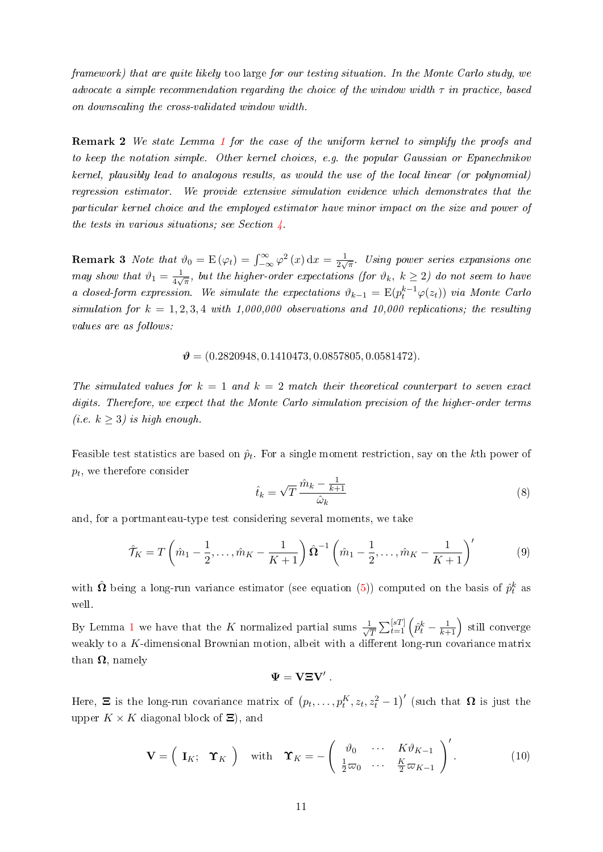framework) that are quite likely too large for our testing situation. In the Monte Carlo study, we advocate a simple recommendation regarding the choice of the window width  $\tau$  in practice, based on downscaling the cross-validated window width.

Remark 2 We state Lemma [1](#page-10-2) for the case of the uniform kernel to simplify the proofs and to keep the notation simple. Other kernel choices, e.g. the popular Gaussian or Epanechnikov kernel, plausibly lead to analogous results, as would the use of the local linear (or polynomial) regression estimator. We provide extensive simulation evidence which demonstrates that the particular kernel choice and the employed estimator have minor impact on the size and power of the tests in various situations; see Section  $\frac{1}{4}$ .

**Remark 3** Note that  $\vartheta_0 = \mathbb{E}(\varphi_t) = \int_{-\infty}^{\infty} \varphi^2(x) dx = \frac{1}{2\sqrt{2\pi}}$  $\frac{1}{2\sqrt{\pi}}$ . Using power series expansions one may show that  $\vartheta_1 = \frac{1}{4\pi}$  $\frac{1}{4\sqrt{\pi}},$  but the higher-order expectations (for  $\vartheta_k, \ k\geq 2)$  do not seem to have a closed-form expression. We simulate the expectations  $\vartheta_{k-1} = \mathbb{E}(p_t^{k-1} \varphi(z_t))$  via Monte Carlo simulation for  $k = 1, 2, 3, 4$  with 1,000,000 observations and 10,000 replications; the resulting values are as follows:

#### $\mathcal{V} = (0.2820948, 0.1410473, 0.0857805, 0.0581472).$

The simulated values for  $k = 1$  and  $k = 2$  match their theoretical counterpart to seven exact digits. Therefore, we expect that the Monte Carlo simulation precision of the higher-order terms (*i.e.*  $k \geq 3$ ) is high enough.

Feasible test statistics are based on  $\hat{p}_t$ . For a single moment restriction, say on the kth power of  $p_t$ , we therefore consider

$$
\hat{t}_k = \sqrt{T} \, \frac{\hat{m}_k - \frac{1}{k+1}}{\hat{\omega}_k} \tag{8}
$$

and, for a portmanteau-type test considering several moments, we take

$$
\hat{\mathcal{T}}_K = T\left(\hat{m}_1 - \frac{1}{2}, \dots, \hat{m}_K - \frac{1}{K+1}\right)\hat{\mathbf{\Omega}}^{-1}\left(\hat{m}_1 - \frac{1}{2}, \dots, \hat{m}_K - \frac{1}{K+1}\right)'
$$
(9)

with  $\hat{\Omega}$  being a long-run variance estimator (see equation [\(5\)](#page-8-0)) computed on the basis of  $\hat{p}^k_t$  as well.

By Lemma [1](#page-10-2) we have that the K normalized partial sums  $\frac{1}{\sqrt{2}}$  $\frac{1}{T}\sum_{t=1}^{[sT]}\left(\hat{p}^k_t-\frac{1}{k+1}\right)$  still converge weakly to a  $K$ -dimensional Brownian motion, albeit with a different long-run covariance matrix than  $\Omega$ , namely

$$
\Psi = {\bf V}{\bf \Xi}{\bf V}'\ .
$$

Here,  $\Xi$  is the long-run covariance matrix of  $(p_t, \ldots, p_t^K, z_t, z_t^2 - 1)'$  (such that  $\Omega$  is just the upper  $K \times K$  diagonal block of  $\Xi$ ), and

<span id="page-11-0"></span>
$$
\mathbf{V} = \begin{pmatrix} \mathbf{I}_K; \quad \mathbf{\hat{Y}}_K \end{pmatrix} \quad \text{with} \quad \mathbf{\hat{Y}}_K = -\begin{pmatrix} \vartheta_0 & \cdots & K\vartheta_{K-1} \\ \frac{1}{2}\varpi_0 & \cdots & \frac{K}{2}\varpi_{K-1} \end{pmatrix}'.
$$
 (10)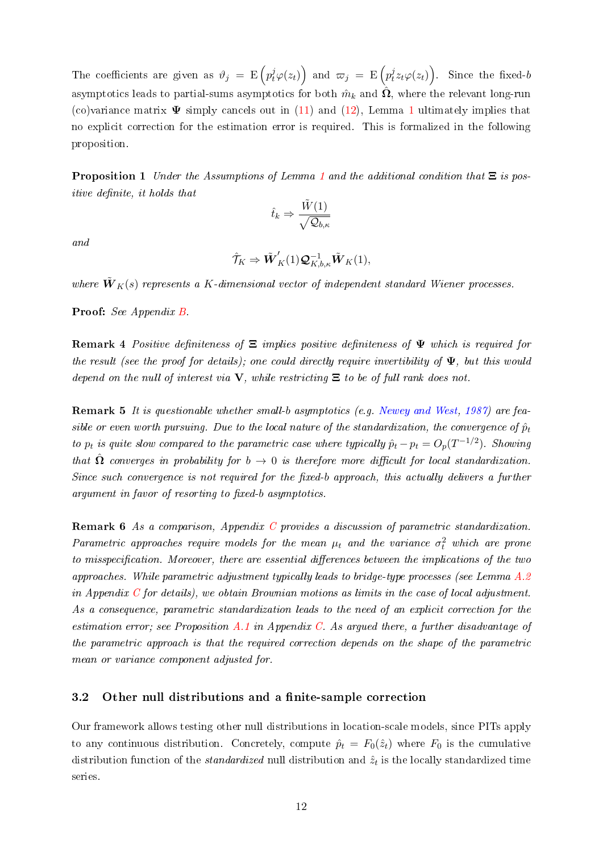The coefficients are given as  $\vartheta_j$  =  $\text{E}\left(p_t^j\varphi(z_t)\right)$  and  $\varpi_j$  =  $\text{E}\left(p_t^j\varphi(z_t)\right)$  $\partial_t^j z_t \varphi(z_t)\Big)$ Since the fixed- $b$ asymptotics leads to partial-sums asymptotics for both  $\hat{m}_k$  and  $\hat{\Omega}$ , where the relevant long-run (co)variance matrix  $\Psi$  simply cancels out in [\(11\)](#page-13-0) and [\(12\)](#page-13-1), Lemma [1](#page-10-2) ultimately implies that no explicit correction for the estimation error is required. This is formalized in the following proposition.

<span id="page-12-0"></span>**Proposition [1](#page-10-2)** Under the Assumptions of Lemma 1 and the additional condition that  $\Xi$  is positive definite, it holds that

$$
\hat{t}_k \Rightarrow \frac{\tilde{W}(1)}{\sqrt{\mathcal{Q}_{b,\kappa}}}
$$

and

$$
\hat{\mathcal{T}}_K \Rightarrow \tilde{\boldsymbol{W}}_K'(1)\boldsymbol{\mathcal{Q}}_{K,b,\kappa}^{-1}\tilde{\boldsymbol{W}}_K(1),
$$

where  $\tilde{\bm{W}}_{\bm{K}}(s)$  represents a K-dimensional vector of independent standard Wiener processes.

Proof: See Appendix [B.](#page-33-0)

**Remark 4** Positive definiteness of  $\Xi$  implies positive definiteness of  $\Psi$  which is required for the result (see the proof for details); one could directly require invertibility of  $\Psi$ , but this would depend on the null of interest via  $V$ , while restricting  $\Xi$  to be of full rank does not.

Remark 5 It is questionable whether small-b asymptotics (e.g. [Newey and West,](#page-31-12) [1987\)](#page-31-12) are feasible or even worth pursuing. Due to the local nature of the standardization, the convergence of  $\hat{p}_t$ to  $p_t$  is quite slow compared to the parametric case where typically  $\hat{p}_t - p_t = O_p(T^{-1/2})$ . Showing that  $\hat{\Omega}$  converges in probability for  $b \to 0$  is therefore more difficult for local standardization. Since such convergence is not required for the fixed-b approach, this actually delivers a further  $argument in favor of resorting to fixed-b asymptotics.$ 

Remark 6 As a comparison, Appendix [C](#page-47-0) provides a discussion of parametric standardization. Parametric approaches require models for the mean  $\mu_t$  and the variance  $\sigma_t^2$  which are prone to misspecification. Moreover, there are essential differences between the implications of the two approaches. While parametric adjustment typically leads to bridge-type processes (see Lemma [A.2](#page-47-1)) in Appendix  $C$  for details), we obtain Brownian motions as limits in the case of local adjustment. As a consequence, parametric standardization leads to the need of an explicit correction for the estimation error; see Proposition  $A.1$  in Appendix [C.](#page-47-0) As argued there, a further disadvantage of the parametric approach is that the required correction depends on the shape of the parametric mean or variance component adjusted for.

#### <span id="page-12-1"></span>3.2 Other null distributions and a finite-sample correction

Our framework allows testing other null distributions in location-scale models, since PITs apply to any continuous distribution. Concretely, compute  $\hat{p}_t = F_0(\hat{z}_t)$  where  $F_0$  is the cumulative distribution function of the *standardized* null distribution and  $\hat{z}_t$  is the locally standardized time series.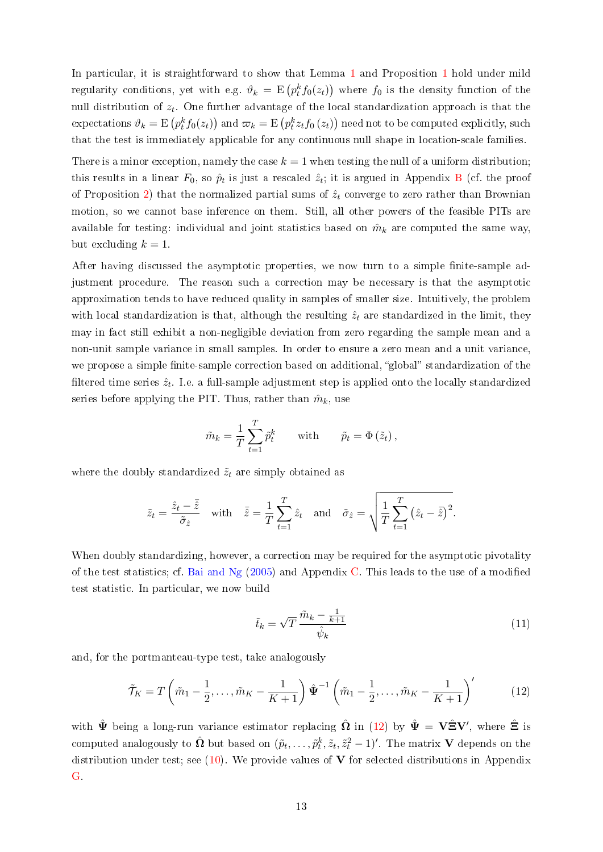In particular, it is straightforward to show that Lemma [1](#page-10-2) and Proposition [1](#page-12-0) hold under mild regularity conditions, yet with e.g.  $\vartheta_k = \mathrm{E}\left(p_t^k f_0(z_t)\right)$  where  $f_0$  is the density function of the null distribution of  $z_t$ . One further advantage of the local standardization approach is that the  $\text{expectations }\vartheta_k=\text{E}\left(p_t^kf_0(z_t)\right) \text{ and } \varpi_k=\text{E}\left(p_t^kz_tf_0\left(z_t\right)\right) \text{ need not to be computed explicitly, such}$ that the test is immediately applicable for any continuous null shape in location-scale families.

There is a minor exception, namely the case  $k = 1$  when testing the null of a uniform distribution; this results in a linear  $F_0$ , so  $\hat{p}_t$  is just a rescaled  $\hat{z}_t$ ; it is argued in Appendix [B](#page-33-0) (cf. the proof of Proposition [2\)](#page-13-2) that the normalized partial sums of  $\hat{z}_t$  converge to zero rather than Brownian motion, so we cannot base inference on them. Still, all other powers of the feasible PITs are available for testing: individual and joint statistics based on  $\hat{m}_k$  are computed the same way, but excluding  $k = 1$ .

After having discussed the asymptotic properties, we now turn to a simple finite-sample adjustment procedure. The reason such a correction may be necessary is that the asymptotic approximation tends to have reduced quality in samples of smaller size. Intuitively, the problem with local standardization is that, although the resulting  $\hat{z}_t$  are standardized in the limit, they may in fact still exhibit a non-negligible deviation from zero regarding the sample mean and a non-unit sample variance in small samples. In order to ensure a zero mean and a unit variance, we propose a simple finite-sample correction based on additional, "global" standardization of the filtered time series  $\hat{z}_t$ . I.e. a full-sample adjustment step is applied onto the locally standardized series before applying the PIT. Thus, rather than  $\hat{m}_k$ , use

$$
\tilde{m}_k = \frac{1}{T} \sum_{t=1}^T \tilde{p}_t^k \quad \text{with} \quad \tilde{p}_t = \Phi\left(\tilde{z}_t\right),
$$

where the doubly standardized  $\tilde{z}_t$  are simply obtained as

$$
\tilde{z}_t = \frac{\hat{z}_t - \bar{\hat{z}}}{\tilde{\sigma}_{\hat{z}}}
$$
 with  $\bar{\hat{z}} = \frac{1}{T} \sum_{t=1}^T \hat{z}_t$  and  $\tilde{\sigma}_{\hat{z}} = \sqrt{\frac{1}{T} \sum_{t=1}^T (\hat{z}_t - \bar{\hat{z}})^2}$ .

When doubly standardizing, however, a correction may be required for the asymptotic pivotality of the test statistics; cf. Bai and  $Ng(2005)$  $Ng(2005)$  and Appendix [C.](#page-47-0) This leads to the use of a modified test statistic. In particular, we now build

<span id="page-13-0"></span>
$$
\tilde{t}_k = \sqrt{T} \frac{\tilde{m}_k - \frac{1}{k+1}}{\hat{\psi}_k} \tag{11}
$$

and, for the portmanteau-type test, take analogously

<span id="page-13-1"></span>
$$
\tilde{\mathcal{T}}_K = T\left(\tilde{m}_1 - \frac{1}{2}, \dots, \tilde{m}_K - \frac{1}{K+1}\right) \hat{\Psi}^{-1} \left(\tilde{m}_1 - \frac{1}{2}, \dots, \tilde{m}_K - \frac{1}{K+1}\right)'
$$
(12)

<span id="page-13-2"></span>with  $\hat{\mathbf{\Psi}}$  being a long-run variance estimator replacing  $\hat{\mathbf{\Omega}}$  in [\(12\)](#page-13-1) by  $\hat{\mathbf{\Psi}} = \mathbf{V} \hat{\mathbf{\Xi}} \mathbf{V}'$ , where  $\hat{\mathbf{\Xi}}$  is computed analogously to  $\hat{\mathbf{\Omega}}$  but based on  $(\tilde{p}_t, \ldots, \tilde{p}^k_t, \tilde{z}_t, \tilde{z}^2_t-1)'$ . The matrix  $\mathbf V$  depends on the distribution under test; see  $(10)$ . We provide values of **V** for selected distributions in Appendix [G.](#page-57-0)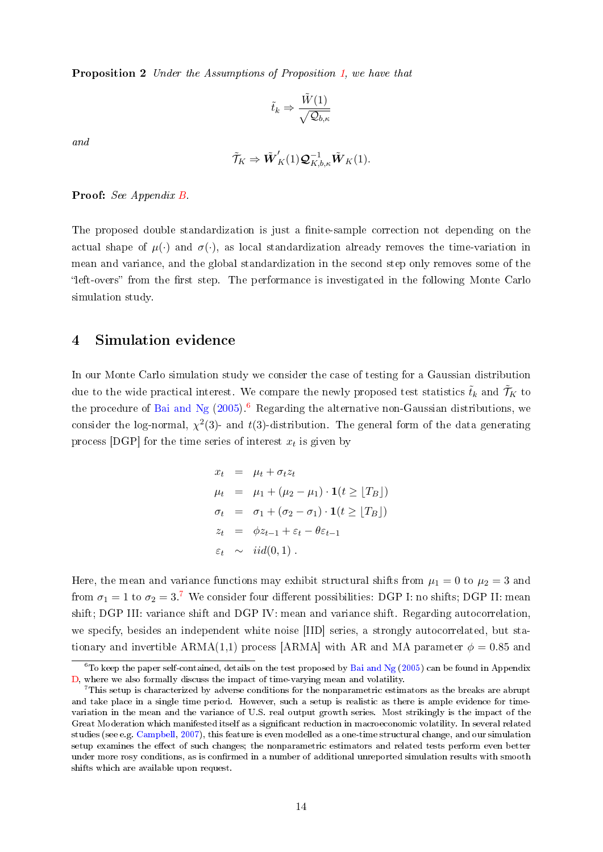Proposition 2 Under the Assumptions of Proposition [1,](#page-12-0) we have that

$$
\tilde{t}_k \Rightarrow \frac{\tilde{W}(1)}{\sqrt{\mathcal{Q}_{b,\kappa}}}
$$

and

$$
\tilde{\mathcal{T}}_K \Rightarrow \tilde{\boldsymbol{W}}_K'(1)\boldsymbol{\mathcal{Q}}_{K,b,\kappa}^{-1}\tilde{\boldsymbol{W}}_K(1).
$$

#### Proof: See Appendix [B.](#page-33-0)

The proposed double standardization is just a finite-sample correction not depending on the actual shape of  $\mu(\cdot)$  and  $\sigma(\cdot)$ , as local standardization already removes the time-variation in mean and variance, and the global standardization in the second step only removes some of the left-overs" from the first step. The performance is investigated in the following Monte Carlo simulation study.

### <span id="page-14-0"></span>4 Simulation evidence

In our Monte Carlo simulation study we consider the case of testing for a Gaussian distribution due to the wide practical interest. We compare the newly proposed test statistics  $\tilde{t}_k$  and  $\tilde{\mathcal{T}}_K$  to the procedure of [Bai and Ng](#page-28-1)  $(2005)^6$  $(2005)^6$  $(2005)^6$  Regarding the alternative non-Gaussian distributions, we consider the log-normal,  $\chi^2(3)$ - and t(3)-distribution. The general form of the data generating process [DGP] for the time series of interest  $x_t$  is given by

$$
x_t = \mu_t + \sigma_t z_t
$$
  
\n
$$
\mu_t = \mu_1 + (\mu_2 - \mu_1) \cdot \mathbf{1}(t \ge [T_B])
$$
  
\n
$$
\sigma_t = \sigma_1 + (\sigma_2 - \sigma_1) \cdot \mathbf{1}(t \ge [T_B])
$$
  
\n
$$
z_t = \phi z_{t-1} + \varepsilon_t - \theta \varepsilon_{t-1}
$$
  
\n
$$
\varepsilon_t \sim \text{iid}(0, 1).
$$

Here, the mean and variance functions may exhibit structural shifts from  $\mu_1 = 0$  to  $\mu_2 = 3$  and from  $\sigma_1 = 1$  to  $\sigma_2 = 3$ .<sup>[7](#page-14-2)</sup> We consider four different possibilities: DGP I: no shifts; DGP II: mean shift; DGP III: variance shift and DGP IV: mean and variance shift. Regarding autocorrelation, we specify, besides an independent white noise [IID] series, a strongly autocorrelated, but stationary and invertible  $ARMA(1,1)$  process [ARMA] with AR and MA parameter  $\phi = 0.85$  and

<span id="page-14-1"></span> $6$ To keep the paper self-contained, details on the test proposed by [Bai and Ng](#page-28-1) [\(2005\)](#page-28-1) can be found in Appendix [D,](#page-52-0) where we also formally discuss the impact of time-varying mean and volatility.

<span id="page-14-2"></span><sup>7</sup>This setup is characterized by adverse conditions for the nonparametric estimators as the breaks are abrupt and take place in a single time period. However, such a setup is realistic as there is ample evidence for timevariation in the mean and the variance of U.S. real output growth series. Most strikingly is the impact of the Great Moderation which manifested itself as a significant reduction in macroeconomic volatility. In several related studies (see e.g. [Campbell,](#page-29-11) [2007\)](#page-29-11), this feature is even modelled as a one-time structural change, and our simulation setup examines the effect of such changes; the nonparametric estimators and related tests perform even better under more rosy conditions, as is confirmed in a number of additional unreported simulation results with smooth shifts which are available upon request.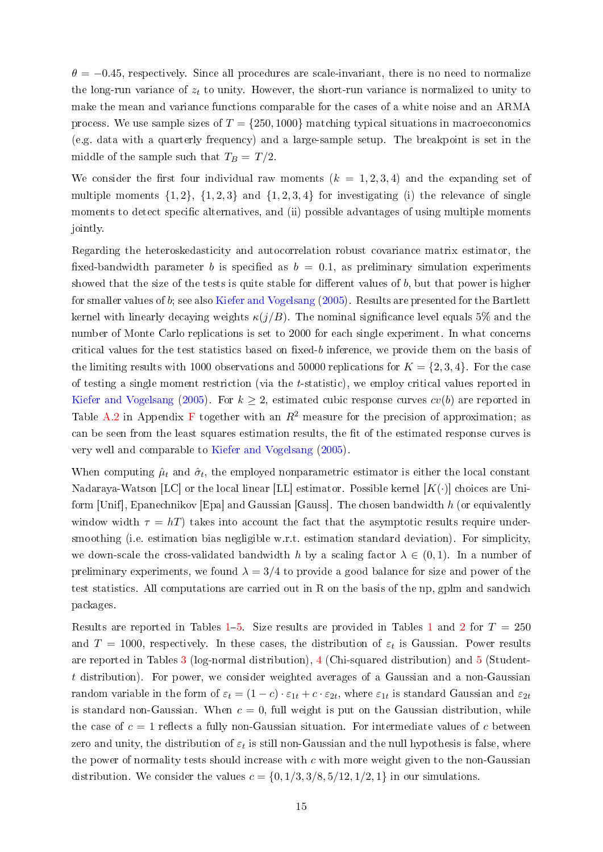$\theta = -0.45$ , respectively. Since all procedures are scale-invariant, there is no need to normalize the long-run variance of  $z_t$  to unity. However, the short-run variance is normalized to unity to make the mean and variance functions comparable for the cases of a white noise and an ARMA process. We use sample sizes of  $T = \{250, 1000\}$  matching typical situations in macroeconomics (e.g. data with a quarterly frequency) and a large-sample setup. The breakpoint is set in the middle of the sample such that  $T_B = T/2$ .

We consider the first four individual raw moments  $(k = 1, 2, 3, 4)$  and the expanding set of multiple moments  $\{1, 2\}$ ,  $\{1, 2, 3\}$  and  $\{1, 2, 3, 4\}$  for investigating (i) the relevance of single moments to detect specific alternatives, and (ii) possible advantages of using multiple moments jointly.

Regarding the heteroskedasticity and autocorrelation robust covariance matrix estimator, the fixed-bandwidth parameter b is specified as  $b = 0.1$ , as preliminary simulation experiments showed that the size of the tests is quite stable for different values of  $b$ , but that power is higher for smaller values of  $b$ ; see also [Kiefer and Vogelsang](#page-30-10)  $(2005)$ . Results are presented for the Bartlett kernel with linearly decaying weights  $\kappa(j/B)$ . The nominal significance level equals 5% and the number of Monte Carlo replications is set to 2000 for each single experiment. In what concerns critical values for the test statistics based on fixed-b inference, we provide them on the basis of the limiting results with 1000 observations and 50000 replications for  $K = \{2, 3, 4\}$ . For the case of testing a single moment restriction (via the t-statistic), we employ critical values reported in [Kiefer and Vogelsang](#page-30-10) [\(2005\)](#page-30-10). For  $k \geq 2$ , estimated cubic response curves  $cv(b)$  are reported in Table [A.2](#page-17-0) in Appendix [F](#page-56-0) together with an  $R^2$  measure for the precision of approximation; as can be seen from the least squares estimation results, the fit of the estimated response curves is very well and comparable to [Kiefer and Vogelsang](#page-30-10) [\(2005\)](#page-30-10).

When computing  $\hat{\mu}_t$  and  $\hat{\sigma}_t$ , the employed nonparametric estimator is either the local constant Nadaraya-Watson [LC] or the local linear [LL] estimator. Possible kernel  $[K(\cdot)]$  choices are Uniform [Unif], Epanechnikov [Epa] and Gaussian [Gauss]. The chosen bandwidth h (or equivalently window width  $\tau = hT$ ) takes into account the fact that the asymptotic results require undersmoothing (i.e. estimation bias negligible w.r.t. estimation standard deviation). For simplicity, we down-scale the cross-validated bandwidth h by a scaling factor  $\lambda \in (0,1)$ . In a number of preliminary experiments, we found  $\lambda = 3/4$  to provide a good balance for size and power of the test statistics. All computations are carried out in R on the basis of the np, gplm and sandwich packages.

Results are reported in Tables [1](#page-16-0)-[5.](#page-20-0) Size results are provided in Tables 1 and [2](#page-17-0) for  $T = 250$ and  $T = 1000$ , respectively. In these cases, the distribution of  $\varepsilon_t$  is Gaussian. Power results are reported in Tables [3](#page-18-0) (log-normal distribution), [4](#page-19-0) (Chi-squared distribution) and [5](#page-20-0) (Studentt distribution). For power, we consider weighted averages of a Gaussian and a non-Gaussian random variable in the form of  $\varepsilon_t = (1-c) \cdot \varepsilon_{1t} + c \cdot \varepsilon_{2t}$ , where  $\varepsilon_{1t}$  is standard Gaussian and  $\varepsilon_{2t}$ is standard non-Gaussian. When  $c = 0$ , full weight is put on the Gaussian distribution, while the case of  $c = 1$  reflects a fully non-Gaussian situation. For intermediate values of c between zero and unity, the distribution of  $\varepsilon_t$  is still non-Gaussian and the null hypothesis is false, where the power of normality tests should increase with  $c$  with more weight given to the non-Gaussian distribution. We consider the values  $c = \{0, 1/3, 3/8, 5/12, 1/2, 1\}$  in our simulations.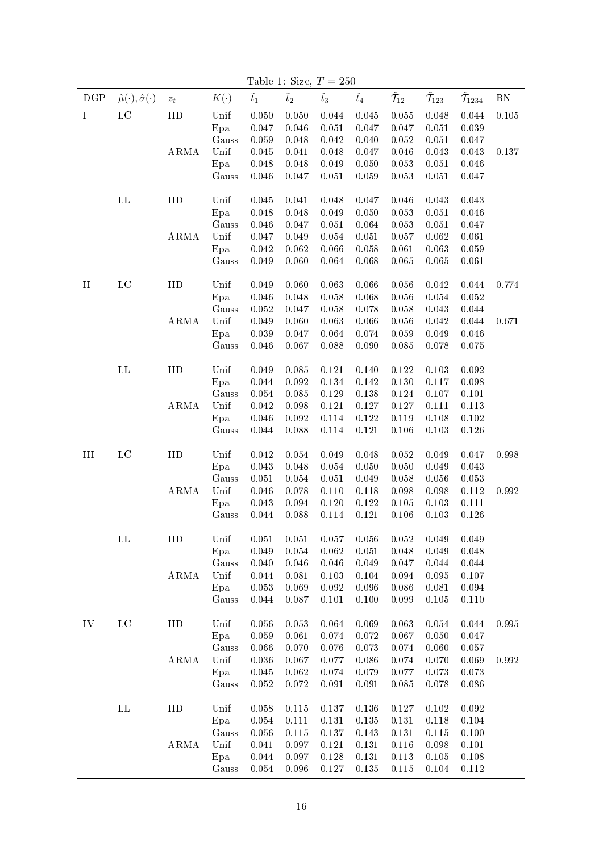|          |                                         |                    |                |               | rable 1. Size, $I = 200$ |               |               |                            |                     |                      |           |
|----------|-----------------------------------------|--------------------|----------------|---------------|--------------------------|---------------|---------------|----------------------------|---------------------|----------------------|-----------|
| DGP      | $\hat{\mu}(\cdot), \hat{\sigma}(\cdot)$ | $\boldsymbol{z}_t$ | $K(\cdot)$     | $\tilde{t}_1$ | $\tilde{t}_2$            | $\tilde{t}_3$ | $\tilde{t}_4$ | $\tilde{\mathcal{T}}_{12}$ | $\mathcal{T}_{123}$ | $\mathcal{T}_{1234}$ | <b>BN</b> |
| I        | $_{\rm LC}$                             | IID                | Unif           | 0.050         | 0.050                    | 0.044         | 0.045         | $0.055\,$                  | 0.048               | 0.044                | $0.105\,$ |
|          |                                         |                    | Epa            | 0.047         | 0.046                    | 0.051         | 0.047         | 0.047                      | 0.051               | 0.039                |           |
|          |                                         |                    | Gauss          | 0.059         | 0.048                    | 0.042         | 0.040         | 0.052                      | 0.051               | 0.047                |           |
|          |                                         | ARMA               | Unif           | $0.045\,$     | 0.041                    | 0.048         | 0.047         | 0.046                      | 0.043               | 0.043                | 0.137     |
|          |                                         |                    | Epa            | 0.048         | 0.048                    | 0.049         | 0.050         | 0.053                      | 0.051               | 0.046                |           |
|          |                                         |                    | Gauss          | 0.046         | 0.047                    | 0.051         | 0.059         | 0.053                      | 0.051               | 0.047                |           |
|          |                                         |                    |                |               |                          |               |               |                            |                     |                      |           |
|          | $\mathbf{L}\mathbf{L}$                  | IID                | Unif           | 0.045         | 0.041                    | 0.048         | 0.047         | 0.046                      | 0.043               | 0.043                |           |
|          |                                         |                    | Epa            | 0.048         | 0.048                    | 0.049         | 0.050         | 0.053                      | 0.051               | 0.046                |           |
|          |                                         |                    | Gauss          | 0.046         | 0.047                    | 0.051         | 0.064         | 0.053                      | 0.051               | 0.047                |           |
|          |                                         | ARMA               | Unif           | 0.047         | 0.049                    | 0.054         | 0.051         | 0.057                      | 0.062               | 0.061                |           |
|          |                                         |                    | Epa            | $\,0.042\,$   | 0.062                    | 0.066         | 0.058         | 0.061                      | 0.063               | 0.059                |           |
|          |                                         |                    | Gauss          | 0.049         | 0.060                    | 0.064         | 0.068         | 0.065                      | 0.065               | 0.061                |           |
| $\rm II$ | $_{\rm LC}$                             | IID                | Unif           | 0.049         | 0.060                    | 0.063         | 0.066         | 0.056                      | 0.042               | 0.044                | 0.774     |
|          |                                         |                    | Epa            | 0.046         | 0.048                    | 0.058         | 0.068         | 0.056                      | $\,0.054\,$         | 0.052                |           |
|          |                                         |                    | Gauss          | 0.052         | 0.047                    | 0.058         | 0.078         | 0.058                      | 0.043               | 0.044                |           |
|          |                                         | ARMA               | Unif           | 0.049         | 0.060                    | 0.063         | 0.066         | 0.056                      | $\,0.042\,$         | 0.044                | 0.671     |
|          |                                         |                    | Epa            | 0.039         | 0.047                    | 0.064         | 0.074         | 0.059                      | 0.049               | 0.046                |           |
|          |                                         |                    | Gauss          | 0.046         | 0.067                    | 0.088         | 0.090         | 0.085                      | 0.078               | 0.075                |           |
|          | $\mathbf{L}\mathbf{L}$                  | IID                | Unif           | 0.049         | 0.085                    | 0.121         | 0.140         | 0.122                      | 0.103               | 0.092                |           |
|          |                                         |                    | Epa            | 0.044         | $\,0.092\,$              | 0.134         | 0.142         | 0.130                      | 0.117               | 0.098                |           |
|          |                                         |                    |                | 0.054         | 0.085                    | 0.129         | 0.138         | 0.124                      | 0.107               | 0.101                |           |
|          |                                         | ARMA               | Gauss<br>Unif  | 0.042         | 0.098                    | 0.121         | 0.127         | 0.127                      | 0.111               | 0.113                |           |
|          |                                         |                    |                | 0.046         | $\,0.092\,$              | 0.114         | 0.122         | 0.119                      | 0.108               | 0.102                |           |
|          |                                         |                    | Epa            | $0.044\,$     | 0.088                    | 0.114         | 0.121         | 0.106                      | 0.103               |                      |           |
|          |                                         |                    | Gauss          |               |                          |               |               |                            |                     | 0.126                |           |
| III      | $_{\rm LC}$                             | IID                | Unif           | 0.042         | $0.054\,$                | 0.049         | 0.048         | 0.052                      | 0.049               | 0.047                | 0.998     |
|          |                                         |                    | Epa            | 0.043         | 0.048                    | 0.054         | 0.050         | 0.050                      | 0.049               | 0.043                |           |
|          |                                         |                    | Gauss          | 0.051         | 0.054                    | 0.051         | 0.049         | 0.058                      | 0.056               | 0.053                |           |
|          |                                         | <b>ARMA</b>        | Unif           | $0.046\,$     | 0.078                    | 0.110         | 0.118         | 0.098                      | 0.098               | 0.112                | 0.992     |
|          |                                         |                    | Epa            | 0.043         | 0.094                    | 0.120         | 0.122         | 0.105                      | 0.103               | 0.111                |           |
|          |                                         |                    | Gauss          | 0.044         | 0.088                    | 0.114         | 0.121         | 0.106                      | 0.103               | 0.126                |           |
|          | $\Gamma\Gamma$                          | IID                | $_{\rm{Unif}}$ | 0.051         | 0.051                    | 0.057         | 0.056         | 0.052                      | 0.049               | 0.049                |           |
|          |                                         |                    | Epa            | 0.049         | 0.054                    | 0.062         | 0.051         | 0.048                      | 0.049               | 0.048                |           |
|          |                                         |                    | Gauss          | 0.040         | 0.046                    | 0.046         | 0.049         | 0.047                      | 0.044               | 0.044                |           |
|          |                                         | ARMA               | Unif           | 0.044         | 0.081                    | 0.103         | 0.104         | 0.094                      | 0.095               | 0.107                |           |
|          |                                         |                    | Epa            | 0.053         | 0.069                    | 0.092         | 0.096         | 0.086                      | 0.081               | 0.094                |           |
|          |                                         |                    | Gauss          | 0.044         | 0.087                    | 0.101         | 0.100         | 0.099                      | 0.105               | 0.110                |           |
|          |                                         |                    |                |               |                          |               |               |                            |                     |                      |           |
| IV       | $_{\rm LC}$                             | IID                | Unif           | 0.056         | $0.053\,$                | 0.064         | 0.069         | 0.063                      | 0.054               | 0.044                | 0.995     |
|          |                                         |                    | Epa            | 0.059         | 0.061                    | 0.074         | 0.072         | 0.067                      | 0.050               | 0.047                |           |
|          |                                         |                    | Gauss          | 0.066         | 0.070                    | 0.076         | 0.073         | 0.074                      | 0.060               | 0.057                |           |
|          |                                         | ARMA               | Unif           | 0.036         | 0.067                    | 0.077         | 0.086         | 0.074                      | 0.070               | 0.069                | 0.992     |
|          |                                         |                    | Epa            | 0.045         | 0.062                    | 0.074         | 0.079         | 0.077                      | 0.073               | 0.073                |           |
|          |                                         |                    | Gauss          | 0.052         | 0.072                    | 0.091         | 0.091         | 0.085                      | 0.078               | 0.086                |           |
|          | $\mathbf{L}\mathbf{L}$                  | IID                | Unif           | 0.058         | 0.115                    | 0.137         | 0.136         | 0.127                      | 0.102               | 0.092                |           |
|          |                                         |                    |                |               |                          |               |               |                            |                     |                      |           |
|          |                                         |                    | Epa            | 0.054         | 0.111                    | 0.131         | 0.135         | 0.131                      | 0.118               | 0.104                |           |
|          |                                         |                    | Gauss          | 0.056         | 0.115                    | 0.137         | 0.143         | 0.131                      | 0.115               | 0.100                |           |
|          |                                         | ARMA               | Unif           | 0.041         | 0.097                    | 0.121         | 0.131         | 0.116                      | 0.098               | 0.101                |           |
|          |                                         |                    | Epa            | 0.044         | 0.097                    | 0.128         | 0.131         | 0.113                      | $0.105\,$           | 0.108                |           |
|          |                                         |                    | Gauss          | 0.054         | 0.096                    | 0.127         | 0.135         | 0.115                      | 0.104               | 0.112                |           |

<span id="page-16-0"></span>Table 1: Size,  $T = 250$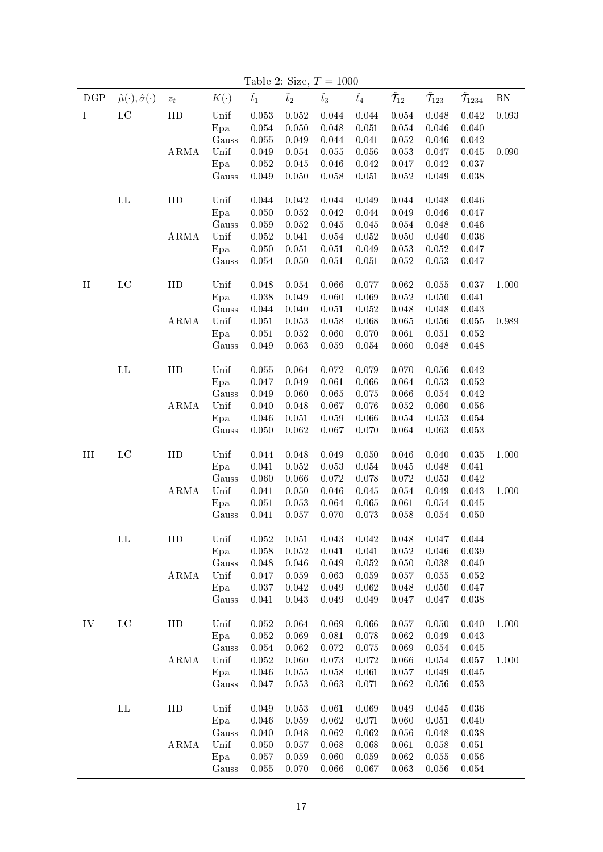|             |                                         |                    |              |                |                | rable 2. Size, $I = 1000$ |                |                            |                             |                              |            |
|-------------|-----------------------------------------|--------------------|--------------|----------------|----------------|---------------------------|----------------|----------------------------|-----------------------------|------------------------------|------------|
| DGP         | $\hat{\mu}(\cdot), \hat{\sigma}(\cdot)$ | $\boldsymbol{z}_t$ | $K(\cdot)$   | $\tilde{t}_1$  | $\tilde{t}_2$  | $\tilde{t}_3$             | $\tilde{t}_4$  | $\tilde{\mathcal{T}}_{12}$ | $\tilde{\mathcal{T}}_{123}$ | $\tilde{\mathcal{T}}_{1234}$ | ${\rm BN}$ |
| $\mathbf I$ | $_{\rm LC}$                             | ${\rm IID}$        | Unif         | 0.053          | $0.052\,$      | 0.044                     | 0.044          | $0.054\,$                  | 0.048                       | 0.042                        | 0.093      |
|             |                                         |                    | Epa          | $0.054\,$      | 0.050          | 0.048                     | 0.051          | $\,0.054\,$                | 0.046                       | 0.040                        |            |
|             |                                         |                    | Gauss        | 0.055          | 0.049          | 0.044                     | 0.041          | 0.052                      | 0.046                       | 0.042                        |            |
|             |                                         | ARMA               | Unif         | 0.049          | $0.054\,$      | $0.055\,$                 | $0.056\,$      | $0.053\,$                  | 0.047                       | $0.045\,$                    | 0.090      |
|             |                                         |                    | Epa          | 0.052          | $0.045\,$      | 0.046                     | 0.042          | 0.047                      | $\,0.042\,$                 | 0.037                        |            |
|             |                                         |                    | Gauss        | 0.049          | 0.050          | 0.058                     | 0.051          | 0.052                      | 0.049                       | $0.038\,$                    |            |
|             |                                         |                    |              |                |                |                           |                |                            |                             |                              |            |
|             | $\mathbf{L}\mathbf{L}$                  | IID                | Unif         | 0.044          | $0.042\,$      | 0.044                     | 0.049          | 0.044                      | 0.048                       | 0.046                        |            |
|             |                                         |                    | Epa          | 0.050          | $0.052\,$      | $\,0.042\,$               | 0.044          | 0.049                      | 0.046                       | 0.047                        |            |
|             |                                         |                    | Gauss        | 0.059          | 0.052          | 0.045                     | 0.045          | 0.054                      | 0.048                       | 0.046                        |            |
|             |                                         | ARMA               | Unif         | 0.052<br>0.050 | 0.041<br>0.051 | $0.054\,$<br>0.051        | 0.052<br>0.049 | 0.050<br>0.053             | 0.040<br>$\,0.052\,$        | 0.036<br>0.047               |            |
|             |                                         |                    | Epa<br>Gauss | 0.054          | 0.050          | 0.051                     | 0.051          | 0.052                      | 0.053                       | 0.047                        |            |
|             |                                         |                    |              |                |                |                           |                |                            |                             |                              |            |
| $\rm II$    | $_{\rm LC}$                             | ${\rm IID}$        | Unif         | 0.048          | 0.054          | 0.066                     | 0.077          | 0.062                      | 0.055                       | 0.037                        | 1.000      |
|             |                                         |                    | Epa          | 0.038          | 0.049          | 0.060                     | 0.069          | $\rm 0.052$                | 0.050                       | 0.041                        |            |
|             |                                         |                    | Gauss        | 0.044          | 0.040          | 0.051                     | 0.052          | 0.048                      | 0.048                       | 0.043                        |            |
|             |                                         | ARMA               | Unif         | 0.051          | 0.053          | 0.058                     | 0.068          | $0.065\,$                  | $\,0.056\,$                 | $0.055\,$                    | 0.989      |
|             |                                         |                    | Epa          | 0.051          | $0.052\,$      | 0.060                     | 0.070          | 0.061                      | 0.051                       | 0.052                        |            |
|             |                                         |                    | Gauss        | 0.049          | 0.063          | 0.059                     | $0.054\,$      | 0.060                      | 0.048                       | 0.048                        |            |
|             |                                         |                    |              |                |                |                           |                |                            |                             |                              |            |
|             | $\mathbf{L}\mathbf{L}$                  | IID                | Unif         | 0.055          | 0.064          | $0.072\,$                 | 0.079          | 0.070                      | 0.056                       | 0.042                        |            |
|             |                                         |                    | Epa          | 0.047          | 0.049          | 0.061                     | 0.066          | 0.064                      | 0.053                       | $0.052\,$                    |            |
|             |                                         |                    | Gauss        | 0.049          | 0.060          | 0.065                     | 0.075          | 0.066                      | $0.054\,$                   | 0.042                        |            |
|             |                                         | ARMA               | Unif         | 0.040          | 0.048          | 0.067                     | 0.076          | $\,0.052\,$                | 0.060                       | $0.056\,$                    |            |
|             |                                         |                    | Epa          | 0.046          | 0.051          | 0.059                     | 0.066          | $0.054\,$                  | 0.053                       | $0.054\,$                    |            |
|             |                                         |                    | Gauss        | 0.050          | 0.062          | 0.067                     | 0.070          | 0.064                      | 0.063                       | 0.053                        |            |
| $\rm III$   | $_{\rm LC}$                             | IID                | Unif         | 0.044          | 0.048          | 0.049                     | 0.050          | 0.046                      | 0.040                       | $0.035\,$                    | 1.000      |
|             |                                         |                    | Epa          | 0.041          | 0.052          | 0.053                     | 0.054          | 0.045                      | 0.048                       | 0.041                        |            |
|             |                                         |                    | Gauss        | 0.060          | 0.066          | 0.072                     | 0.078          | 0.072                      | 0.053                       | 0.042                        |            |
|             |                                         | ARMA               | Unif         | 0.041          | 0.050          | 0.046                     | 0.045          | $0.054\,$                  | 0.049                       | 0.043                        | 1.000      |
|             |                                         |                    | Epa          | 0.051          | 0.053          | 0.064                     | 0.065          | 0.061                      | $\,0.054\,$                 | $0.045\,$                    |            |
|             |                                         |                    | Gauss        | 0.041          | 0.057          | 0.070                     | 0.073          | 0.058                      | $\,0.054\,$                 | 0.050                        |            |
|             |                                         |                    |              |                |                |                           |                |                            |                             |                              |            |
|             | $\Gamma\Gamma$                          | $_{\rm IID}$       | Unif         | 0.052          | 0.051          | 0.043                     | 0.042          | 0.048                      | 0.047                       | 0.044                        |            |
|             |                                         |                    | Epa          | 0.058          | 0.052          | 0.041                     | 0.041          | 0.052                      | 0.046                       | 0.039                        |            |
|             |                                         |                    | Gauss        | 0.048          | 0.046          | 0.049                     | 0.052          | 0.050                      | 0.038                       | 0.040                        |            |
|             |                                         | ARMA               | Unif         | 0.047          | 0.059          | 0.063                     | 0.059          | 0.057                      | 0.055                       | 0.052                        |            |
|             |                                         |                    | Epa          | 0.037          | $0.042\,$      | 0.049                     | 0.062          | 0.048                      | 0.050                       | 0.047                        |            |
|             |                                         |                    | Gauss        | 0.041          | 0.043          | 0.049                     | 0.049          | 0.047                      | 0.047                       | 0.038                        |            |
| IV          | $_{\rm LC}$                             | IID                | Unif         | 0.052          | 0.064          | 0.069                     | 0.066          | 0.057                      | 0.050                       | 0.040                        | 1.000      |
|             |                                         |                    | Epa          | 0.052          | 0.069          | 0.081                     | 0.078          | 0.062                      | 0.049                       | 0.043                        |            |
|             |                                         |                    | Gauss        | 0.054          | 0.062          | 0.072                     | 0.075          | 0.069                      | 0.054                       | 0.045                        |            |
|             |                                         | ARMA               | Unif         | 0.052          | 0.060          | 0.073                     | 0.072          | 0.066                      | 0.054                       | 0.057                        | 1.000      |
|             |                                         |                    | Epa          | 0.046          | $0.055\,$      | 0.058                     | 0.061          | 0.057                      | 0.049                       | $0.045\,$                    |            |
|             |                                         |                    | Gauss        | 0.047          | 0.053          | 0.063                     | 0.071          | 0.062                      | 0.056                       | 0.053                        |            |
|             |                                         |                    |              |                |                |                           |                |                            |                             |                              |            |
|             | $\mathbf{L}\mathbf{L}$                  | IID                | Unif         | 0.049          | 0.053          | 0.061                     | 0.069          | 0.049                      | 0.045                       | 0.036                        |            |
|             |                                         |                    | Epa          | 0.046          | 0.059          | 0.062                     | 0.071          | 0.060                      | 0.051                       | 0.040                        |            |
|             |                                         |                    | Gauss        | 0.040          | 0.048          | 0.062                     | 0.062          | 0.056                      | 0.048                       | 0.038                        |            |
|             |                                         | ARMA               | Unif         | 0.050          | 0.057          | 0.068                     | 0.068          | 0.061                      | 0.058                       | 0.051                        |            |
|             |                                         |                    |              |                |                |                           |                |                            |                             |                              |            |
|             |                                         |                    | Epa<br>Gauss | 0.057<br>0.055 | 0.059<br>0.070 | 0.060<br>0.066            | 0.059<br>0.067 | $0.062\,$<br>0.063         | 0.055<br>0.056              | 0.056<br>0.054               |            |

<span id="page-17-0"></span>Table 2: Size,  $T = 1000$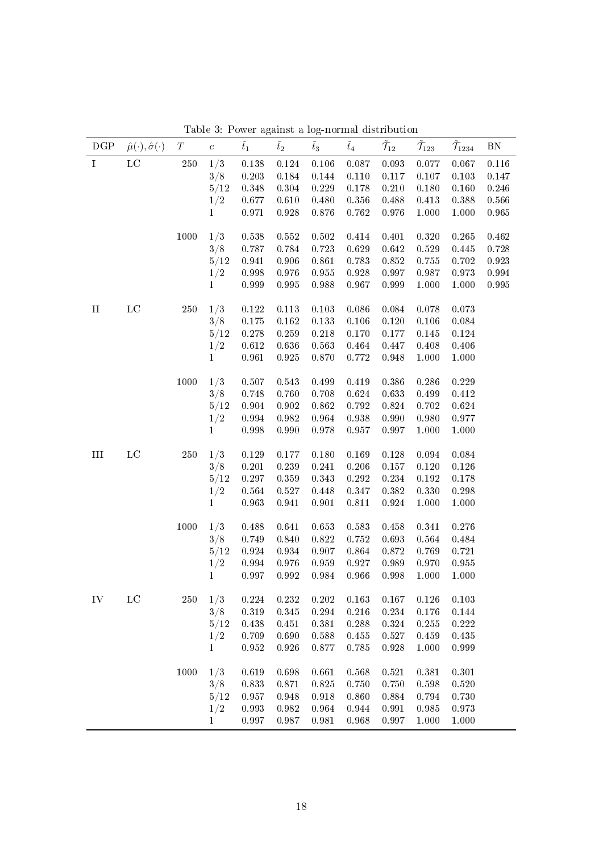| $\overline{\tilde{\mathcal{T}}_{123}}$<br>$\overline{\tilde{\mathcal{T}}}_{1234}$<br>1/3<br>$_{\rm LC}$<br>$250\,$<br>0.093<br>$\mathbf I$<br>0.138<br>$0.124\,$<br>0.106<br>0.087<br>0.077<br>0.067<br>0.116<br>3/8<br>0.203<br>0.117<br>0.107<br>0.103<br>0.147<br>0.184<br>0.144<br>0.110<br>5/12<br>0.348<br>0.229<br>0.178<br>0.210<br>$0.180\,$<br>0.160<br>0.246<br>0.304<br>1/2<br>0.677<br>0.610<br>$0.480\,$<br>$0.356\,$<br>0.488<br>$0.413\,$<br>$0.388\,$<br>0.566<br>0.971<br>0.928<br>$0.876\,$<br>0.762<br>0.976<br>1.000<br>1.000<br>0.965<br>$\mathbf{1}$<br>1/3<br>1000<br>0.538<br>$0.320\,$<br>0.462<br>0.552<br>0.502<br>0.414<br>0.401<br>0.265<br>3/8<br>0.787<br>0.784<br>0.723<br>0.629<br>0.642<br>0.529<br>0.445<br>0.728<br>5/12<br>0.861<br>0.783<br>$0.852\,$<br>$0.755\,$<br>0.702<br>0.923<br>0.941<br>0.906<br>0.998<br>0.976<br>$\rm 0.955$<br>$0.928\,$<br>0.997<br>0.987<br>$\rm 0.994$<br>1/2<br>0.973<br>0.999<br>$\rm 0.995$<br>$\rm 0.988$<br>0.967<br>0.999<br>1.000<br>1.000<br>$\rm 0.995$<br>$\mathbf{1}$<br>$_{\rm LC}$<br>250<br>1/3<br>0.122<br>0.086<br>0.084<br>$\rm II$<br>0.113<br>0.103<br>0.078<br>0.073<br>3/8<br>0.175<br>0.162<br>0.133<br>0.106<br>0.120<br>0.106<br>0.084 |
|--------------------------------------------------------------------------------------------------------------------------------------------------------------------------------------------------------------------------------------------------------------------------------------------------------------------------------------------------------------------------------------------------------------------------------------------------------------------------------------------------------------------------------------------------------------------------------------------------------------------------------------------------------------------------------------------------------------------------------------------------------------------------------------------------------------------------------------------------------------------------------------------------------------------------------------------------------------------------------------------------------------------------------------------------------------------------------------------------------------------------------------------------------------------------------------------------------------------------------------|
|                                                                                                                                                                                                                                                                                                                                                                                                                                                                                                                                                                                                                                                                                                                                                                                                                                                                                                                                                                                                                                                                                                                                                                                                                                      |
|                                                                                                                                                                                                                                                                                                                                                                                                                                                                                                                                                                                                                                                                                                                                                                                                                                                                                                                                                                                                                                                                                                                                                                                                                                      |
|                                                                                                                                                                                                                                                                                                                                                                                                                                                                                                                                                                                                                                                                                                                                                                                                                                                                                                                                                                                                                                                                                                                                                                                                                                      |
|                                                                                                                                                                                                                                                                                                                                                                                                                                                                                                                                                                                                                                                                                                                                                                                                                                                                                                                                                                                                                                                                                                                                                                                                                                      |
|                                                                                                                                                                                                                                                                                                                                                                                                                                                                                                                                                                                                                                                                                                                                                                                                                                                                                                                                                                                                                                                                                                                                                                                                                                      |
|                                                                                                                                                                                                                                                                                                                                                                                                                                                                                                                                                                                                                                                                                                                                                                                                                                                                                                                                                                                                                                                                                                                                                                                                                                      |
|                                                                                                                                                                                                                                                                                                                                                                                                                                                                                                                                                                                                                                                                                                                                                                                                                                                                                                                                                                                                                                                                                                                                                                                                                                      |
|                                                                                                                                                                                                                                                                                                                                                                                                                                                                                                                                                                                                                                                                                                                                                                                                                                                                                                                                                                                                                                                                                                                                                                                                                                      |
|                                                                                                                                                                                                                                                                                                                                                                                                                                                                                                                                                                                                                                                                                                                                                                                                                                                                                                                                                                                                                                                                                                                                                                                                                                      |
|                                                                                                                                                                                                                                                                                                                                                                                                                                                                                                                                                                                                                                                                                                                                                                                                                                                                                                                                                                                                                                                                                                                                                                                                                                      |
|                                                                                                                                                                                                                                                                                                                                                                                                                                                                                                                                                                                                                                                                                                                                                                                                                                                                                                                                                                                                                                                                                                                                                                                                                                      |
|                                                                                                                                                                                                                                                                                                                                                                                                                                                                                                                                                                                                                                                                                                                                                                                                                                                                                                                                                                                                                                                                                                                                                                                                                                      |
| 5/12<br>0.278<br>0.259<br>0.218<br>0.170<br>0.177<br>0.145<br>0.124                                                                                                                                                                                                                                                                                                                                                                                                                                                                                                                                                                                                                                                                                                                                                                                                                                                                                                                                                                                                                                                                                                                                                                  |
| 1/2<br>0.612<br>0.636<br>0.563<br>0.464<br>0.447<br>$0.408\,$<br>0.406                                                                                                                                                                                                                                                                                                                                                                                                                                                                                                                                                                                                                                                                                                                                                                                                                                                                                                                                                                                                                                                                                                                                                               |
| 0.961<br>$\rm 0.925$<br>0.870<br>$0.772\,$<br>0.948<br>1.000<br>$\mathbf{1}$<br>1.000                                                                                                                                                                                                                                                                                                                                                                                                                                                                                                                                                                                                                                                                                                                                                                                                                                                                                                                                                                                                                                                                                                                                                |
| 1000<br>1/3<br>$0.543\,$<br>$0.499\,$<br>0.419<br>$0.386\,$<br>$0.286\,$<br>0.229<br>0.507                                                                                                                                                                                                                                                                                                                                                                                                                                                                                                                                                                                                                                                                                                                                                                                                                                                                                                                                                                                                                                                                                                                                           |
| $0.624\,$<br>0.633<br>3/8<br>0.748<br>0.760<br>0.708<br>0.499<br>0.412                                                                                                                                                                                                                                                                                                                                                                                                                                                                                                                                                                                                                                                                                                                                                                                                                                                                                                                                                                                                                                                                                                                                                               |
| 5/12<br>0.904<br>$0.902\,$<br>0.862<br>0.792<br>$0.824\,$<br>0.702<br>0.624                                                                                                                                                                                                                                                                                                                                                                                                                                                                                                                                                                                                                                                                                                                                                                                                                                                                                                                                                                                                                                                                                                                                                          |
| 0.994<br>$\rm 0.982$<br>0.964<br>0.938<br>0.990<br>$0.980\,$<br>0.977<br>1/2                                                                                                                                                                                                                                                                                                                                                                                                                                                                                                                                                                                                                                                                                                                                                                                                                                                                                                                                                                                                                                                                                                                                                         |
| $0.998\,$<br>0.990<br>0.978<br>0.957<br>0.997<br>1.000<br>1.000<br>1                                                                                                                                                                                                                                                                                                                                                                                                                                                                                                                                                                                                                                                                                                                                                                                                                                                                                                                                                                                                                                                                                                                                                                 |
| $_{\rm LC}$<br>250<br>1/3<br>$0.129\,$<br>$0.169\,$<br>0.128<br>$\,0.094\,$<br>III<br>0.177<br>0.180<br>0.084                                                                                                                                                                                                                                                                                                                                                                                                                                                                                                                                                                                                                                                                                                                                                                                                                                                                                                                                                                                                                                                                                                                        |
| 3/8<br>0.201<br>0.239<br>0.241<br>0.206<br>0.157<br>0.120<br>0.126                                                                                                                                                                                                                                                                                                                                                                                                                                                                                                                                                                                                                                                                                                                                                                                                                                                                                                                                                                                                                                                                                                                                                                   |
| 5/12<br>0.297<br>$0.359\,$<br>$0.343\,$<br>$0.292\,$<br>0.234<br>$0.192\,$<br>0.178                                                                                                                                                                                                                                                                                                                                                                                                                                                                                                                                                                                                                                                                                                                                                                                                                                                                                                                                                                                                                                                                                                                                                  |
| 0.564<br>0.527<br>$0.448\,$<br>0.347<br>$0.382\,$<br>$0.330\,$<br>0.298<br>1/2                                                                                                                                                                                                                                                                                                                                                                                                                                                                                                                                                                                                                                                                                                                                                                                                                                                                                                                                                                                                                                                                                                                                                       |
| 0.963<br>0.941<br>0.901<br>0.811<br>$\bf 0.924$<br>1.000<br>1.000<br>1                                                                                                                                                                                                                                                                                                                                                                                                                                                                                                                                                                                                                                                                                                                                                                                                                                                                                                                                                                                                                                                                                                                                                               |
| 1000<br>1/3<br>0.488<br>0.583<br>0.641<br>0.653<br>0.458<br>0.341<br>0.276                                                                                                                                                                                                                                                                                                                                                                                                                                                                                                                                                                                                                                                                                                                                                                                                                                                                                                                                                                                                                                                                                                                                                           |
| 0.749<br>0.840<br>0.822<br>$0.752\,$<br>0.693<br>0.564<br>0.484<br>3/8                                                                                                                                                                                                                                                                                                                                                                                                                                                                                                                                                                                                                                                                                                                                                                                                                                                                                                                                                                                                                                                                                                                                                               |
| 5/12<br>0.924<br>$\rm 0.934$<br>0.907<br>0.864<br>$0.872\,$<br>0.769<br>0.721                                                                                                                                                                                                                                                                                                                                                                                                                                                                                                                                                                                                                                                                                                                                                                                                                                                                                                                                                                                                                                                                                                                                                        |
| $\,0.994\,$<br>$0.976\,$<br>$\rm 0.959$<br>$0.927\,$<br>0.989<br>0.970<br>1/2<br>0.955                                                                                                                                                                                                                                                                                                                                                                                                                                                                                                                                                                                                                                                                                                                                                                                                                                                                                                                                                                                                                                                                                                                                               |
| 0.997<br>$\,0.992\,$<br>0.984<br>0.966<br>0.998<br>1.000<br>$\mathbf{1}$<br>1.000                                                                                                                                                                                                                                                                                                                                                                                                                                                                                                                                                                                                                                                                                                                                                                                                                                                                                                                                                                                                                                                                                                                                                    |
| $_{\rm LC}$<br>250<br>1/3<br>IV<br>0.224<br>0.232<br>0.202<br>0.163<br>0.167<br>0.126<br>0.103                                                                                                                                                                                                                                                                                                                                                                                                                                                                                                                                                                                                                                                                                                                                                                                                                                                                                                                                                                                                                                                                                                                                       |
| 3/8<br>0.319<br>0.216<br>0.345<br>0.294<br>0.234<br>0.176<br>0.144                                                                                                                                                                                                                                                                                                                                                                                                                                                                                                                                                                                                                                                                                                                                                                                                                                                                                                                                                                                                                                                                                                                                                                   |
| 5/12<br>0.288<br>0.438<br>0.451<br>0.381<br>0.324<br>0.255<br>0.222                                                                                                                                                                                                                                                                                                                                                                                                                                                                                                                                                                                                                                                                                                                                                                                                                                                                                                                                                                                                                                                                                                                                                                  |
| 1/2<br>0.709<br>0.690<br>0.588<br>0.455<br>0.527<br>0.459<br>0.435                                                                                                                                                                                                                                                                                                                                                                                                                                                                                                                                                                                                                                                                                                                                                                                                                                                                                                                                                                                                                                                                                                                                                                   |
| $\mathbf{1}$<br>0.952<br>0.926<br>0.877<br>0.785<br>0.928<br>1.000<br>0.999                                                                                                                                                                                                                                                                                                                                                                                                                                                                                                                                                                                                                                                                                                                                                                                                                                                                                                                                                                                                                                                                                                                                                          |
| 1/3<br>1000<br>0.619<br>0.698<br>0.661<br>0.568<br>0.521<br>0.381<br>0.301                                                                                                                                                                                                                                                                                                                                                                                                                                                                                                                                                                                                                                                                                                                                                                                                                                                                                                                                                                                                                                                                                                                                                           |
| 3/8<br>0.833<br>0.871<br>0.825<br>0.750<br>0.750<br>0.598<br>0.520                                                                                                                                                                                                                                                                                                                                                                                                                                                                                                                                                                                                                                                                                                                                                                                                                                                                                                                                                                                                                                                                                                                                                                   |
| 5/12<br>0.957<br>0.948<br>0.918<br>0.860<br>0.884<br>0.794<br>0.730                                                                                                                                                                                                                                                                                                                                                                                                                                                                                                                                                                                                                                                                                                                                                                                                                                                                                                                                                                                                                                                                                                                                                                  |
| 1/2<br>0.993<br>$\rm 0.982$<br>0.944<br>$\rm 0.985$<br>0.964<br>0.991<br>0.973                                                                                                                                                                                                                                                                                                                                                                                                                                                                                                                                                                                                                                                                                                                                                                                                                                                                                                                                                                                                                                                                                                                                                       |
| $\mathbf{1}$<br>0.997<br>0.987<br>0.981<br>0.968<br>0.997<br>1.000<br>1.000                                                                                                                                                                                                                                                                                                                                                                                                                                                                                                                                                                                                                                                                                                                                                                                                                                                                                                                                                                                                                                                                                                                                                          |

<span id="page-18-0"></span>Table 3: Power against a log-normal distribution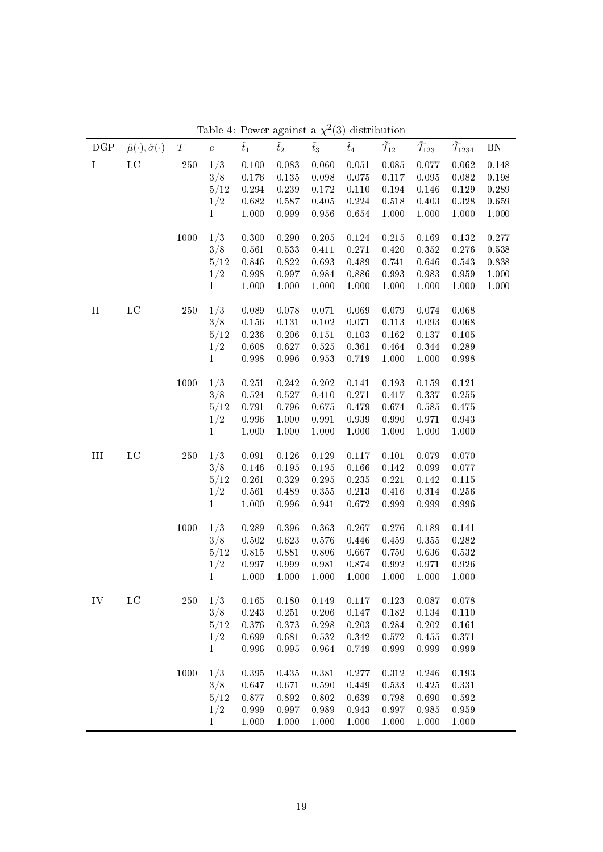| $_{\rm LC}$<br>$250\,$<br>1/3<br>$\,0.085\,$<br>0.077<br>0.062<br>$\mathbf I$<br>0.100<br>0.083<br>0.060<br>$0.051\,$<br>0.148<br>3/8<br>0.098<br>0.075<br>$0.095\,$<br>$\,0.082\,$<br>$0.198\,$<br>0.176<br>0.135<br>0.117<br>5/12<br>0.294<br>0.239<br>0.172<br>0.110<br>$0.194\,$<br>0.146<br>0.129<br>0.289<br>1/2<br>0.682<br>0.587<br>$0.405\,$<br>0.224<br>$0.518\,$<br>0.403<br>0.328<br>0.659<br>1.000<br>0.999<br>$0.956\,$<br>0.654<br>1.000<br>1.000<br>$1.000\,$<br>1.000<br>$\mathbf{1}$<br>1000<br>1/3<br>0.300<br>0.290<br>0.205<br>$0.124\,$<br>0.215<br>0.277<br>0.169<br>0.132<br>3/8<br>$\,0.561\,$<br>0.533<br>0.271<br>0.420<br>$0.352\,$<br>0.276<br>0.538<br>0.411<br>5/12<br>$0.846\,$<br>0.822<br>0.693<br>$0.489\,$<br>0.741<br>0.838<br>0.646<br>0.543<br>1/2<br>0.998<br>0.997<br>$\bf 0.984$<br>$0.886\,$<br>$\rm 0.993$<br>$\rm 0.983$<br>0.959<br>1.000<br>1.000<br>1.000<br>1.000<br>1.000<br>1.000<br>1.000<br>$1.000\,$<br>1.000<br>$\mathbf{1}$<br>$_{\rm LC}$<br>250<br>1/3<br>0.089<br>0.078<br>0.071<br>0.069<br>0.079<br>0.068<br>$\rm II$<br>0.074<br>3/8<br>$0.102\,$<br>0.071<br>0.093<br>0.068<br>0.156<br>0.131<br>0.113<br>5/12<br>0.103<br>0.105<br>0.236<br>0.206<br>0.151<br>0.162<br>0.137<br>1/2<br>0.608<br>0.627<br>$0.525\,$<br>$0.361\,$<br>$0.464\,$<br>$0.344\,$<br>0.289<br>$0.998\,$<br>0.996<br>$\rm 0.953$<br>0.719<br>1.000<br>1.000<br>$0.998\,$<br>$\mathbf{1}$<br>1000<br>1/3<br>0.242<br>0.202<br>$0.141\,$<br>0.193<br>$0.159\,$<br>0.121<br>0.251<br>3/8<br>0.527<br>0.271<br>0.417<br>0.337<br>0.255<br>0.524<br>0.410<br>5/12<br>0.791<br>0.796<br>0.675<br>0.479<br>0.674<br>0.585<br>0.475<br>1/2<br>$0.996\,$<br>1.000<br>$\rm 0.991$<br>$0.939\,$<br>$0.990\,$<br>0.971<br>0.943<br>1.000<br>$1.000\,$<br>1.000<br>1.000<br>1.000<br>1.000<br>1.000<br>$\mathbf{1}$<br>$_{\rm LC}$<br>250<br>1/3<br>0.126<br>$0.129\,$<br>0.117<br>0.079<br>III<br>0.091<br>0.101<br>0.070<br>3/8<br>0.166<br>0.142<br>0.099<br>0.077<br>0.146<br>0.195<br>0.195<br>5/12<br>$0.235\,$<br>0.115<br>0.261<br>0.329<br>0.295<br>0.221<br>0.142<br>1/2<br>0.561<br>$0.489\,$<br>$0.355\,$<br>0.213<br>$0.416\,$<br>$0.314\,$<br>0.256<br>1.000<br>$0.996\,$<br>0.941<br>0.672<br>$\rm 0.999$<br>$0.999\,$<br>0.996<br>$\mathbf{1}$<br>1000<br>1/3<br>0.396<br>0.363<br>0.267<br>0.276<br>0.189<br>0.141<br>0.289<br>0.623<br>0.576<br>$\rm 0.282$<br>3/8<br>0.502<br>0.446<br>0.459<br>0.355<br>5/12<br>0.815<br>0.881<br>0.806<br>0.667<br>0.750<br>0.636<br>0.532<br>0.981<br>1/2<br>0.997<br>0.999<br>0.874<br>0.992<br>0.971<br>0.926<br>1.000<br>1.000<br>1.000<br>$\mathbf{1}$<br>1.000<br>1.000<br>1.000<br>1.000<br>$_{\rm LC}$<br>250<br>1/3<br>0.165<br>0.180<br>0.149<br>0.117<br>0.123<br>0.087<br>0.078<br>IV<br>3/8<br>0.243<br>0.251<br>0.206<br>0.147<br>0.182<br>0.134<br>0.110<br>0.373<br>5/12<br>0.376<br>0.298<br>0.203<br>0.284<br>0.202<br>0.161<br>0.699<br>0.681<br>0.532<br>1/2<br>0.342<br>0.572<br>0.455<br>0.371<br>0.996<br>0.995<br>0.964<br>0.749<br>0.999<br>0.999<br>0.999<br>$\mathbf{1}$<br>1/3<br>1000<br>$0.395\,$<br>0.381<br>0.277<br>$0.312\,$<br>0.246<br>0.193<br>0.435<br>3/8<br>0.533<br>0.331<br>0.647<br>0.671<br>0.590<br>0.449<br>0.425 | DGP | $\hat{\mu}(\cdot), \hat{\sigma}(\cdot)$ | T | $\boldsymbol{c}$ | $\tilde{t}_1$ | rable 4. Tower against a $\chi$ (9)-distribution<br>$\tilde{t}_2$ | $\tilde{t}_3$ | $\tilde{t}_4$ | $\tilde{\mathcal{T}}_{12}$ | $\tilde{\mathcal{T}}_{123}$ | $\tilde{\mathcal{T}}_{1234}$ | BN |
|------------------------------------------------------------------------------------------------------------------------------------------------------------------------------------------------------------------------------------------------------------------------------------------------------------------------------------------------------------------------------------------------------------------------------------------------------------------------------------------------------------------------------------------------------------------------------------------------------------------------------------------------------------------------------------------------------------------------------------------------------------------------------------------------------------------------------------------------------------------------------------------------------------------------------------------------------------------------------------------------------------------------------------------------------------------------------------------------------------------------------------------------------------------------------------------------------------------------------------------------------------------------------------------------------------------------------------------------------------------------------------------------------------------------------------------------------------------------------------------------------------------------------------------------------------------------------------------------------------------------------------------------------------------------------------------------------------------------------------------------------------------------------------------------------------------------------------------------------------------------------------------------------------------------------------------------------------------------------------------------------------------------------------------------------------------------------------------------------------------------------------------------------------------------------------------------------------------------------------------------------------------------------------------------------------------------------------------------------------------------------------------------------------------------------------------------------------------------------------------------------------------------------------------------------------------------------------------------------------------------------------------------------------------------------------------------------------------------------------------------------------------------------------------------------------------------------------------------------------------------------------------------------------------------------------------------------------------------------------------------------------------------------------------------------------------------------------------------------------------------------------------------------------------------------------------------------------------------------------------------|-----|-----------------------------------------|---|------------------|---------------|-------------------------------------------------------------------|---------------|---------------|----------------------------|-----------------------------|------------------------------|----|
|                                                                                                                                                                                                                                                                                                                                                                                                                                                                                                                                                                                                                                                                                                                                                                                                                                                                                                                                                                                                                                                                                                                                                                                                                                                                                                                                                                                                                                                                                                                                                                                                                                                                                                                                                                                                                                                                                                                                                                                                                                                                                                                                                                                                                                                                                                                                                                                                                                                                                                                                                                                                                                                                                                                                                                                                                                                                                                                                                                                                                                                                                                                                                                                                                                                |     |                                         |   |                  |               |                                                                   |               |               |                            |                             |                              |    |
|                                                                                                                                                                                                                                                                                                                                                                                                                                                                                                                                                                                                                                                                                                                                                                                                                                                                                                                                                                                                                                                                                                                                                                                                                                                                                                                                                                                                                                                                                                                                                                                                                                                                                                                                                                                                                                                                                                                                                                                                                                                                                                                                                                                                                                                                                                                                                                                                                                                                                                                                                                                                                                                                                                                                                                                                                                                                                                                                                                                                                                                                                                                                                                                                                                                |     |                                         |   |                  |               |                                                                   |               |               |                            |                             |                              |    |
|                                                                                                                                                                                                                                                                                                                                                                                                                                                                                                                                                                                                                                                                                                                                                                                                                                                                                                                                                                                                                                                                                                                                                                                                                                                                                                                                                                                                                                                                                                                                                                                                                                                                                                                                                                                                                                                                                                                                                                                                                                                                                                                                                                                                                                                                                                                                                                                                                                                                                                                                                                                                                                                                                                                                                                                                                                                                                                                                                                                                                                                                                                                                                                                                                                                |     |                                         |   |                  |               |                                                                   |               |               |                            |                             |                              |    |
|                                                                                                                                                                                                                                                                                                                                                                                                                                                                                                                                                                                                                                                                                                                                                                                                                                                                                                                                                                                                                                                                                                                                                                                                                                                                                                                                                                                                                                                                                                                                                                                                                                                                                                                                                                                                                                                                                                                                                                                                                                                                                                                                                                                                                                                                                                                                                                                                                                                                                                                                                                                                                                                                                                                                                                                                                                                                                                                                                                                                                                                                                                                                                                                                                                                |     |                                         |   |                  |               |                                                                   |               |               |                            |                             |                              |    |
|                                                                                                                                                                                                                                                                                                                                                                                                                                                                                                                                                                                                                                                                                                                                                                                                                                                                                                                                                                                                                                                                                                                                                                                                                                                                                                                                                                                                                                                                                                                                                                                                                                                                                                                                                                                                                                                                                                                                                                                                                                                                                                                                                                                                                                                                                                                                                                                                                                                                                                                                                                                                                                                                                                                                                                                                                                                                                                                                                                                                                                                                                                                                                                                                                                                |     |                                         |   |                  |               |                                                                   |               |               |                            |                             |                              |    |
|                                                                                                                                                                                                                                                                                                                                                                                                                                                                                                                                                                                                                                                                                                                                                                                                                                                                                                                                                                                                                                                                                                                                                                                                                                                                                                                                                                                                                                                                                                                                                                                                                                                                                                                                                                                                                                                                                                                                                                                                                                                                                                                                                                                                                                                                                                                                                                                                                                                                                                                                                                                                                                                                                                                                                                                                                                                                                                                                                                                                                                                                                                                                                                                                                                                |     |                                         |   |                  |               |                                                                   |               |               |                            |                             |                              |    |
|                                                                                                                                                                                                                                                                                                                                                                                                                                                                                                                                                                                                                                                                                                                                                                                                                                                                                                                                                                                                                                                                                                                                                                                                                                                                                                                                                                                                                                                                                                                                                                                                                                                                                                                                                                                                                                                                                                                                                                                                                                                                                                                                                                                                                                                                                                                                                                                                                                                                                                                                                                                                                                                                                                                                                                                                                                                                                                                                                                                                                                                                                                                                                                                                                                                |     |                                         |   |                  |               |                                                                   |               |               |                            |                             |                              |    |
|                                                                                                                                                                                                                                                                                                                                                                                                                                                                                                                                                                                                                                                                                                                                                                                                                                                                                                                                                                                                                                                                                                                                                                                                                                                                                                                                                                                                                                                                                                                                                                                                                                                                                                                                                                                                                                                                                                                                                                                                                                                                                                                                                                                                                                                                                                                                                                                                                                                                                                                                                                                                                                                                                                                                                                                                                                                                                                                                                                                                                                                                                                                                                                                                                                                |     |                                         |   |                  |               |                                                                   |               |               |                            |                             |                              |    |
|                                                                                                                                                                                                                                                                                                                                                                                                                                                                                                                                                                                                                                                                                                                                                                                                                                                                                                                                                                                                                                                                                                                                                                                                                                                                                                                                                                                                                                                                                                                                                                                                                                                                                                                                                                                                                                                                                                                                                                                                                                                                                                                                                                                                                                                                                                                                                                                                                                                                                                                                                                                                                                                                                                                                                                                                                                                                                                                                                                                                                                                                                                                                                                                                                                                |     |                                         |   |                  |               |                                                                   |               |               |                            |                             |                              |    |
|                                                                                                                                                                                                                                                                                                                                                                                                                                                                                                                                                                                                                                                                                                                                                                                                                                                                                                                                                                                                                                                                                                                                                                                                                                                                                                                                                                                                                                                                                                                                                                                                                                                                                                                                                                                                                                                                                                                                                                                                                                                                                                                                                                                                                                                                                                                                                                                                                                                                                                                                                                                                                                                                                                                                                                                                                                                                                                                                                                                                                                                                                                                                                                                                                                                |     |                                         |   |                  |               |                                                                   |               |               |                            |                             |                              |    |
|                                                                                                                                                                                                                                                                                                                                                                                                                                                                                                                                                                                                                                                                                                                                                                                                                                                                                                                                                                                                                                                                                                                                                                                                                                                                                                                                                                                                                                                                                                                                                                                                                                                                                                                                                                                                                                                                                                                                                                                                                                                                                                                                                                                                                                                                                                                                                                                                                                                                                                                                                                                                                                                                                                                                                                                                                                                                                                                                                                                                                                                                                                                                                                                                                                                |     |                                         |   |                  |               |                                                                   |               |               |                            |                             |                              |    |
|                                                                                                                                                                                                                                                                                                                                                                                                                                                                                                                                                                                                                                                                                                                                                                                                                                                                                                                                                                                                                                                                                                                                                                                                                                                                                                                                                                                                                                                                                                                                                                                                                                                                                                                                                                                                                                                                                                                                                                                                                                                                                                                                                                                                                                                                                                                                                                                                                                                                                                                                                                                                                                                                                                                                                                                                                                                                                                                                                                                                                                                                                                                                                                                                                                                |     |                                         |   |                  |               |                                                                   |               |               |                            |                             |                              |    |
|                                                                                                                                                                                                                                                                                                                                                                                                                                                                                                                                                                                                                                                                                                                                                                                                                                                                                                                                                                                                                                                                                                                                                                                                                                                                                                                                                                                                                                                                                                                                                                                                                                                                                                                                                                                                                                                                                                                                                                                                                                                                                                                                                                                                                                                                                                                                                                                                                                                                                                                                                                                                                                                                                                                                                                                                                                                                                                                                                                                                                                                                                                                                                                                                                                                |     |                                         |   |                  |               |                                                                   |               |               |                            |                             |                              |    |
|                                                                                                                                                                                                                                                                                                                                                                                                                                                                                                                                                                                                                                                                                                                                                                                                                                                                                                                                                                                                                                                                                                                                                                                                                                                                                                                                                                                                                                                                                                                                                                                                                                                                                                                                                                                                                                                                                                                                                                                                                                                                                                                                                                                                                                                                                                                                                                                                                                                                                                                                                                                                                                                                                                                                                                                                                                                                                                                                                                                                                                                                                                                                                                                                                                                |     |                                         |   |                  |               |                                                                   |               |               |                            |                             |                              |    |
|                                                                                                                                                                                                                                                                                                                                                                                                                                                                                                                                                                                                                                                                                                                                                                                                                                                                                                                                                                                                                                                                                                                                                                                                                                                                                                                                                                                                                                                                                                                                                                                                                                                                                                                                                                                                                                                                                                                                                                                                                                                                                                                                                                                                                                                                                                                                                                                                                                                                                                                                                                                                                                                                                                                                                                                                                                                                                                                                                                                                                                                                                                                                                                                                                                                |     |                                         |   |                  |               |                                                                   |               |               |                            |                             |                              |    |
|                                                                                                                                                                                                                                                                                                                                                                                                                                                                                                                                                                                                                                                                                                                                                                                                                                                                                                                                                                                                                                                                                                                                                                                                                                                                                                                                                                                                                                                                                                                                                                                                                                                                                                                                                                                                                                                                                                                                                                                                                                                                                                                                                                                                                                                                                                                                                                                                                                                                                                                                                                                                                                                                                                                                                                                                                                                                                                                                                                                                                                                                                                                                                                                                                                                |     |                                         |   |                  |               |                                                                   |               |               |                            |                             |                              |    |
|                                                                                                                                                                                                                                                                                                                                                                                                                                                                                                                                                                                                                                                                                                                                                                                                                                                                                                                                                                                                                                                                                                                                                                                                                                                                                                                                                                                                                                                                                                                                                                                                                                                                                                                                                                                                                                                                                                                                                                                                                                                                                                                                                                                                                                                                                                                                                                                                                                                                                                                                                                                                                                                                                                                                                                                                                                                                                                                                                                                                                                                                                                                                                                                                                                                |     |                                         |   |                  |               |                                                                   |               |               |                            |                             |                              |    |
|                                                                                                                                                                                                                                                                                                                                                                                                                                                                                                                                                                                                                                                                                                                                                                                                                                                                                                                                                                                                                                                                                                                                                                                                                                                                                                                                                                                                                                                                                                                                                                                                                                                                                                                                                                                                                                                                                                                                                                                                                                                                                                                                                                                                                                                                                                                                                                                                                                                                                                                                                                                                                                                                                                                                                                                                                                                                                                                                                                                                                                                                                                                                                                                                                                                |     |                                         |   |                  |               |                                                                   |               |               |                            |                             |                              |    |
|                                                                                                                                                                                                                                                                                                                                                                                                                                                                                                                                                                                                                                                                                                                                                                                                                                                                                                                                                                                                                                                                                                                                                                                                                                                                                                                                                                                                                                                                                                                                                                                                                                                                                                                                                                                                                                                                                                                                                                                                                                                                                                                                                                                                                                                                                                                                                                                                                                                                                                                                                                                                                                                                                                                                                                                                                                                                                                                                                                                                                                                                                                                                                                                                                                                |     |                                         |   |                  |               |                                                                   |               |               |                            |                             |                              |    |
|                                                                                                                                                                                                                                                                                                                                                                                                                                                                                                                                                                                                                                                                                                                                                                                                                                                                                                                                                                                                                                                                                                                                                                                                                                                                                                                                                                                                                                                                                                                                                                                                                                                                                                                                                                                                                                                                                                                                                                                                                                                                                                                                                                                                                                                                                                                                                                                                                                                                                                                                                                                                                                                                                                                                                                                                                                                                                                                                                                                                                                                                                                                                                                                                                                                |     |                                         |   |                  |               |                                                                   |               |               |                            |                             |                              |    |
|                                                                                                                                                                                                                                                                                                                                                                                                                                                                                                                                                                                                                                                                                                                                                                                                                                                                                                                                                                                                                                                                                                                                                                                                                                                                                                                                                                                                                                                                                                                                                                                                                                                                                                                                                                                                                                                                                                                                                                                                                                                                                                                                                                                                                                                                                                                                                                                                                                                                                                                                                                                                                                                                                                                                                                                                                                                                                                                                                                                                                                                                                                                                                                                                                                                |     |                                         |   |                  |               |                                                                   |               |               |                            |                             |                              |    |
|                                                                                                                                                                                                                                                                                                                                                                                                                                                                                                                                                                                                                                                                                                                                                                                                                                                                                                                                                                                                                                                                                                                                                                                                                                                                                                                                                                                                                                                                                                                                                                                                                                                                                                                                                                                                                                                                                                                                                                                                                                                                                                                                                                                                                                                                                                                                                                                                                                                                                                                                                                                                                                                                                                                                                                                                                                                                                                                                                                                                                                                                                                                                                                                                                                                |     |                                         |   |                  |               |                                                                   |               |               |                            |                             |                              |    |
|                                                                                                                                                                                                                                                                                                                                                                                                                                                                                                                                                                                                                                                                                                                                                                                                                                                                                                                                                                                                                                                                                                                                                                                                                                                                                                                                                                                                                                                                                                                                                                                                                                                                                                                                                                                                                                                                                                                                                                                                                                                                                                                                                                                                                                                                                                                                                                                                                                                                                                                                                                                                                                                                                                                                                                                                                                                                                                                                                                                                                                                                                                                                                                                                                                                |     |                                         |   |                  |               |                                                                   |               |               |                            |                             |                              |    |
|                                                                                                                                                                                                                                                                                                                                                                                                                                                                                                                                                                                                                                                                                                                                                                                                                                                                                                                                                                                                                                                                                                                                                                                                                                                                                                                                                                                                                                                                                                                                                                                                                                                                                                                                                                                                                                                                                                                                                                                                                                                                                                                                                                                                                                                                                                                                                                                                                                                                                                                                                                                                                                                                                                                                                                                                                                                                                                                                                                                                                                                                                                                                                                                                                                                |     |                                         |   |                  |               |                                                                   |               |               |                            |                             |                              |    |
|                                                                                                                                                                                                                                                                                                                                                                                                                                                                                                                                                                                                                                                                                                                                                                                                                                                                                                                                                                                                                                                                                                                                                                                                                                                                                                                                                                                                                                                                                                                                                                                                                                                                                                                                                                                                                                                                                                                                                                                                                                                                                                                                                                                                                                                                                                                                                                                                                                                                                                                                                                                                                                                                                                                                                                                                                                                                                                                                                                                                                                                                                                                                                                                                                                                |     |                                         |   |                  |               |                                                                   |               |               |                            |                             |                              |    |
|                                                                                                                                                                                                                                                                                                                                                                                                                                                                                                                                                                                                                                                                                                                                                                                                                                                                                                                                                                                                                                                                                                                                                                                                                                                                                                                                                                                                                                                                                                                                                                                                                                                                                                                                                                                                                                                                                                                                                                                                                                                                                                                                                                                                                                                                                                                                                                                                                                                                                                                                                                                                                                                                                                                                                                                                                                                                                                                                                                                                                                                                                                                                                                                                                                                |     |                                         |   |                  |               |                                                                   |               |               |                            |                             |                              |    |
|                                                                                                                                                                                                                                                                                                                                                                                                                                                                                                                                                                                                                                                                                                                                                                                                                                                                                                                                                                                                                                                                                                                                                                                                                                                                                                                                                                                                                                                                                                                                                                                                                                                                                                                                                                                                                                                                                                                                                                                                                                                                                                                                                                                                                                                                                                                                                                                                                                                                                                                                                                                                                                                                                                                                                                                                                                                                                                                                                                                                                                                                                                                                                                                                                                                |     |                                         |   |                  |               |                                                                   |               |               |                            |                             |                              |    |
|                                                                                                                                                                                                                                                                                                                                                                                                                                                                                                                                                                                                                                                                                                                                                                                                                                                                                                                                                                                                                                                                                                                                                                                                                                                                                                                                                                                                                                                                                                                                                                                                                                                                                                                                                                                                                                                                                                                                                                                                                                                                                                                                                                                                                                                                                                                                                                                                                                                                                                                                                                                                                                                                                                                                                                                                                                                                                                                                                                                                                                                                                                                                                                                                                                                |     |                                         |   |                  |               |                                                                   |               |               |                            |                             |                              |    |
|                                                                                                                                                                                                                                                                                                                                                                                                                                                                                                                                                                                                                                                                                                                                                                                                                                                                                                                                                                                                                                                                                                                                                                                                                                                                                                                                                                                                                                                                                                                                                                                                                                                                                                                                                                                                                                                                                                                                                                                                                                                                                                                                                                                                                                                                                                                                                                                                                                                                                                                                                                                                                                                                                                                                                                                                                                                                                                                                                                                                                                                                                                                                                                                                                                                |     |                                         |   |                  |               |                                                                   |               |               |                            |                             |                              |    |
|                                                                                                                                                                                                                                                                                                                                                                                                                                                                                                                                                                                                                                                                                                                                                                                                                                                                                                                                                                                                                                                                                                                                                                                                                                                                                                                                                                                                                                                                                                                                                                                                                                                                                                                                                                                                                                                                                                                                                                                                                                                                                                                                                                                                                                                                                                                                                                                                                                                                                                                                                                                                                                                                                                                                                                                                                                                                                                                                                                                                                                                                                                                                                                                                                                                |     |                                         |   |                  |               |                                                                   |               |               |                            |                             |                              |    |
|                                                                                                                                                                                                                                                                                                                                                                                                                                                                                                                                                                                                                                                                                                                                                                                                                                                                                                                                                                                                                                                                                                                                                                                                                                                                                                                                                                                                                                                                                                                                                                                                                                                                                                                                                                                                                                                                                                                                                                                                                                                                                                                                                                                                                                                                                                                                                                                                                                                                                                                                                                                                                                                                                                                                                                                                                                                                                                                                                                                                                                                                                                                                                                                                                                                |     |                                         |   |                  |               |                                                                   |               |               |                            |                             |                              |    |
|                                                                                                                                                                                                                                                                                                                                                                                                                                                                                                                                                                                                                                                                                                                                                                                                                                                                                                                                                                                                                                                                                                                                                                                                                                                                                                                                                                                                                                                                                                                                                                                                                                                                                                                                                                                                                                                                                                                                                                                                                                                                                                                                                                                                                                                                                                                                                                                                                                                                                                                                                                                                                                                                                                                                                                                                                                                                                                                                                                                                                                                                                                                                                                                                                                                |     |                                         |   |                  |               |                                                                   |               |               |                            |                             |                              |    |
|                                                                                                                                                                                                                                                                                                                                                                                                                                                                                                                                                                                                                                                                                                                                                                                                                                                                                                                                                                                                                                                                                                                                                                                                                                                                                                                                                                                                                                                                                                                                                                                                                                                                                                                                                                                                                                                                                                                                                                                                                                                                                                                                                                                                                                                                                                                                                                                                                                                                                                                                                                                                                                                                                                                                                                                                                                                                                                                                                                                                                                                                                                                                                                                                                                                |     |                                         |   |                  |               |                                                                   |               |               |                            |                             |                              |    |
|                                                                                                                                                                                                                                                                                                                                                                                                                                                                                                                                                                                                                                                                                                                                                                                                                                                                                                                                                                                                                                                                                                                                                                                                                                                                                                                                                                                                                                                                                                                                                                                                                                                                                                                                                                                                                                                                                                                                                                                                                                                                                                                                                                                                                                                                                                                                                                                                                                                                                                                                                                                                                                                                                                                                                                                                                                                                                                                                                                                                                                                                                                                                                                                                                                                |     |                                         |   |                  |               |                                                                   |               |               |                            |                             |                              |    |
|                                                                                                                                                                                                                                                                                                                                                                                                                                                                                                                                                                                                                                                                                                                                                                                                                                                                                                                                                                                                                                                                                                                                                                                                                                                                                                                                                                                                                                                                                                                                                                                                                                                                                                                                                                                                                                                                                                                                                                                                                                                                                                                                                                                                                                                                                                                                                                                                                                                                                                                                                                                                                                                                                                                                                                                                                                                                                                                                                                                                                                                                                                                                                                                                                                                |     |                                         |   |                  |               |                                                                   |               |               |                            |                             |                              |    |
|                                                                                                                                                                                                                                                                                                                                                                                                                                                                                                                                                                                                                                                                                                                                                                                                                                                                                                                                                                                                                                                                                                                                                                                                                                                                                                                                                                                                                                                                                                                                                                                                                                                                                                                                                                                                                                                                                                                                                                                                                                                                                                                                                                                                                                                                                                                                                                                                                                                                                                                                                                                                                                                                                                                                                                                                                                                                                                                                                                                                                                                                                                                                                                                                                                                |     |                                         |   |                  |               |                                                                   |               |               |                            |                             |                              |    |
|                                                                                                                                                                                                                                                                                                                                                                                                                                                                                                                                                                                                                                                                                                                                                                                                                                                                                                                                                                                                                                                                                                                                                                                                                                                                                                                                                                                                                                                                                                                                                                                                                                                                                                                                                                                                                                                                                                                                                                                                                                                                                                                                                                                                                                                                                                                                                                                                                                                                                                                                                                                                                                                                                                                                                                                                                                                                                                                                                                                                                                                                                                                                                                                                                                                |     |                                         |   |                  |               |                                                                   |               |               |                            |                             |                              |    |
| 0.892<br>0.639<br>5/12<br>0.877<br>0.802<br>0.798<br>0.690<br>0.592                                                                                                                                                                                                                                                                                                                                                                                                                                                                                                                                                                                                                                                                                                                                                                                                                                                                                                                                                                                                                                                                                                                                                                                                                                                                                                                                                                                                                                                                                                                                                                                                                                                                                                                                                                                                                                                                                                                                                                                                                                                                                                                                                                                                                                                                                                                                                                                                                                                                                                                                                                                                                                                                                                                                                                                                                                                                                                                                                                                                                                                                                                                                                                            |     |                                         |   |                  |               |                                                                   |               |               |                            |                             |                              |    |
| 0.999<br>0.997<br>0.989<br>0.943<br>0.997<br>0.985<br>1/2<br>0.959                                                                                                                                                                                                                                                                                                                                                                                                                                                                                                                                                                                                                                                                                                                                                                                                                                                                                                                                                                                                                                                                                                                                                                                                                                                                                                                                                                                                                                                                                                                                                                                                                                                                                                                                                                                                                                                                                                                                                                                                                                                                                                                                                                                                                                                                                                                                                                                                                                                                                                                                                                                                                                                                                                                                                                                                                                                                                                                                                                                                                                                                                                                                                                             |     |                                         |   |                  |               |                                                                   |               |               |                            |                             |                              |    |
| 1.000<br>1.000<br>1.000<br>1.000<br>1.000<br>1.000<br>1.000<br>$\mathbf{1}$                                                                                                                                                                                                                                                                                                                                                                                                                                                                                                                                                                                                                                                                                                                                                                                                                                                                                                                                                                                                                                                                                                                                                                                                                                                                                                                                                                                                                                                                                                                                                                                                                                                                                                                                                                                                                                                                                                                                                                                                                                                                                                                                                                                                                                                                                                                                                                                                                                                                                                                                                                                                                                                                                                                                                                                                                                                                                                                                                                                                                                                                                                                                                                    |     |                                         |   |                  |               |                                                                   |               |               |                            |                             |                              |    |

<span id="page-19-0"></span>Table 4: Power against a  $\chi^2(3)$ -distribution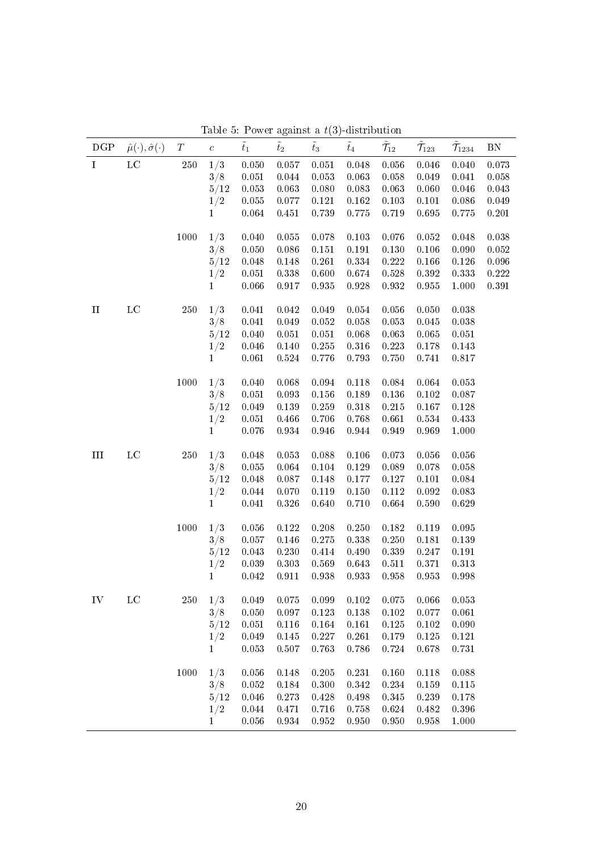| DGP         | $\hat{\mu}(\cdot), \hat{\sigma}(\cdot)$ | $T_{\parallel}$ | $\boldsymbol{c}$ | $\tilde{t}_1$ | $\tilde{t}_2$ | $\tilde{t}_3$ | rable 0. Tower against a $\ell(\theta)$ -distribution<br>$\tilde{t}_4$ | $\tilde{\mathcal{T}}_{12}$ | $\tilde{\mathcal{T}}_{123}$ | $\tilde{\mathcal{T}}_{1234}$ | ${\rm BN}$ |
|-------------|-----------------------------------------|-----------------|------------------|---------------|---------------|---------------|------------------------------------------------------------------------|----------------------------|-----------------------------|------------------------------|------------|
| $\mathbf I$ | $_{\rm LC}$                             | $250\,$         | 1/3              | 0.050         | $0.057\,$     | 0.051         | 0.048                                                                  | 0.056                      | $0.046\,$                   | 0.040                        | 0.073      |
|             |                                         |                 | 3/8              | 0.051         | $0.044\,$     | 0.053         | 0.063                                                                  | 0.058                      | 0.049                       | 0.041                        | 0.058      |
|             |                                         |                 | 5/12             | 0.053         | 0.063         | 0.080         | 0.083                                                                  | 0.063                      | 0.060                       | 0.046                        | 0.043      |
|             |                                         |                 | 1/2              | $\,0.055\,$   | $0.077\,$     | $0.121\,$     | $\,0.162\,$                                                            | 0.103                      | 0.101                       | $0.086\,$                    | 0.049      |
|             |                                         |                 | $\mathbf{1}$     | 0.064         | 0.451         | $0.739\,$     | $0.775\,$                                                              | 0.719                      | $0.695\,$                   | $0.775\,$                    | 0.201      |
|             |                                         | 1000            | 1/3              | 0.040         | 0.055         | 0.078         | $0.103\,$                                                              | 0.076                      | $0.052\,$                   | 0.048                        | 0.038      |
|             |                                         |                 | 3/8              | 0.050         | 0.086         | 0.151         | 0.191                                                                  | 0.130                      | 0.106                       | 0.090                        | 0.052      |
|             |                                         |                 | 5/12             | 0.048         | 0.148         | 0.261         | 0.334                                                                  | 0.222                      | 0.166                       | 0.126                        | 0.096      |
|             |                                         |                 | 1/2              | $0.051\,$     | $0.338\,$     | 0.600         | 0.674                                                                  | $0.528\,$                  | 0.392                       | 0.333                        | $0.222\,$  |
|             |                                         |                 | $\mathbf{1}$     | 0.066         | $0.917\,$     | $\rm 0.935$   | $0.928\,$                                                              | $\rm 0.932$                | $0.955\,$                   | 1.000                        | $0.391\,$  |
| $\rm II$    | $_{\rm LC}$                             | 250             | 1/3              | 0.041         | 0.042         | 0.049         | 0.054                                                                  | 0.056                      | 0.050                       | 0.038                        |            |
|             |                                         |                 | 3/8              | 0.041         | 0.049         | 0.052         | 0.058                                                                  | 0.053                      | $0.045\,$                   | 0.038                        |            |
|             |                                         |                 | 5/12             | 0.040         | 0.051         | 0.051         | 0.068                                                                  | 0.063                      | 0.065                       | 0.051                        |            |
|             |                                         |                 | 1/2              | 0.046         | 0.140         | $0.255\,$     | $0.316\,$                                                              | 0.223                      | $0.178\,$                   | 0.143                        |            |
|             |                                         |                 | $\mathbf{1}$     | 0.061         | $\bf 0.524$   | $0.776\,$     | 0.793                                                                  | $0.750\,$                  | 0.741                       | 0.817                        |            |
|             |                                         | 1000            | 1/3              | 0.040         | 0.068         | 0.094         | 0.118                                                                  | 0.084                      | 0.064                       | 0.053                        |            |
|             |                                         |                 | 3/8              | 0.051         | 0.093         | 0.156         | 0.189                                                                  | $0.136\,$                  | $0.102\,$                   | 0.087                        |            |
|             |                                         |                 | 5/12             | 0.049         | 0.139         | 0.259         | $0.318\,$                                                              | 0.215                      | 0.167                       | 0.128                        |            |
|             |                                         |                 | 1/2              | 0.051         | 0.466         | 0.706         | 0.768                                                                  | 0.661                      | $0.534\,$                   | 0.433                        |            |
|             |                                         |                 | $\mathbf{1}$     | 0.076         | 0.934         | 0.946         | 0.944                                                                  | 0.949                      | 0.969                       | 1.000                        |            |
| Ш           | $_{\rm LC}$                             | $250\,$         | 1/3              | 0.048         | 0.053         | 0.088         | 0.106                                                                  | 0.073                      | 0.056                       | 0.056                        |            |
|             |                                         |                 | 3/8              | 0.055         | 0.064         | 0.104         | 0.129                                                                  | 0.089                      | 0.078                       | 0.058                        |            |
|             |                                         |                 | 5/12             | 0.048         | 0.087         | 0.148         | 0.177                                                                  | 0.127                      | 0.101                       | 0.084                        |            |
|             |                                         |                 | 1/2              | 0.044         | 0.070         | 0.119         | $0.150\,$                                                              | 0.112                      | $0.092\,$                   | 0.083                        |            |
|             |                                         |                 | $\mathbf{1}$     | 0.041         | 0.326         | 0.640         | 0.710                                                                  | 0.664                      | $0.590\,$                   | 0.629                        |            |
|             |                                         | 1000            | 1/3              | 0.056         | $0.122\,$     | 0.208         | 0.250                                                                  | 0.182                      | 0.119                       | 0.095                        |            |
|             |                                         |                 | 3/8              | 0.057         | 0.146         | 0.275         | 0.338                                                                  | 0.250                      | 0.181                       | 0.139                        |            |
|             |                                         |                 | 5/12             | 0.043         | 0.230         | $0.414\,$     | 0.490                                                                  | 0.339                      | 0.247                       | 0.191                        |            |
|             |                                         |                 | 1/2              | $0.039\,$     | $0.303\,$     | 0.569         | 0.643                                                                  | 0.511                      | 0.371                       | 0.313                        |            |
|             |                                         |                 | $\mathbf{1}$     | 0.042         | 0.911         | 0.938         | 0.933                                                                  | 0.958                      | $\rm 0.953$                 | 0.998                        |            |
| IV          | $_{\rm LC}$                             | 250             | 1/3              | 0.049         | 0.075         | 0.099         | 0.102                                                                  | 0.075                      | 0.066                       | 0.053                        |            |
|             |                                         |                 | 3/8              | 0.050         | 0.097         | 0.123         | 0.138                                                                  | 0.102                      | 0.077                       | 0.061                        |            |
|             |                                         |                 | 5/12             | 0.051         | 0.116         | 0.164         | 0.161                                                                  | 0.125                      | 0.102                       | 0.090                        |            |
|             |                                         |                 | 1/2              | 0.049         | 0.145         | 0.227         | 0.261                                                                  | 0.179                      | 0.125                       | 0.121                        |            |
|             |                                         |                 | 1                | 0.053         | 0.507         | 0.763         | 0.786                                                                  | 0.724                      | 0.678                       | 0.731                        |            |
|             |                                         | 1000            | 1/3              | 0.056         | 0.148         | $0.205\,$     | 0.231                                                                  | 0.160                      | 0.118                       | 0.088                        |            |
|             |                                         |                 | 3/8              | 0.052         | 0.184         | 0.300         | 0.342                                                                  | 0.234                      | 0.159                       | 0.115                        |            |
|             |                                         |                 | 5/12             | 0.046         | 0.273         | 0.428         | 0.498                                                                  | 0.345                      | 0.239                       | 0.178                        |            |
|             |                                         |                 | 1/2              | $0.044\,$     | 0.471         | 0.716         | 0.758                                                                  | 0.624                      | 0.482                       | 0.396                        |            |
|             |                                         |                 | $\mathbf{1}$     | 0.056         | 0.934         | 0.952         | 0.950                                                                  | 0.950                      | 0.958                       | 1.000                        |            |

<span id="page-20-0"></span>Table 5: Power against a  $t(3)$ -distribution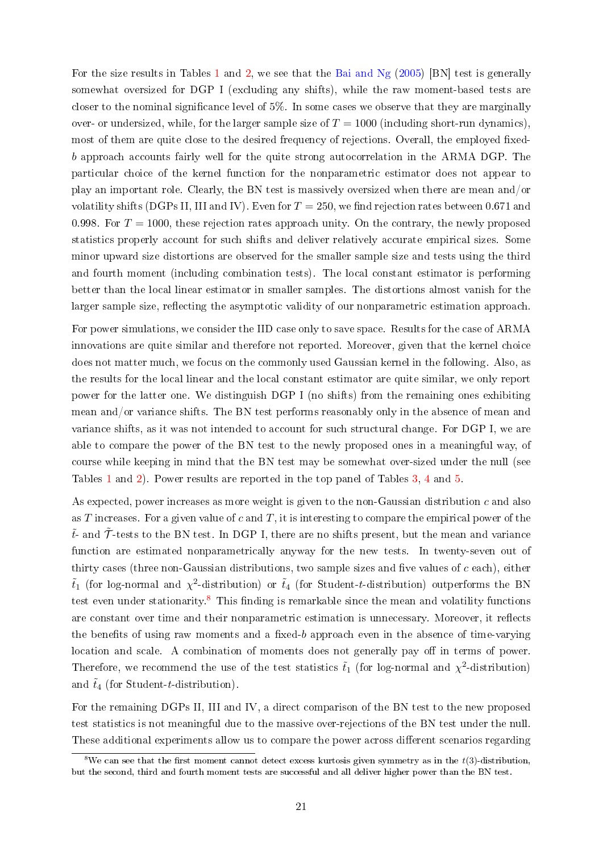For the size results in Tables [1](#page-16-0) and [2,](#page-17-0) we see that the [Bai and Ng](#page-28-1) [\(2005\)](#page-28-1) [BN] test is generally somewhat oversized for DGP I (excluding any shifts), while the raw moment-based tests are closer to the nominal significance level of  $5\%$ . In some cases we observe that they are marginally over- or undersized, while, for the larger sample size of  $T = 1000$  (including short-run dynamics), most of them are quite close to the desired frequency of rejections. Overall, the employed fixedb approach accounts fairly well for the quite strong autocorrelation in the ARMA DGP. The particular choice of the kernel function for the nonparametric estimator does not appear to play an important role. Clearly, the BN test is massively oversized when there are mean and/or volatility shifts (DGPs II, III and IV). Even for  $T = 250$ , we find rejection rates between 0.671 and 0.998. For  $T = 1000$ , these rejection rates approach unity. On the contrary, the newly proposed statistics properly account for such shifts and deliver relatively accurate empirical sizes. Some minor upward size distortions are observed for the smaller sample size and tests using the third and fourth moment (including combination tests). The local constant estimator is performing better than the local linear estimator in smaller samples. The distortions almost vanish for the larger sample size, reflecting the asymptotic validity of our nonparametric estimation approach.

For power simulations, we consider the IID case only to save space. Results for the case of ARMA innovations are quite similar and therefore not reported. Moreover, given that the kernel choice does not matter much, we focus on the commonly used Gaussian kernel in the following. Also, as the results for the local linear and the local constant estimator are quite similar, we only report power for the latter one. We distinguish DGP I (no shifts) from the remaining ones exhibiting mean and/or variance shifts. The BN test performs reasonably only in the absence of mean and variance shifts, as it was not intended to account for such structural change. For DGP I, we are able to compare the power of the BN test to the newly proposed ones in a meaningful way, of course while keeping in mind that the BN test may be somewhat over-sized under the null (see Tables [1](#page-16-0) and [2\)](#page-17-0). Power results are reported in the top panel of Tables [3,](#page-18-0) [4](#page-19-0) and [5.](#page-20-0)

As expected, power increases as more weight is given to the non-Gaussian distribution c and also as T increases. For a given value of c and T, it is interesting to compare the empirical power of the  $\tilde{t}$ - and  $\tilde{T}$ -tests to the BN test. In DGP I, there are no shifts present, but the mean and variance function are estimated nonparametrically anyway for the new tests. In twenty-seven out of thirty cases (three non-Gaussian distributions, two sample sizes and five values of  $c$  each), either  $\tilde{t}_1$  (for log-normal and  $\chi^2$ -distribution) or  $\tilde{t}_4$  (for Student-t-distribution) outperforms the BN test even under stationarity.<sup>[8](#page-21-0)</sup> This finding is remarkable since the mean and volatility functions are constant over time and their nonparametric estimation is unnecessary. Moreover, it reflects the benefits of using raw moments and a fixed-b approach even in the absence of time-varying location and scale. A combination of moments does not generally pay off in terms of power. Therefore, we recommend the use of the test statistics  $\tilde{t}_1$  (for log-normal and  $\chi^2$ -distribution) and  $\tilde{t}_4$  (for Student-t-distribution).

For the remaining DGPs II, III and IV, a direct comparison of the BN test to the new proposed test statistics is not meaningful due to the massive over-rejections of the BN test under the null. These additional experiments allow us to compare the power across different scenarios regarding

<span id="page-21-0"></span><sup>&</sup>lt;sup>8</sup>We can see that the first moment cannot detect excess kurtosis given symmetry as in the  $t(3)$ -distribution, but the second, third and fourth moment tests are successful and all deliver higher power than the BN test.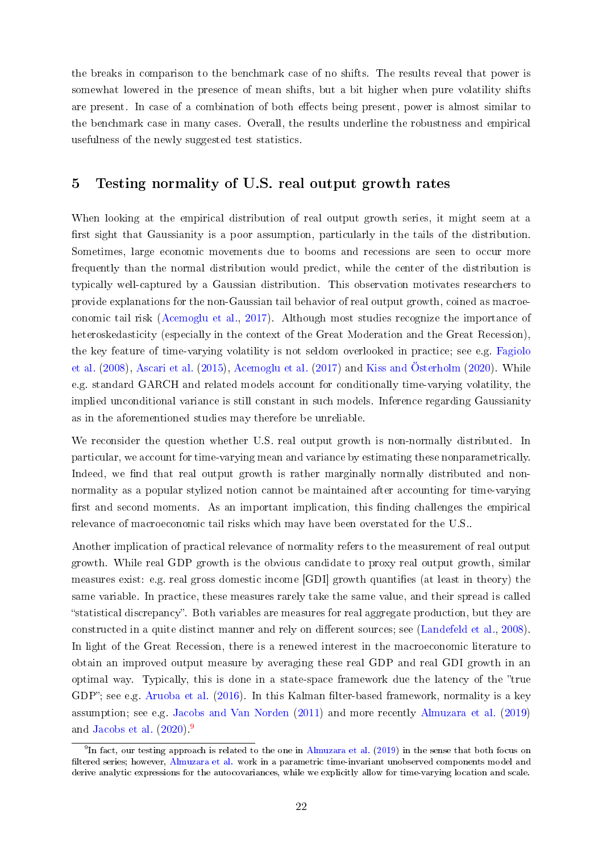the breaks in comparison to the benchmark case of no shifts. The results reveal that power is somewhat lowered in the presence of mean shifts, but a bit higher when pure volatility shifts are present. In case of a combination of both effects being present, power is almost similar to the benchmark case in many cases. Overall, the results underline the robustness and empirical usefulness of the newly suggested test statistics.

## <span id="page-22-0"></span>5 Testing normality of U.S. real output growth rates

When looking at the empirical distribution of real output growth series, it might seem at a first sight that Gaussianity is a poor assumption, particularly in the tails of the distribution. Sometimes, large economic movements due to booms and recessions are seen to occur more frequently than the normal distribution would predict, while the center of the distribution is typically well-captured by a Gaussian distribution. This observation motivates researchers to provide explanations for the non-Gaussian tail behavior of real output growth, coined as macroeconomic tail risk [\(Acemoglu et al.,](#page-28-7) [2017\)](#page-28-7). Although most studies recognize the importance of heteroskedasticity (especially in the context of the Great Moderation and the Great Recession), the key feature of time-varying volatility is not seldom overlooked in practice; see e.g. [Fagiolo](#page-29-7) [et al.](#page-29-7) [\(2008\)](#page-29-7), [Ascari et al.](#page-28-10) [\(2015\)](#page-28-10), [Acemoglu et al.](#page-28-7) [\(2017\)](#page-28-7) and [Kiss and Österholm](#page-30-11) [\(2020\)](#page-30-11). While e.g. standard GARCH and related models account for conditionally time-varying volatility, the implied unconditional variance is still constant in such models. Inference regarding Gaussianity as in the aforementioned studies may therefore be unreliable.

We reconsider the question whether U.S. real output growth is non-normally distributed. In particular, we account for time-varying mean and variance by estimating these nonparametrically. Indeed, we find that real output growth is rather marginally normally distributed and nonnormality as a popular stylized notion cannot be maintained after accounting for time-varying first and second moments. As an important implication, this finding challenges the empirical relevance of macroeconomic tail risks which may have been overstated for the U.S..

Another implication of practical relevance of normality refers to the measurement of real output growth. While real GDP growth is the obvious candidate to proxy real output growth, similar measures exist: e.g. real gross domestic income [GDI] growth quantifies (at least in theory) the same variable. In practice, these measures rarely take the same value, and their spread is called statistical discrepancy. Both variables are measures for real aggregate production, but they are constructed in a quite distinct manner and rely on different sources; see [\(Landefeld et al.,](#page-30-12) [2008\)](#page-30-12). In light of the Great Recession, there is a renewed interest in the macroeconomic literature to obtain an improved output measure by averaging these real GDP and real GDI growth in an optimal way. Typically, this is done in a state-space framework due the latency of the "true GDP"; see e.g. [Aruoba et al.](#page-28-11)  $(2016)$ . In this Kalman filter-based framework, normality is a key assumption; see e.g. [Jacobs and Van Norden](#page-30-13) [\(2011\)](#page-30-13) and more recently [Almuzara et al.](#page-28-12) [\(2019\)](#page-28-12) and [Jacobs et al.](#page-30-14)  $(2020)^9$  $(2020)^9$  $(2020)^9$ 

<span id="page-22-1"></span> $^9{\rm In}$  fact, our testing approach is related to the one in [Almuzara et al.](#page-28-12) [\(2019\)](#page-28-12) in the sense that both focus on filtered series; however, [Almuzara et al.](#page-28-12) work in a parametric time-invariant unobserved components model and derive analytic expressions for the autocovariances, while we explicitly allow for time-varying location and scale.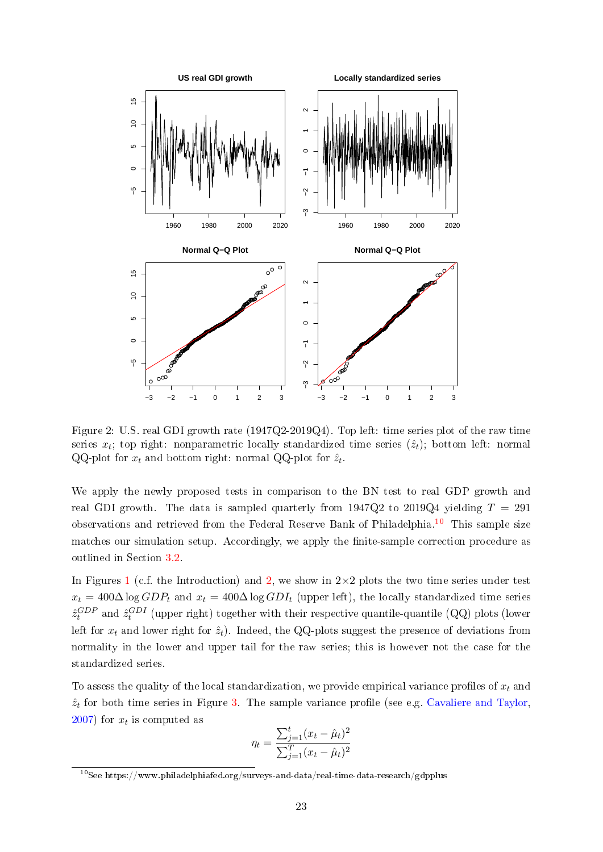

<span id="page-23-1"></span>Figure 2: U.S. real GDI growth rate (1947Q2-2019Q4). Top left: time series plot of the raw time series  $x_t$ ; top right: nonparametric locally standardized time series  $(\hat{z}_t)$ ; bottom left: normal QQ-plot for  $x_t$  and bottom right: normal QQ-plot for  $\hat{z}_t$ .

We apply the newly proposed tests in comparison to the BN test to real GDP growth and real GDI growth. The data is sampled quarterly from 1947Q2 to 2019Q4 yielding  $T = 291$ observations and retrieved from the Federal Reserve Bank of Philadelphia.[10](#page-23-0) This sample size matches our simulation setup. Accordingly, we apply the finite-sample correction procedure as outlined in Section [3.2.](#page-12-1)

In Figures [1](#page-4-0) (c.f. the Introduction) and [2,](#page-23-1) we show in  $2\times 2$  plots the two time series under test  $x_t = 400\Delta \log GDP_t$  and  $x_t = 400\Delta \log GDP_t$  (upper left), the locally standardized time series  $\hat{z}_{t}^{GDP}$  and  $\hat{z}_{t}^{GDI}$  (upper right) together with their respective quantile-quantile (QQ) plots (lower left for  $x_t$  and lower right for  $\hat{z}_t$ ). Indeed, the QQ-plots suggest the presence of deviations from normality in the lower and upper tail for the raw series; this is however not the case for the standardized series.

To assess the quality of the local standardization, we provide empirical variance profiles of  $x_t$  and  $\hat{z}_t$  for both time series in Figure [3.](#page-24-0) The sample variance profile (see e.g. [Cavaliere and Taylor,](#page-29-12)  $(2007)$  $(2007)$  for  $x_t$  is computed as

$$
\eta_t = \frac{\sum_{j=1}^t (x_t - \hat{\mu}_t)^2}{\sum_{j=1}^T (x_t - \hat{\mu}_t)^2}
$$

<span id="page-23-0"></span><sup>10</sup>See https://www.philadelphiafed.org/surveys-and-data/real-time-data-research/gdpplus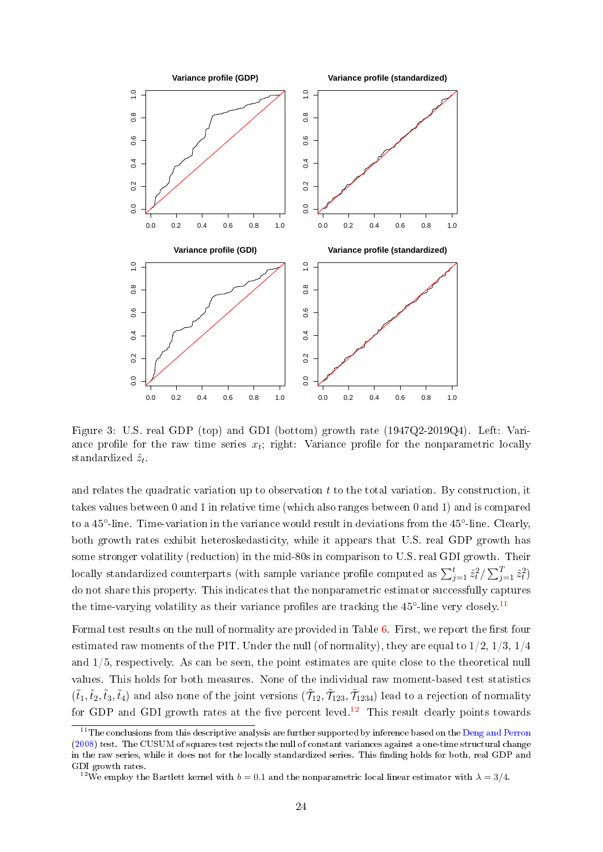

<span id="page-24-0"></span>Figure 3: U.S. real GDP (top) and GDI (bottom) growth rate (1947Q2-2019Q4). Left: Variance profile for the raw time series  $x_t$ ; right: Variance profile for the nonparametric locally standardized  $\hat{z}_t$ .

and relates the quadratic variation up to observation  $t$  to the total variation. By construction, it takes values between 0 and 1 in relative time (which also ranges between 0 and 1) and is compared to a 45<sup>°</sup>-line. Time-variation in the variance would result in deviations from the 45<sup>°</sup>-line. Clearly, both growth rates exhibit heteroskedasticity, while it appears that U.S. real GDP growth has some stronger volatility (reduction) in the mid-80s in comparison to U.S. real GDI growth. Their locally standardized counterparts (with sample variance profile computed as  $\sum_{j=1}^t \hat{z}_t^2 / \sum_{j=1}^T \hat{z}_t^2$ ) do not share this property. This indicates that the nonparametric estimator successfully captures the time-varying volatility as their variance profiles are tracking the  $45^{\circ}$ -line very closely.<sup>[11](#page-24-1)</sup>

Formal test results on the null of normality are provided in Table [6.](#page-25-0) First, we report the first four estimated raw moments of the PIT. Under the null (of normality), they are equal to  $1/2$ ,  $1/3$ ,  $1/4$ and 1/5, respectively. As can be seen, the point estimates are quite close to the theoretical null values. This holds for both measures. None of the individual raw moment-based test statistics  $(\tilde{t}_1,\tilde{t}_2,\tilde{t}_3,\tilde{t}_4)$  and also none of the joint versions  $(\tilde{\mathcal{T}}_{12},\tilde{\mathcal{T}}_{123},\tilde{\mathcal{T}}_{1234})$  lead to a rejection of normality for GDP and GDI growth rates at the five percent level.<sup>[12](#page-24-2)</sup> This result clearly points towards

<span id="page-24-1"></span> $11$ The conclusions from this descriptive analysis are further supported by inference based on the [Deng and Perron](#page-29-13) [\(2008\)](#page-29-13) test. The CUSUM of squares test rejects the null of constant variances against a one-time structural change in the raw series, while it does not for the locally standardized series. This finding holds for both, real GDP and GDI growth rates.

<span id="page-24-2"></span><sup>&</sup>lt;sup>12</sup>We employ the Bartlett kernel with  $b = 0.1$  and the nonparametric local linear estimator with  $\lambda = 3/4$ .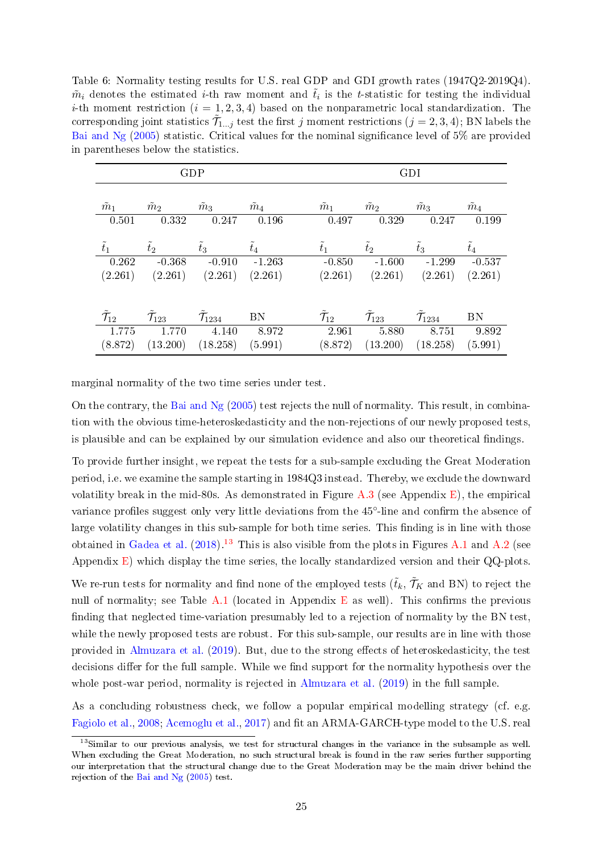<span id="page-25-0"></span>Table 6: Normality testing results for U.S. real GDP and GDI growth rates (1947Q2-2019Q4).  $\tilde{m}_i$  denotes the estimated *i*-th raw moment and  $\tilde{t}_i$  is the *t*-statistic for testing the individual *i*-th moment restriction  $(i = 1, 2, 3, 4)$  based on the nonparametric local standardization. The corresponding joint statistics  $\tilde{\mathcal{T}}_{1...j}$  test the first j moment restrictions  $(j = 2, 3, 4)$ ; BN labels the [Bai and Ng](#page-28-1)  $(2005)$  statistic. Critical values for the nominal significance level of 5% are provided in parentheses below the statistics.

|                            |                     | GDP                  |               | GDI                |                     |                      |               |  |  |
|----------------------------|---------------------|----------------------|---------------|--------------------|---------------------|----------------------|---------------|--|--|
| $\tilde{m}_1$              | $\tilde{m}_2$       | $\tilde{m}_3$        | $\tilde{m}_4$ | $\tilde{m}_1$      | $\tilde{m}_2$       | $\tilde{m}_3$        | $\tilde{m}_4$ |  |  |
| 0.501                      | 0.332               | 0.247                | 0.196         | 0.497              | 0.329               | 0.247                | 0.199         |  |  |
| $\tilde{t}_1$              | $\tilde{t}_2$       | $\tilde{t}_3$        | $\tilde{t}_4$ | $t_1$              | $t_2$               | $\tilde{t}_3$        | $\tilde{t}_4$ |  |  |
| 0.262                      | $-0.368$            | $-0.910$             | $-1.263$      | $-0.850$           | $-1.600$            | $-1.299$             | $-0.537$      |  |  |
| (2.261)                    | (2.261)             | (2.261)              | (2.261)       | (2.261)            |                     | $(2.261)$ $(2.261)$  | (2.261)       |  |  |
| $\tilde{\mathcal{T}}_{12}$ | $\mathcal{T}_{123}$ | $\mathcal{T}_{1234}$ | BN            | $\mathcal{T}_{12}$ | $\mathcal{T}_{123}$ | $\mathcal{T}_{1234}$ | <b>BN</b>     |  |  |
| 1.775                      | 1.770               | 4.140                | 8.972         | 2.961              | 5.880               | 8.751                | 9.892         |  |  |
| (8.872)                    | (13.200)            | (18.258)             | (5.991)       | (8.872)            | (13.200)            | (18.258)             | (5.991)       |  |  |

marginal normality of the two time series under test.

On the contrary, the [Bai and Ng](#page-28-1)  $(2005)$  test rejects the null of normality. This result, in combination with the obvious time-heteroskedasticity and the non-rejections of our newly proposed tests, is plausible and can be explained by our simulation evidence and also our theoretical findings.

To provide further insight, we repeat the tests for a sub-sample excluding the Great Moderation period, i.e. we examine the sample starting in 1984Q3 instead. Thereby, we exclude the downward volatility break in the mid-80s. As demonstrated in Figure  $A.3$  (see Appendix [E\)](#page-53-0), the empirical variance profiles suggest only very little deviations from the 45°-line and confirm the absence of large volatility changes in this sub-sample for both time series. This finding is in line with those obtained in [Gadea et al.](#page-29-0)  $(2018)^{13}$  $(2018)^{13}$  $(2018)^{13}$  $(2018)^{13}$  This is also visible from the plots in Figures [A.1](#page-4-0) and [A.2](#page-23-1) (see Appendix [E\)](#page-53-0) which display the time series, the locally standardized version and their QQ-plots.

We re-run tests for normality and find none of the employed tests  $(\tilde{t}_k, \tilde{\mathcal{T}}_K$  and BN) to reject the null of normality; see Table [A.1](#page-16-0) (located in Appendix [E](#page-53-0) as well). This confirms the previous finding that neglected time-variation presumably led to a rejection of normality by the BN test, while the newly proposed tests are robust. For this sub-sample, our results are in line with those provided in [Almuzara et al.](#page-28-12) [\(2019\)](#page-28-12). But, due to the strong effects of heteroskedasticity, the test decisions differ for the full sample. While we find support for the normality hypothesis over the whole post-war period, normality is rejected in [Almuzara et al.](#page-28-12) [\(2019\)](#page-28-12) in the full sample.

As a concluding robustness check, we follow a popular empirical modelling strategy (cf. e.g. [Fagiolo et al.,](#page-29-7) [2008;](#page-29-7) [Acemoglu et al.,](#page-28-7) [2017\)](#page-28-7) and fit an ARMA-GARCH-type model to the U.S. real

<span id="page-25-1"></span><sup>13</sup>Similar to our previous analysis, we test for structural changes in the variance in the subsample as well. When excluding the Great Moderation, no such structural break is found in the raw series further supporting our interpretation that the structural change due to the Great Moderation may be the main driver behind the rejection of the [Bai and Ng](#page-28-1) [\(2005\)](#page-28-1) test.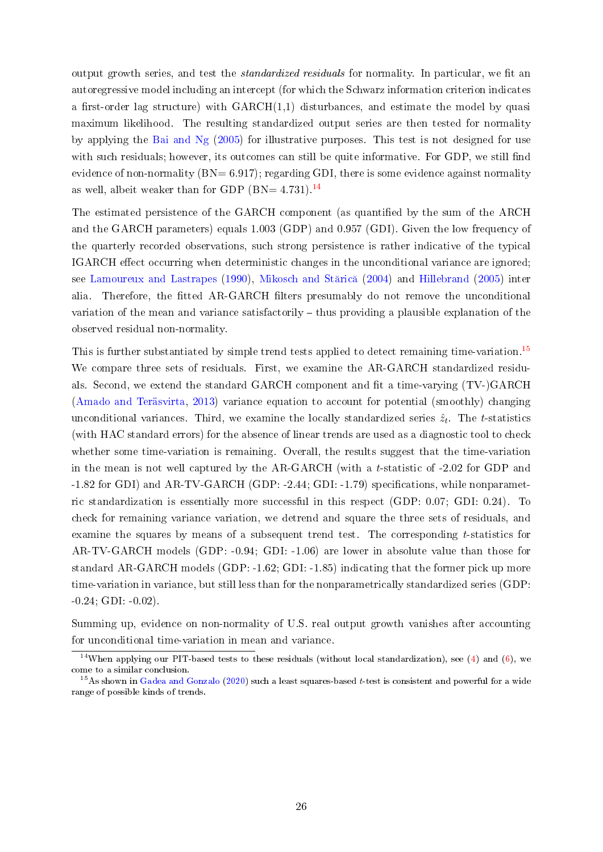output growth series, and test the *standardized residuals* for normality. In particular, we fit an autoregressive model including an intercept (for which the Schwarz information criterion indicates a first-order lag structure) with  $GARCH(1,1)$  disturbances, and estimate the model by quasi maximum likelihood. The resulting standardized output series are then tested for normality by applying the [Bai and Ng](#page-28-1) [\(2005\)](#page-28-1) for illustrative purposes. This test is not designed for use with such residuals; however, its outcomes can still be quite informative. For GDP, we still find evidence of non-normality  $(BN= 6.917)$ ; regarding GDI, there is some evidence against normality as well, albeit weaker than for GDP (BN=  $4.731$ ).<sup>[14](#page-26-0)</sup>

The estimated persistence of the GARCH component (as quantified by the sum of the ARCH and the GARCH parameters) equals 1.003 (GDP) and 0.957 (GDI). Given the low frequency of the quarterly recorded observations, such strong persistence is rather indicative of the typical IGARCH effect occurring when deterministic changes in the unconditional variance are ignored; see [Lamoureux and Lastrapes](#page-30-15) [\(1990\)](#page-30-15), Mikosch and Stărică [\(2004\)](#page-31-13) and [Hillebrand](#page-30-16) [\(2005\)](#page-30-16) inter alia. Therefore, the fitted AR-GARCH filters presumably do not remove the unconditional variation of the mean and variance satisfactorily  $-$  thus providing a plausible explanation of the observed residual non-normality.

This is further substantiated by simple trend tests applied to detect remaining time-variation.<sup>[15](#page-26-1)</sup> We compare three sets of residuals. First, we examine the AR-GARCH standardized residuals. Second, we extend the standard GARCH component and fit a time-varying  $(TV-)GARCH$ [\(Amado and Teräsvirta,](#page-28-13) [2013\)](#page-28-13) variance equation to account for potential (smoothly) changing unconditional variances. Third, we examine the locally standardized series  $\hat{z}_t$ . The t-statistics (with HAC standard errors) for the absence of linear trends are used as a diagnostic tool to check whether some time-variation is remaining. Overall, the results suggest that the time-variation in the mean is not well captured by the AR-GARCH (with a t-statistic of  $-2.02$  for GDP and  $-1.82$  for GDI) and AR-TV-GARCH (GDP:  $-2.44$ ; GDI:  $-1.79$ ) specifications, while nonparametric standardization is essentially more successful in this respect (GDP: 0.07; GDI: 0.24). To check for remaining variance variation, we detrend and square the three sets of residuals, and examine the squares by means of a subsequent trend test. The corresponding t-statistics for AR-TV-GARCH models (GDP: -0.94; GDI: -1.06) are lower in absolute value than those for standard AR-GARCH models (GDP: -1.62; GDI: -1.85) indicating that the former pick up more time-variation in variance, but still less than for the nonparametrically standardized series (GDP:  $-0.24$ ; GDI:  $-0.02$ ).

Summing up, evidence on non-normality of U.S. real output growth vanishes after accounting for unconditional time-variation in mean and variance.

<span id="page-26-0"></span><sup>&</sup>lt;sup>14</sup>When applying our PIT-based tests to these residuals (without local standardization), see [\(4\)](#page-7-2) and [\(6\)](#page-8-1), we come to a similar conclusion.

<span id="page-26-1"></span><sup>&</sup>lt;sup>15</sup>As shown in [Gadea and Gonzalo](#page-29-14) [\(2020\)](#page-29-14) such a least squares-based t-test is consistent and powerful for a wide range of possible kinds of trends.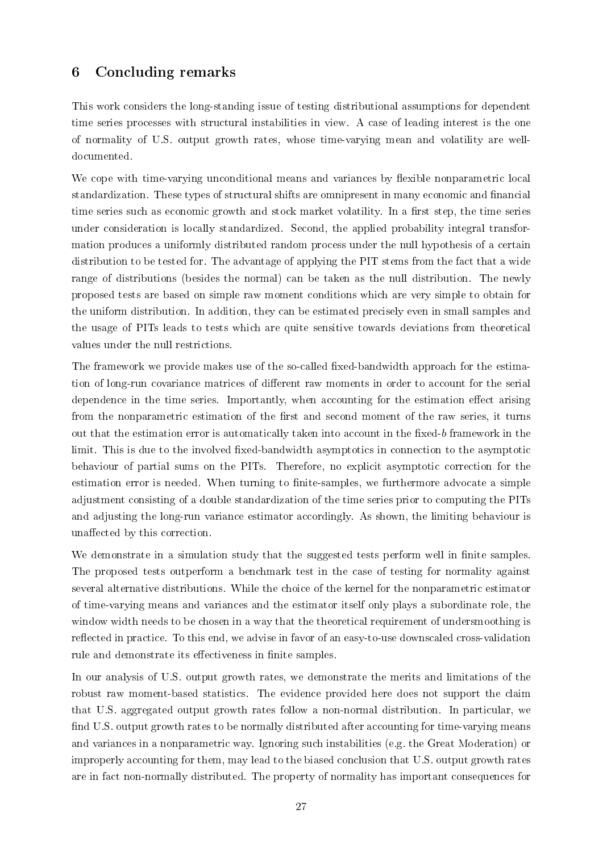## <span id="page-27-0"></span>6 Concluding remarks

This work considers the long-standing issue of testing distributional assumptions for dependent time series processes with structural instabilities in view. A case of leading interest is the one of normality of U.S. output growth rates, whose time-varying mean and volatility are welldocumented.

We cope with time-varying unconditional means and variances by flexible nonparametric local standardization. These types of structural shifts are omnipresent in many economic and financial time series such as economic growth and stock market volatility. In a first step, the time series under consideration is locally standardized. Second, the applied probability integral transformation produces a uniformly distributed random process under the null hypothesis of a certain distribution to be tested for. The advantage of applying the PIT stems from the fact that a wide range of distributions (besides the normal) can be taken as the null distribution. The newly proposed tests are based on simple raw moment conditions which are very simple to obtain for the uniform distribution. In addition, they can be estimated precisely even in small samples and the usage of PITs leads to tests which are quite sensitive towards deviations from theoretical values under the null restrictions.

The framework we provide makes use of the so-called fixed-bandwidth approach for the estimation of long-run covariance matrices of different raw moments in order to account for the serial dependence in the time series. Importantly, when accounting for the estimation effect arising from the nonparametric estimation of the first and second moment of the raw series, it turns out that the estimation error is automatically taken into account in the fixed-b framework in the limit. This is due to the involved fixed-bandwidth asymptotics in connection to the asymptotic behaviour of partial sums on the PITs. Therefore, no explicit asymptotic correction for the estimation error is needed. When turning to finite-samples, we furthermore advocate a simple adjustment consisting of a double standardization of the time series prior to computing the PITs and adjusting the long-run variance estimator accordingly. As shown, the limiting behaviour is unaffected by this correction.

We demonstrate in a simulation study that the suggested tests perform well in finite samples. The proposed tests outperform a benchmark test in the case of testing for normality against several alternative distributions. While the choice of the kernel for the nonparametric estimator of time-varying means and variances and the estimator itself only plays a subordinate role, the window width needs to be chosen in a way that the theoretical requirement of undersmoothing is reflected in practice. To this end, we advise in favor of an easy-to-use downscaled cross-validation rule and demonstrate its effectiveness in finite samples.

In our analysis of U.S. output growth rates, we demonstrate the merits and limitations of the robust raw moment-based statistics. The evidence provided here does not support the claim that U.S. aggregated output growth rates follow a non-normal distribution. In particular, we find U.S. output growth rates to be normally distributed after accounting for time-varying means and variances in a nonparametric way. Ignoring such instabilities (e.g. the Great Moderation) or improperly accounting for them, may lead to the biased conclusion that U.S. output growth rates are in fact non-normally distributed. The property of normality has important consequences for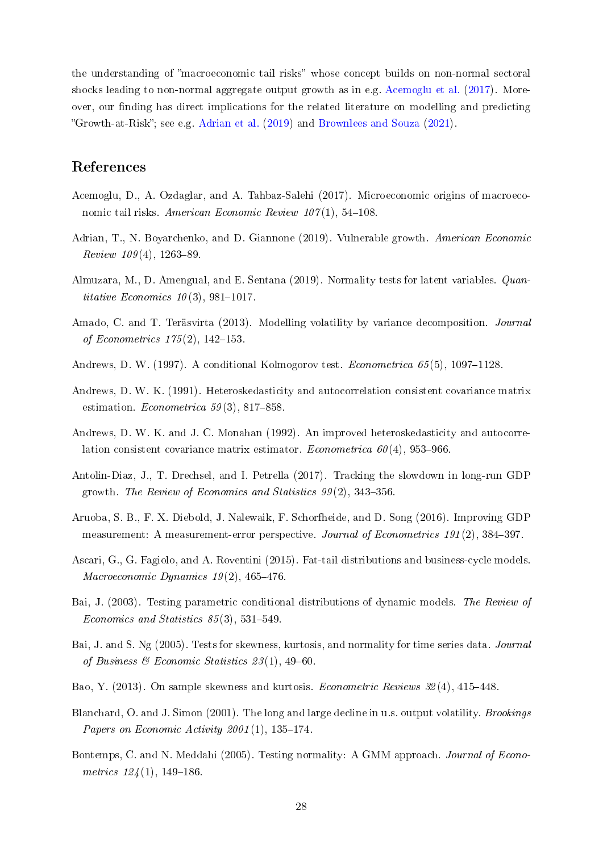the understanding of "macroeconomic tail risks" whose concept builds on non-normal sectoral shocks leading to non-normal aggregate output growth as in e.g. [Acemoglu et al.](#page-28-7) [\(2017\)](#page-28-7). Moreover, our finding has direct implications for the related literature on modelling and predicting Growth-at-Risk; see e.g. [Adrian et al.](#page-28-14) [\(2019\)](#page-28-14) and [Brownlees and Souza](#page-29-15) [\(2021\)](#page-29-15).

## References

- <span id="page-28-7"></span>Acemoglu, D., A. Ozdaglar, and A. Tahbaz-Salehi (2017). Microeconomic origins of macroeconomic tail risks. American Economic Review  $107(1)$ , 54–108.
- <span id="page-28-14"></span>Adrian, T., N. Boyarchenko, and D. Giannone (2019). Vulnerable growth. American Economic  $Review\ 109(4),\ 1263-89.$
- <span id="page-28-12"></span>Almuzara, M., D. Amengual, and E. Sentana (2019). Normality tests for latent variables. Quantitative Economics  $10(3)$ , 981-1017.
- <span id="page-28-13"></span>Amado, C. and T. Teräsvirta (2013). Modelling volatility by variance decomposition. Journal of Econometrics  $175(2)$ ,  $142-153$ .
- <span id="page-28-5"></span>Andrews, D. W. (1997). A conditional Kolmogorov test. *Econometrica*  $65(5)$ , 1097–1128.
- <span id="page-28-8"></span>Andrews, D. W. K. (1991). Heteroskedasticity and autocorrelation consistent covariance matrix estimation. Econometrica 59(3), 817-858.
- <span id="page-28-9"></span>Andrews, D. W. K. and J. C. Monahan (1992). An improved heteroskedasticity and autocorrelation consistent covariance matrix estimator. Econometrica  $60(4)$ , 953-966
- <span id="page-28-3"></span>Antolin-Diaz, J., T. Drechsel, and I. Petrella (2017). Tracking the slowdown in long-run GDP growth. The Review of Economics and Statistics  $99(2)$ , 343-356.
- <span id="page-28-11"></span>Aruoba, S. B., F. X. Diebold, J. Nalewaik, F. Schorfheide, and D. Song (2016). Improving GDP measurement: A measurement-error perspective. Journal of Econometrics 191(2), 384-397.
- <span id="page-28-10"></span>Ascari, G., G. Fagiolo, and A. Roventini (2015). Fat-tail distributions and business-cycle models. Macroeconomic Dynamics  $19(2)$ , 465-476.
- <span id="page-28-0"></span>Bai, J. (2003). Testing parametric conditional distributions of dynamic models. The Review of Economics and Statistics  $85(3)$ , 531-549.
- <span id="page-28-1"></span>Bai, J. and S. Ng (2005). Tests for skewness, kurtosis, and normality for time series data. Journal of Business  $\mathcal B$  Economic Statistics 23(1), 49–60.
- <span id="page-28-6"></span>Bao, Y. (2013). On sample skewness and kurtosis. *Econometric Reviews 32* (4), 415–448.
- <span id="page-28-4"></span>Blanchard, O. and J. Simon (2001). The long and large decline in u.s. output volatility. Brookings Papers on Economic Activity  $2001(1)$ , 135-174.
- <span id="page-28-2"></span>Bontemps, C. and N. Meddahi (2005). Testing normality: A GMM approach. Journal of Econometrics  $12\cancel{(1)}$ ,  $149-186$ .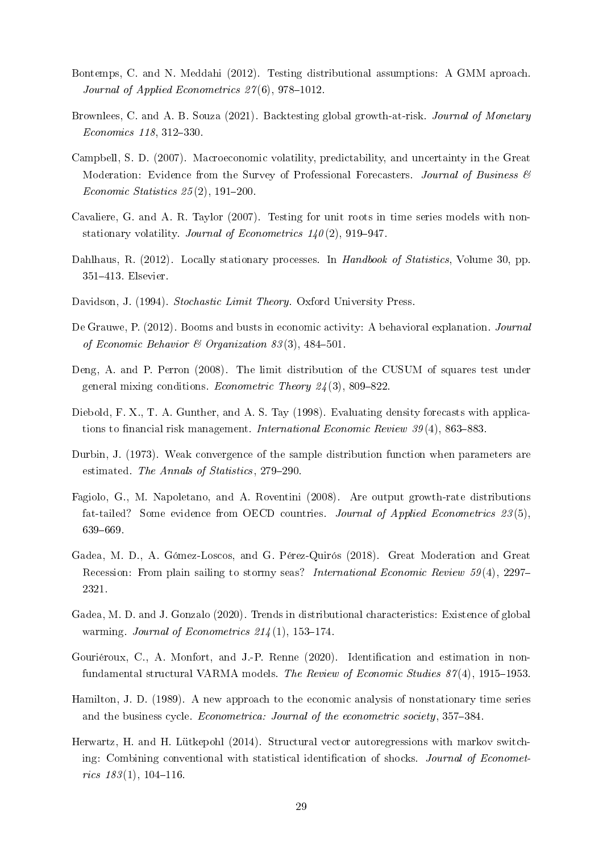- <span id="page-29-10"></span>Bontemps, C. and N. Meddahi (2012). Testing distributional assumptions: A GMM aproach. Journal of Applied Econometrics  $27(6)$ , 978-1012.
- <span id="page-29-15"></span>Brownlees, C. and A. B. Souza (2021). Backtesting global growth-at-risk. Journal of Monetary  $Economics\ 118, 312-330.$
- <span id="page-29-11"></span>Campbell, S. D. (2007). Macroeconomic volatility, predictability, and uncertainty in the Great Moderation: Evidence from the Survey of Professional Forecasters. Journal of Business  $\mathscr B$ Economic Statistics  $25(2)$ , 191-200.
- <span id="page-29-12"></span>Cavaliere, G. and A. R. Taylor (2007). Testing for unit roots in time series models with nonstationary volatility. Journal of Econometrics  $140(2)$ , 919-947.
- <span id="page-29-8"></span>Dahlhaus, R. (2012). Locally stationary processes. In Handbook of Statistics, Volume 30, pp. 351413. Elsevier.
- <span id="page-29-9"></span>Davidson, J. (1994). Stochastic Limit Theory. Oxford University Press.
- <span id="page-29-6"></span>De Grauwe, P. (2012). Booms and busts in economic activity: A behavioral explanation. *Journal* of Economic Behavior  $\mathcal{B}$  Organization 83(3), 484-501.
- <span id="page-29-13"></span>Deng, A. and P. Perron (2008). The limit distribution of the CUSUM of squares test under general mixing conditions. Econometric Theory  $24(3)$ , 809-822.
- <span id="page-29-5"></span>Diebold, F. X., T. A. Gunther, and A. S. Tay (1998). Evaluating density forecasts with applications to financial risk management. *International Economic Review 39*(4), 863–883.
- <span id="page-29-1"></span>Durbin, J. (1973). Weak convergence of the sample distribution function when parameters are estimated. The Annals of Statistics, 279-290.
- <span id="page-29-7"></span>Fagiolo, G., M. Napoletano, and A. Roventini (2008). Are output growth-rate distributions fat-tailed? Some evidence from OECD countries. Journal of Applied Econometrics 23(5), 639-669.
- <span id="page-29-0"></span>Gadea, M. D., A. Gómez-Loscos, and G. Pérez-Quirós (2018). Great Moderation and Great Recession: From plain sailing to stormy seas? International Economic Review  $59(4)$ , 2297– 2321.
- <span id="page-29-14"></span>Gadea, M. D. and J. Gonzalo (2020). Trends in distributional characteristics: Existence of global warming. Journal of Econometrics  $214(1)$ , 153-174.
- <span id="page-29-4"></span>Gouriéroux, C., A. Monfort, and J.-P. Renne (2020). Identification and estimation in nonfundamental structural VARMA models. The Review of Economic Studies  $87(4)$ , 1915–1953.
- <span id="page-29-2"></span>Hamilton, J. D. (1989). A new approach to the economic analysis of nonstationary time series and the business cycle. Econometrica: Journal of the econometric society, 357-384.
- <span id="page-29-3"></span>Herwartz, H. and H. Lütkepohl (2014). Structural vector autoregressions with markov switching: Combining conventional with statistical identification of shocks. Journal of Econometrics  $183(1)$ ,  $104-116$ .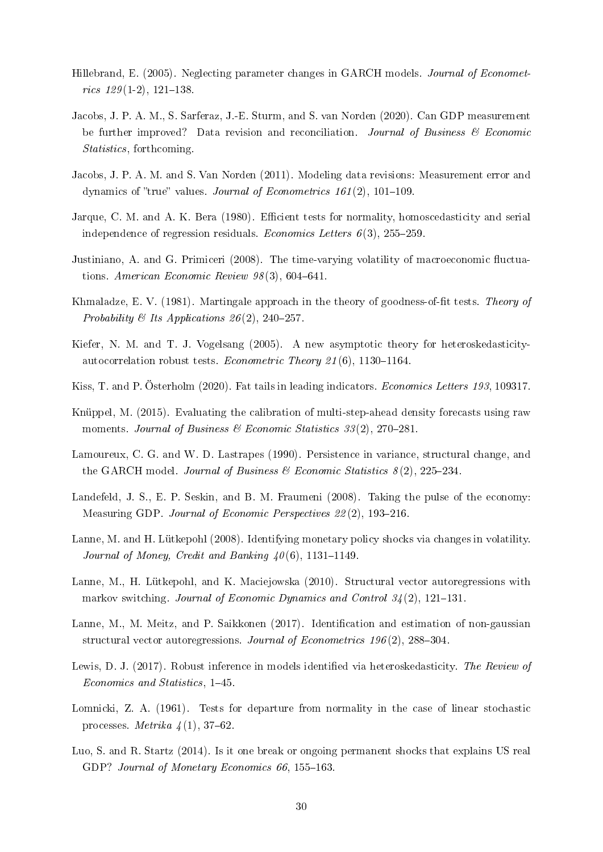- <span id="page-30-16"></span>Hillebrand, E. (2005). Neglecting parameter changes in GARCH models. *Journal of Economet*rics  $129(1-2)$ , 121-138.
- <span id="page-30-14"></span>Jacobs, J. P. A. M., S. Sarferaz, J.-E. Sturm, and S. van Norden (2020). Can GDP measurement be further improved? Data revision and reconciliation. Journal of Business  $\mathscr B$  Economic Statistics, forthcoming.
- <span id="page-30-13"></span>Jacobs, J. P. A. M. and S. Van Norden (2011). Modeling data revisions: Measurement error and dynamics of "true" values. Journal of Econometrics  $161(2)$ , 101-109.
- <span id="page-30-1"></span>Jarque, C. M. and A. K. Bera (1980). Efficient tests for normality, homoscedasticity and serial independence of regression residuals. *Economics Letters*  $6(3)$ ,  $255-259$ .
- <span id="page-30-4"></span>Justiniano, A. and G. Primiceri (2008). The time-varying volatility of macroeconomic fluctuations. American Economic Review  $98(3)$ , 604-641.
- <span id="page-30-0"></span>Khmaladze, E. V. (1981). Martingale approach in the theory of goodness-of-fit tests. Theory of Probability & Its Applications  $26(2)$ , 240-257.
- <span id="page-30-10"></span>Kiefer, N. M. and T. J. Vogelsang (2005). A new asymptotic theory for heteroskedasticityautocorrelation robust tests. Econometric Theory 21(6), 1130-1164.
- <span id="page-30-11"></span>Kiss, T. and P. Österholm (2020). Fat tails in leading indicators. Economics Letters 193, 109317.
- <span id="page-30-9"></span>Knüppel, M. (2015). Evaluating the calibration of multi-step-ahead density forecasts using raw moments. Journal of Business & Economic Statistics  $33(2)$ , 270–281.
- <span id="page-30-15"></span>Lamoureux, C. G. and W. D. Lastrapes (1990). Persistence in variance, structural change, and the GARCH model. Journal of Business & Economic Statistics  $8(2)$ ,  $225-234$ .
- <span id="page-30-12"></span>Landefeld, J. S., E. P. Seskin, and B. M. Fraumeni (2008). Taking the pulse of the economy: Measuring GDP. Journal of Economic Perspectives 22(2), 193-216.
- <span id="page-30-6"></span>Lanne, M. and H. Lütkepohl (2008). Identifying monetary policy shocks via changes in volatility. Journal of Money, Credit and Banking  $40(6)$ , 1131-1149.
- <span id="page-30-5"></span>Lanne, M., H. Lütkepohl, and K. Maciejowska (2010). Structural vector autoregressions with markov switching. Journal of Economic Dynamics and Control  $34(2)$ , 121–131.
- <span id="page-30-8"></span>Lanne, M., M. Meitz, and P. Saikkonen (2017). Identification and estimation of non-gaussian structural vector autoregressions. Journal of Econometrics  $196(2)$ , 288-304.
- <span id="page-30-7"></span>Lewis, D. J. (2017). Robust inference in models identified via heteroskedasticity. The Review of Economics and Statistics, 1-45.
- <span id="page-30-2"></span>Lomnicki, Z. A. (1961). Tests for departure from normality in the case of linear stochastic processes. Metrika  $4(1), 37-62$ .
- <span id="page-30-3"></span>Luo, S. and R. Startz (2014). Is it one break or ongoing permanent shocks that explains US real GDP? Journal of Monetary Economics 66, 155-163.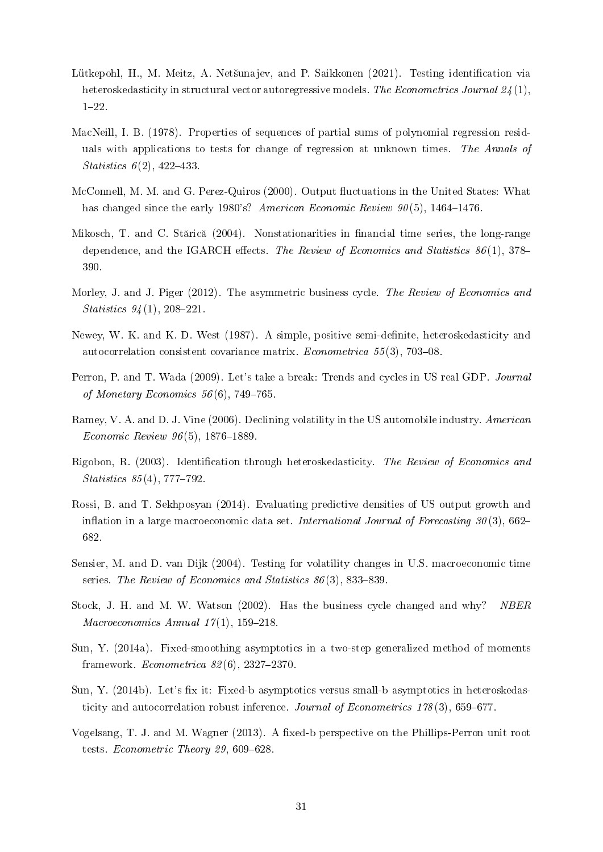- <span id="page-31-7"></span>Lütkepohl, H., M. Meitz, A. Netšunajev, and P. Saikkonen (2021). Testing identification via heteroskedasticity in structural vector autoregressive models. The Econometrics Journal  $24(1)$ ,  $1 - 22$ .
- <span id="page-31-14"></span>MacNeill, I. B. (1978). Properties of sequences of partial sums of polynomial regression residuals with applications to tests for change of regression at unknown times. The Annals of Statistics  $6(2)$ , 422-433.
- <span id="page-31-4"></span>McConnell, M. M. and G. Perez-Quiros (2000). Output fluctuations in the United States: What has changed since the early 1980's? American Economic Review  $90(5)$ , 1464–1476.
- <span id="page-31-13"></span>Mikosch, T. and C. Stărică (2004). Nonstationarities in financial time series, the long-range dependence, and the IGARCH effects. The Review of Economics and Statistics  $86(1)$ , 378-390.
- <span id="page-31-1"></span>Morley, J. and J. Piger (2012). The asymmetric business cycle. The Review of Economics and Statistics  $94(1)$ , 208-221.
- <span id="page-31-12"></span>Newey, W. K. and K. D. West (1987). A simple, positive semi-definite, heteroskedasticity and autocorrelation consistent covariance matrix. *Econometrica*  $55(3)$ ,  $703-08$ .
- <span id="page-31-0"></span>Perron, P. and T. Wada (2009). Let's take a break: Trends and cycles in US real GDP. Journal of Monetary Economics  $56(6)$ , 749-765.
- <span id="page-31-5"></span>Ramey, V. A. and D. J. Vine (2006). Declining volatility in the US automobile industry. American Economic Review  $96(5)$ , 1876-1889.
- <span id="page-31-6"></span>Rigobon, R. (2003). Identification through heteroskedasticity. The Review of Economics and Statistics  $85(4)$ , 777–792.
- <span id="page-31-8"></span>Rossi, B. and T. Sekhposyan (2014). Evaluating predictive densities of US output growth and inflation in a large macroeconomic data set. International Journal of Forecasting  $30(3)$ , 662– 682.
- <span id="page-31-3"></span>Sensier, M. and D. van Dijk (2004). Testing for volatility changes in U.S. macroeconomic time series. The Review of Economics and Statistics  $86(3)$ , 833-839.
- <span id="page-31-2"></span>Stock, J. H. and M. W. Watson (2002). Has the business cycle changed and why? NBER Macroeconomics Annual  $17(1)$ , 159-218.
- <span id="page-31-10"></span>Sun, Y. (2014a). Fixed-smoothing asymptotics in a two-step generalized method of moments framework. Econometrica  $82(6)$ , 2327-2370.
- <span id="page-31-11"></span>Sun, Y. (2014b). Let's fix it: Fixed-b asymptotics versus small-b asymptotics in heteroskedasticity and autocorrelation robust inference. Journal of Econometrics  $178(3)$ , 659–677.
- <span id="page-31-9"></span>Vogelsang, T. J. and M. Wagner (2013). A fixed-b perspective on the Phillips-Perron unit root tests. Econometric Theory 29,  $609-628$ .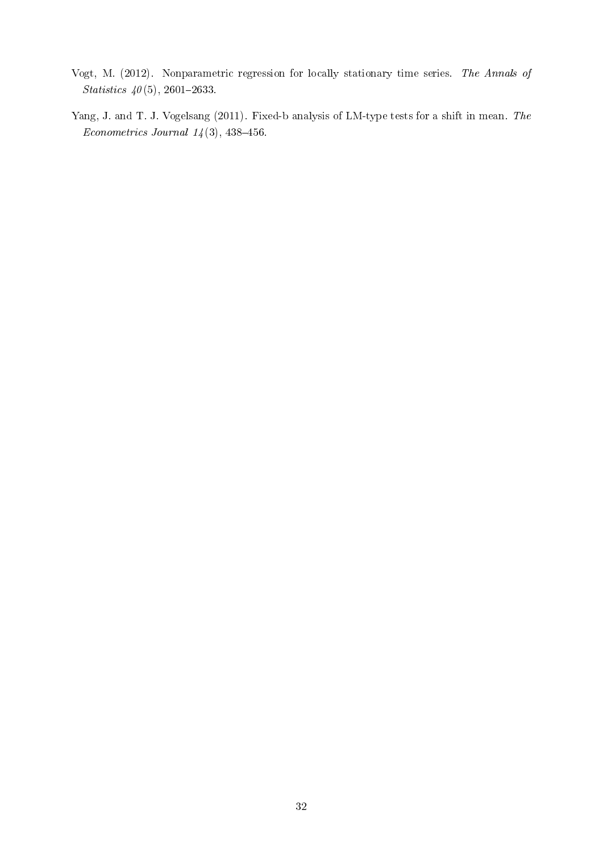- <span id="page-32-1"></span>Vogt, M. (2012). Nonparametric regression for locally stationary time series. The Annals of Statistics  $40(5)$ , 2601-2633.
- <span id="page-32-0"></span>Yang, J. and T. J. Vogelsang (2011). Fixed-b analysis of LM-type tests for a shift in mean. The Econometrics Journal  $14(3)$ , 438-456.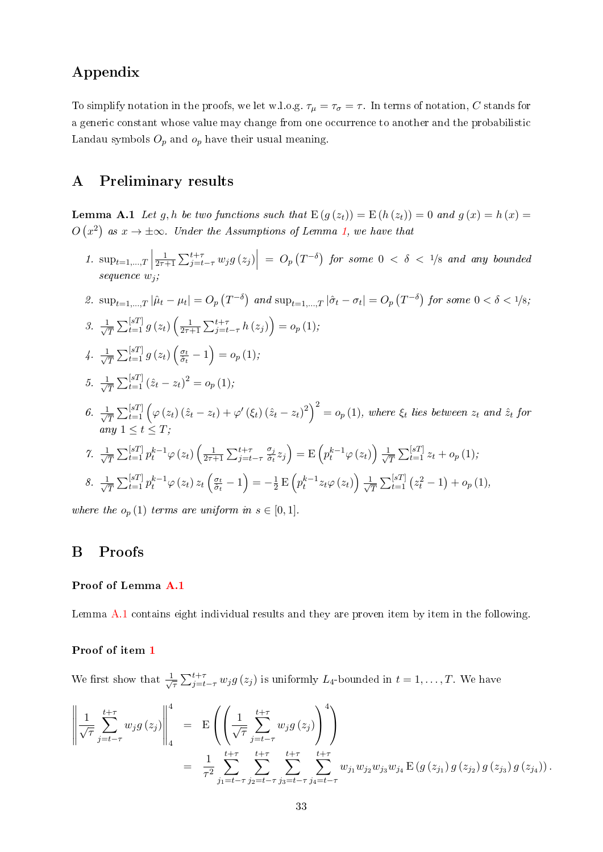# Appendix

To simplify notation in the proofs, we let w.l.o.g.  $\tau_{\mu} = \tau_{\sigma} = \tau$ . In terms of notation, C stands for a generic constant whose value may change from one occurrence to another and the probabilistic Landau symbols  $O_p$  and  $o_p$  have their usual meaning.

## A Preliminary results

**Lemma A.1** Let g, h be two functions such that  $E(g(z_t)) = E(h(z_t)) = 0$  and  $g(x) = h(x) =$  $O(x^2)$  as  $x \to \pm \infty$ . Under the Assumptions of Lemma [1,](#page-10-2) we have that

<span id="page-33-1"></span>1.  $\sup_{t=1,\ldots,T}$ 1  $\frac{1}{2\tau+1}\sum_{j=t-\tau}^{t+\tau} w_j g\left(z_j\right)\Big| \ = \ O_p\left(T^{-\delta}\right) \ for \ some \ 0 \ < \ \delta \ < \ 1/8 \ \ and \ any \ bounded \ }$ sequence  $w_i$ ;

<span id="page-33-6"></span><span id="page-33-5"></span><span id="page-33-4"></span><span id="page-33-3"></span><span id="page-33-2"></span>2. 
$$
\sup_{t=1,...,T} |\hat{\mu}_t - \mu_t| = O_p(T^{-\delta})
$$
 and  $\sup_{t=1,...,T} |\hat{\sigma}_t - \sigma_t| = O_p(T^{-\delta})$  for some  $0 < \delta < 1/8$ ;  
\n3.  $\frac{1}{\sqrt{T}} \sum_{t=1}^{[sT]} g(z_t) \left( \frac{1}{2\tau+1} \sum_{j=t-\tau}^{t+\tau} h(z_j) \right) = o_p(1);$   
\n4.  $\frac{1}{\sqrt{T}} \sum_{t=1}^{[sT]} g(z_t) \left( \frac{\sigma_t}{\hat{\sigma}_t} - 1 \right) = o_p(1);$   
\n5.  $\frac{1}{\sqrt{T}} \sum_{t=1}^{[sT]} (\hat{z}_t - z_t)^2 = o_p(1);$   
\n6.  $\frac{1}{\sqrt{T}} \sum_{t=1}^{[sT]} \left( \varphi(z_t) (\hat{z}_t - z_t) + \varphi'(\xi_t) (\hat{z}_t - z_t)^2 \right)^2 = o_p(1),$  where  $\xi_t$  lies between  $z_t$  and  $\hat{z}_t$  for any  $1 \le t \le T$ ;  
\n7.  $\frac{1}{\sqrt{T}} \sum_{t=1}^{[sT]} p_t^{k-1} \varphi(z_t) \left( \frac{1}{2\tau+1} \sum_{j=t-\tau}^{t+\tau} \frac{\sigma_j}{\hat{\sigma}_t} z_j \right) = E \left( p_t^{k-1} \varphi(z_t) \right) \frac{1}{\sqrt{T}} \sum_{t=1}^{[sT]} z_t + o_p(1);$   
\n8.  $\frac{1}{\sqrt{T}} \sum_{t=1}^{[sT]} p_t^{k-1} \varphi(z_t) z_t \left( \frac{\sigma_t}{\hat{\sigma}_t} - 1 \right) = -\frac{1}{2} E \left( p_t^{k-1} z_t \varphi(z_t) \right) \frac{1}{\sqrt{T}} \sum_{t=1}^{[sT]} (z_t^2 - 1) + o_p(1),$ 

<span id="page-33-8"></span><span id="page-33-7"></span>where the  $o_p(1)$  terms are uniform in  $s \in [0,1]$ .

## <span id="page-33-0"></span>B Proofs

### Proof of Lemma [A.1](#page-10-2)

Lemma [A.1](#page-10-2) contains eight individual results and they are proven item by item in the following.

### Proof of item [1](#page-33-1)

We first show that  $\frac{1}{\sqrt{2}}$  $\frac{1}{\tau} \sum_{j=t-\tau}^{t+\tau} w_j g(z_j)$  is uniformly  $L_4$ -bounded in  $t = 1, \ldots, T$ . We have

$$
\left\| \frac{1}{\sqrt{\tau}} \sum_{j=t-\tau}^{t+\tau} w_j g(z_j) \right\|_4^4 = \mathcal{E}\left( \left( \frac{1}{\sqrt{\tau}} \sum_{j=t-\tau}^{t+\tau} w_j g(z_j) \right)^4 \right)
$$
  
= 
$$
\frac{1}{\tau^2} \sum_{j_1=t-\tau}^{t+\tau} \sum_{j_2=t-\tau}^{t+\tau} \sum_{j_3=t-\tau}^{t+\tau} \sum_{j_4=t-\tau}^{t+\tau} w_{j_1} w_{j_2} w_{j_3} w_{j_4} \mathcal{E}\left(g(z_{j_1}) g(z_{j_2}) g(z_{j_3}) g(z_{j_4})\right).
$$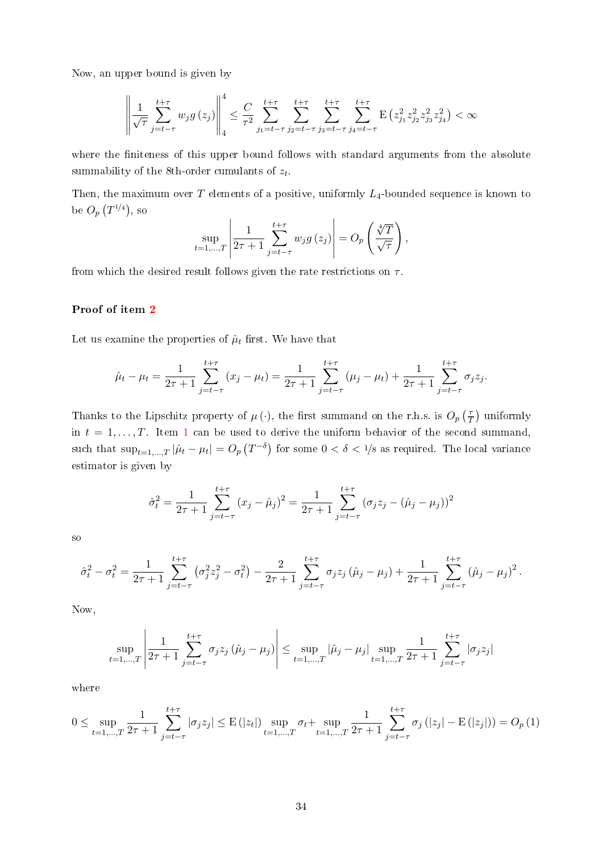Now, an upper bound is given by

$$
\left\|\frac{1}{\sqrt{\tau}}\sum_{j=t-\tau}^{t+\tau} w_j g\left(z_j\right)\right\|_{4}^{4} \leq \frac{C}{\tau^2} \sum_{j_1=t-\tau}^{t+\tau} \sum_{j_2=t-\tau}^{t+\tau} \sum_{j_3=t-\tau}^{t+\tau} \sum_{j_4=t-\tau}^{t+\tau} \mathbf{E}\left(z_{j_1}^2 z_{j_2}^2 z_{j_3}^2 z_{j_4}^2\right) < \infty
$$

where the finiteness of this upper bound follows with standard arguments from the absolute summability of the 8th-order cumulants of  $z_t$ .

Then, the maximum over  $T$  elements of a positive, uniformly  $L_4$ -bounded sequence is known to be  $O_p(T^{1/4})$ , so  $\overline{1}$  $\overline{1}$ 

$$
\sup_{t=1,\dots,T} \left| \frac{1}{2\tau+1} \sum_{j=t-\tau}^{t+\tau} w_j g\left(z_j\right) \right| = O_p\left(\frac{\sqrt[4]{T}}{\sqrt{\tau}}\right),\,
$$

from which the desired result follows given the rate restrictions on  $\tau$ .

#### Proof of item [2](#page-33-2)

Let us examine the properties of  $\hat{\mu}_t$  first. We have that

$$
\hat{\mu}_t - \mu_t = \frac{1}{2\tau + 1} \sum_{j=t-\tau}^{t+\tau} (x_j - \mu_t) = \frac{1}{2\tau + 1} \sum_{j=t-\tau}^{t+\tau} (\mu_j - \mu_t) + \frac{1}{2\tau + 1} \sum_{j=t-\tau}^{t+\tau} \sigma_j z_j.
$$

Thanks to the Lipschitz property of  $\mu(\cdot)$ , the first summand on the r.h.s. is  $O_p\left(\frac{\tau}{7}\right)$  $(\frac{\tau}{T})$  uniformly in  $t = 1, \ldots, T$  $t = 1, \ldots, T$  $t = 1, \ldots, T$ . Item 1 can be used to derive the uniform behavior of the second summand, such that  $\sup_{t=1,...,T}|\hat{\mu}_t-\mu_t|=O_p\left(T^{-\delta}\right)$  for some  $0<\delta< 1/8$  as required. The local variance estimator is given by

$$
\hat{\sigma}_t^2 = \frac{1}{2\tau + 1} \sum_{j=t-\tau}^{t+\tau} (x_j - \hat{\mu}_j)^2 = \frac{1}{2\tau + 1} \sum_{j=t-\tau}^{t+\tau} (\sigma_j z_j - (\hat{\mu}_j - \mu_j))^2
$$

so

$$
\hat{\sigma}_t^2 - \sigma_t^2 = \frac{1}{2\tau + 1} \sum_{j=t-\tau}^{t+\tau} \left( \sigma_j^2 z_j^2 - \sigma_t^2 \right) - \frac{2}{2\tau + 1} \sum_{j=t-\tau}^{t+\tau} \sigma_j z_j \left( \hat{\mu}_j - \mu_j \right) + \frac{1}{2\tau + 1} \sum_{j=t-\tau}^{t+\tau} \left( \hat{\mu}_j - \mu_j \right)^2.
$$

Now,

$$
\sup_{t=1,\dots,T} \left| \frac{1}{2\tau+1} \sum_{j=t-\tau}^{t+\tau} \sigma_j z_j (\hat{\mu}_j - \mu_j) \right| \le \sup_{t=1,\dots,T} |\hat{\mu}_j - \mu_j| \sup_{t=1,\dots,T} \frac{1}{2\tau+1} \sum_{j=t-\tau}^{t+\tau} |\sigma_j z_j|
$$

where

$$
0 \le \sup_{t=1,\dots,T} \frac{1}{2\tau+1} \sum_{j=t-\tau}^{t+\tau} |\sigma_j z_j| \le \mathcal{E}(|z_t|) \sup_{t=1,\dots,T} \sigma_t + \sup_{t=1,\dots,T} \frac{1}{2\tau+1} \sum_{j=t-\tau}^{t+\tau} \sigma_j (|z_j| - \mathcal{E}(|z_j|)) = O_p(1)
$$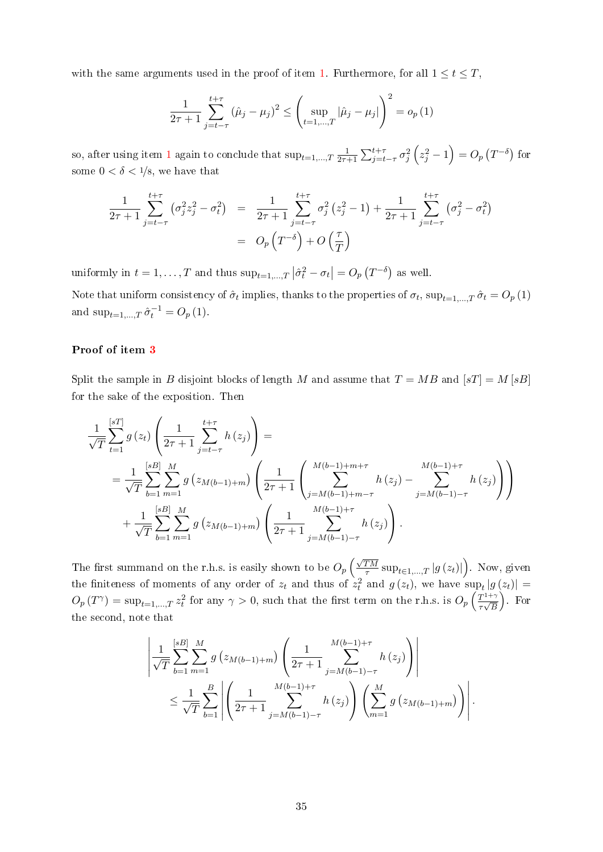with the same arguments used in the proof of item [1.](#page-33-1) Furthermore, for all  $1 \le t \le T$ ,

$$
\frac{1}{2\tau+1} \sum_{j=t-\tau}^{t+\tau} (\hat{\mu}_j - \mu_j)^2 \le \left( \sup_{t=1,\dots,T} |\hat{\mu}_j - \mu_j| \right)^2 = o_p(1)
$$

so, after using item [1](#page-33-1) again to conclude that  $\sup_{t=1,\dots,T} \frac{1}{2\tau}$  $\frac{1}{2\tau+1}\sum_{j=t-\tau}^{t+\tau}\sigma_{j}^{2}\left(z_{j}^{2}-1\right)=O_{p}\left(T^{-\delta}\right)$  for some  $0 < \delta < 1/8$ , we have that

$$
\frac{1}{2\tau+1} \sum_{j=t-\tau}^{t+\tau} \left( \sigma_j^2 z_j^2 - \sigma_t^2 \right) = \frac{1}{2\tau+1} \sum_{j=t-\tau}^{t+\tau} \sigma_j^2 \left( z_j^2 - 1 \right) + \frac{1}{2\tau+1} \sum_{j=t-\tau}^{t+\tau} \left( \sigma_j^2 - \sigma_t^2 \right)
$$
\n
$$
= O_p \left( T^{-\delta} \right) + O \left( \frac{\tau}{T} \right)
$$

uniformly in  $t = 1, ..., T$  and thus  $\sup_{t=1,...,T} |\hat{\sigma}_t^2 - \sigma_t| = O_p(T^{-\delta})$  as well.

Note that uniform consistency of  $\hat{\sigma}_t$  implies, thanks to the properties of  $\sigma_t$ ,  $\sup_{t=1,...,T} \hat{\sigma}_t = O_p(1)$ and  $\sup_{t=1,\dots,T} \hat{\sigma}_t^{-1} = O_p(1)$ .

### Proof of item [3](#page-33-3)

Split the sample in B disjoint blocks of length M and assume that  $T = MB$  and  $|sT| = M |sB|$ for the sake of the exposition. Then

$$
\frac{1}{\sqrt{T}} \sum_{t=1}^{[sT]} g(z_t) \left( \frac{1}{2\tau + 1} \sum_{j=t-\tau}^{t+\tau} h(z_j) \right) =
$$
\n
$$
= \frac{1}{\sqrt{T}} \sum_{b=1}^{[sB]} \sum_{m=1}^{M} g(z_{M(b-1)+m}) \left( \frac{1}{2\tau + 1} \left( \sum_{j=M(b-1)+m-\tau}^{M(b-1)+m+\tau} h(z_j) - \sum_{j=M(b-1)-\tau}^{M(b-1)+\tau} h(z_j) \right) \right)
$$
\n
$$
+ \frac{1}{\sqrt{T}} \sum_{b=1}^{[sB]} \sum_{m=1}^{M} g(z_{M(b-1)+m}) \left( \frac{1}{2\tau + 1} \sum_{j=M(b-1)-\tau}^{M(b-1)+\tau} h(z_j) \right).
$$

The first summand on the r.h.s. is easily shown to be  $O_p\left(\frac{\sqrt{TM}}{\tau}\right)$  $\overline{\frac{TM}{\tau}}\sup_{t\in{1,...,T}}\left|g\left(z_{t}\right)\right|\Big)$ . Now, given the finiteness of moments of any order of  $z_t$  and thus of  $\dot{z}_t^2$  and  $g(z_t)$ , we have  $\sup_t |g(z_t)| =$  $O_p(T^{\gamma}) = \sup_{t=1,\dots,T} z_t^2$  for any  $\gamma > 0$ , such that the first term on the r.h.s. is  $O_p\left(\frac{T^{1+\gamma}}{\tau\sqrt{R}}\right)$  $\frac{1}{\tau\sqrt{B}}$  . For the second, note that

$$
\left| \frac{1}{\sqrt{T}} \sum_{b=1}^{[sB]} \sum_{m=1}^{M} g \left( z_{M(b-1)+m} \right) \left( \frac{1}{2\tau+1} \sum_{j=M(b-1)-\tau}^{M(b-1)+\tau} h \left( z_j \right) \right) \right|
$$
  

$$
\leq \frac{1}{\sqrt{T}} \sum_{b=1}^{B} \left| \left( \frac{1}{2\tau+1} \sum_{j=M(b-1)-\tau}^{M(b-1)+\tau} h \left( z_j \right) \right) \left( \sum_{m=1}^{M} g \left( z_{M(b-1)+m} \right) \right) \right|.
$$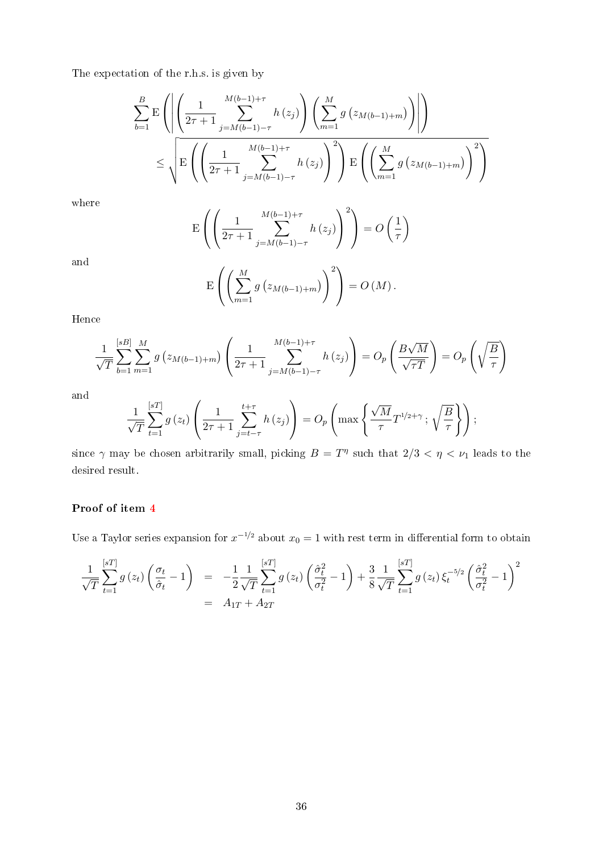The expectation of the r.h.s. is given by

$$
\sum_{b=1}^{B} \mathbf{E} \left( \left| \left( \frac{1}{2\tau + 1} \sum_{j=M(b-1)-\tau}^{M(b-1)+\tau} h(z_j) \right) \left( \sum_{m=1}^{M} g(z_{M(b-1)+m}) \right) \right| \right)
$$
  

$$
\leq \sqrt{\mathbf{E} \left( \left( \frac{1}{2\tau + 1} \sum_{j=M(b-1)-\tau}^{M(b-1)+\tau} h(z_j) \right)^2 \right) \mathbf{E} \left( \left( \sum_{m=1}^{M} g(z_{M(b-1)+m}) \right)^2 \right)}
$$

where

$$
\mathcal{E}\left(\left(\frac{1}{2\tau+1}\sum_{j=M(b-1)-\tau}^{M(b-1)+\tau} h(z_j)\right)^2\right) = O\left(\frac{1}{\tau}\right)
$$

and

$$
\mathrm{E}\left(\left(\sum_{m=1}^{M} g\left(z_{M(b-1)+m}\right)\right)^2\right) = O\left(M\right).
$$

Hence

$$
\frac{1}{\sqrt{T}} \sum_{b=1}^{[sB]} \sum_{m=1}^{M} g(z_{M(b-1)+m}) \left( \frac{1}{2\tau+1} \sum_{j=M(b-1)-\tau}^{M(b-1)+\tau} h(z_j) \right) = O_p\left( \frac{B\sqrt{M}}{\sqrt{\tau}} \right) = O_p\left( \sqrt{\frac{B}{\tau}} \right)
$$

and

$$
\frac{1}{\sqrt{T}}\sum_{t=1}^{[sT]}g\left(z_t\right)\left(\frac{1}{2\tau+1}\sum_{j=t-\tau}^{t+\tau}h\left(z_j\right)\right)=O_p\left(\max\left\{\frac{\sqrt{M}}{\tau}T^{1/2+\gamma}\,;\,\sqrt{\frac{B}{\tau}}\right\}\right);
$$

since  $\gamma$  may be chosen arbitrarily small, picking  $B = T^{\eta}$  such that  $2/3 < \eta < \nu_1$  leads to the desired result.

## Proof of item [4](#page-33-4)

Use a Taylor series expansion for  $x^{-1/2}$  about  $x_0 = 1$  with rest term in differential form to obtain

$$
\frac{1}{\sqrt{T}} \sum_{t=1}^{[sT]} g(z_t) \left( \frac{\sigma_t}{\hat{\sigma}_t} - 1 \right) = -\frac{1}{2} \frac{1}{\sqrt{T}} \sum_{t=1}^{[sT]} g(z_t) \left( \frac{\hat{\sigma}_t^2}{\sigma_t^2} - 1 \right) + \frac{3}{8} \frac{1}{\sqrt{T}} \sum_{t=1}^{[sT]} g(z_t) \xi_t^{-5/2} \left( \frac{\hat{\sigma}_t^2}{\sigma_t^2} - 1 \right)^2
$$

$$
= A_{1T} + A_{2T}
$$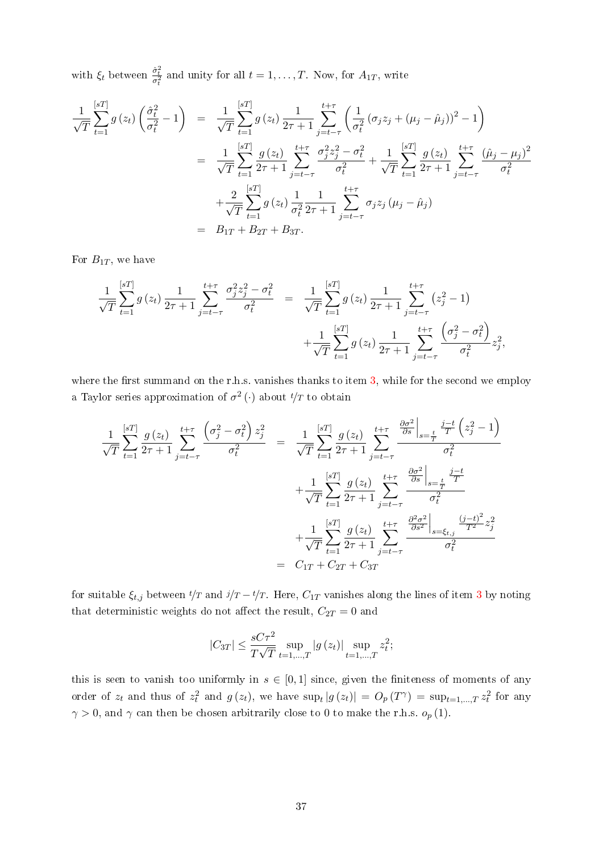with  $\xi_t$  between  $\frac{\hat{\sigma}_t^2}{\sigma_t^2}$  and unity for all  $t = 1, \ldots, T$ . Now, for  $A_{1T}$ , write

$$
\frac{1}{\sqrt{T}} \sum_{t=1}^{[sT]} g(z_t) \left( \frac{\hat{\sigma}_t^2}{\sigma_t^2} - 1 \right) = \frac{1}{\sqrt{T}} \sum_{t=1}^{[sT]} g(z_t) \frac{1}{2\tau + 1} \sum_{j=t-\tau}^{t+\tau} \left( \frac{1}{\sigma_t^2} (\sigma_j z_j + (\mu_j - \hat{\mu}_j))^2 - 1 \right)
$$

$$
= \frac{1}{\sqrt{T}} \sum_{t=1}^{[sT]} \frac{g(z_t)}{2\tau + 1} \sum_{j=t-\tau}^{t+\tau} \frac{\sigma_j^2 z_j^2 - \sigma_t^2}{\sigma_t^2} + \frac{1}{\sqrt{T}} \sum_{t=1}^{[sT]} \frac{g(z_t)}{2\tau + 1} \sum_{j=t-\tau}^{t+\tau} \frac{(\hat{\mu}_j - \mu_j)^2}{\sigma_t^2}
$$

$$
+ \frac{2}{\sqrt{T}} \sum_{t=1}^{[sT]} g(z_t) \frac{1}{\sigma_t^2} \frac{1}{2\tau + 1} \sum_{j=t-\tau}^{t+\tau} \sigma_j z_j (\mu_j - \hat{\mu}_j)
$$

$$
= B_{1T} + B_{2T} + B_{3T}.
$$

For  $B_{1T}$ , we have

$$
\frac{1}{\sqrt{T}} \sum_{t=1}^{[sT]} g(z_t) \frac{1}{2\tau+1} \sum_{j=t-\tau}^{t+\tau} \frac{\sigma_j^2 z_j^2 - \sigma_t^2}{\sigma_t^2} = \frac{1}{\sqrt{T}} \sum_{t=1}^{[sT]} g(z_t) \frac{1}{2\tau+1} \sum_{j=t-\tau}^{t+\tau} (z_j^2 - 1) + \frac{1}{\sqrt{T}} \sum_{t=1}^{[sT]} g(z_t) \frac{1}{2\tau+1} \sum_{j=t-\tau}^{t+\tau} \frac{\left(\sigma_j^2 - \sigma_t^2\right)}{\sigma_t^2} z_j^2,
$$

where the first summand on the r.h.s. vanishes thanks to item  $3$ , while for the second we employ a Taylor series approximation of  $\sigma^2(\cdot)$  about  $t/T$  to obtain

$$
\frac{1}{\sqrt{T}} \sum_{t=1}^{[sT]} \frac{g(z_t)}{2\tau + 1} \sum_{j=t-\tau}^{t+\tau} \frac{\left(\sigma_j^2 - \sigma_t^2\right) z_j^2}{\sigma_t^2} = \frac{1}{\sqrt{T}} \sum_{t=1}^{[sT]} \frac{g(z_t)}{2\tau + 1} \sum_{j=t-\tau}^{t+\tau} \frac{\frac{\partial \sigma^2}{\partial s} \Big|_{s=\frac{t}{T}} \frac{j-t}{T} \left(z_j^2 - 1\right)}{\sigma_t^2} \n+ \frac{1}{\sqrt{T}} \sum_{t=1}^{[sT]} \frac{g(z_t)}{2\tau + 1} \sum_{j=t-\tau}^{t+\tau} \frac{\frac{\partial \sigma^2}{\partial s} \Big|_{s=\frac{t}{T}} \frac{j-t}{T}}{\sigma_t^2} \n+ \frac{1}{\sqrt{T}} \sum_{t=1}^{[sT]} \frac{g(z_t)}{2\tau + 1} \sum_{j=t-\tau}^{t+\tau} \frac{\frac{\partial^2 \sigma^2}{\partial s^2} \Big|_{s=\xi_{t,j}} \frac{(j-t)^2}{T^2} z_j^2}{\sigma_t^2} \n= C_{1T} + C_{2T} + C_{3T}
$$

for suitable  $\xi_{t,j}$  between  $t/T$  and  $j/T - t/T$ . Here,  $C_{1T}$  vanishes along the lines of item [3](#page-33-3) by noting that deterministic weights do not affect the result,  $C_{2T} = 0$  and

$$
|C_{3T}| \le \frac{sC\tau^2}{T\sqrt{T}} \sup_{t=1,\dots,T} |g(z_t)| \sup_{t=1,\dots,T} z_t^2;
$$

this is seen to vanish too uniformly in  $s \in [0,1]$  since, given the finiteness of moments of any order of  $z_t$  and thus of  $z_t^2$  and  $g(z_t)$ , we have  $\sup_t |g(z_t)| = O_p(T^{\gamma}) = \sup_{t=1,\dots,T} z_t^2$  for any  $\gamma > 0$ , and  $\gamma$  can then be chosen arbitrarily close to 0 to make the r.h.s.  $o_p(1)$ .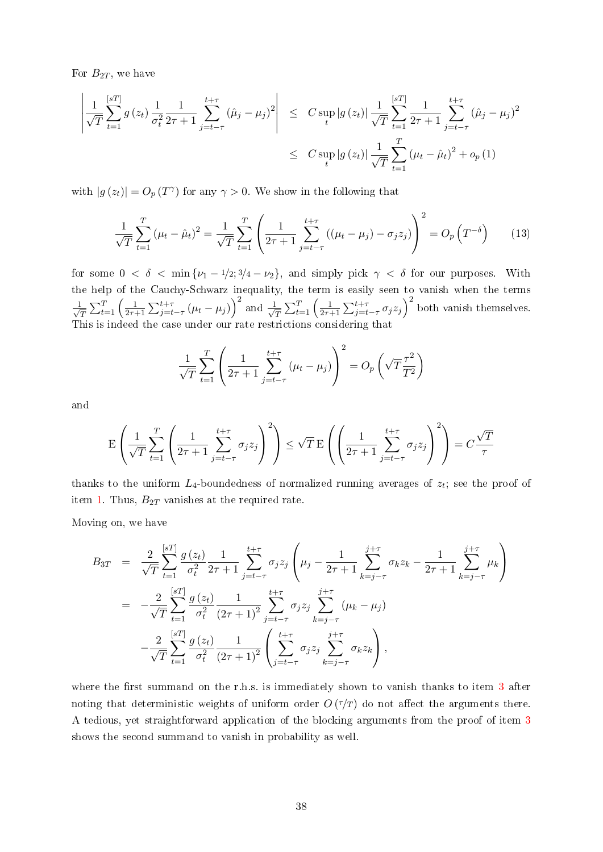For  $B_{2T}$ , we have

$$
\left| \frac{1}{\sqrt{T}} \sum_{t=1}^{[sT]} g(z_t) \frac{1}{\sigma_t^2} \frac{1}{2\tau + 1} \sum_{j=t-\tau}^{t+\tau} (\hat{\mu}_j - \mu_j)^2 \right| \leq C \sup_t |g(z_t)| \frac{1}{\sqrt{T}} \sum_{t=1}^{[sT]} \frac{1}{2\tau + 1} \sum_{j=t-\tau}^{t+\tau} (\hat{\mu}_j - \mu_j)^2
$$
  

$$
\leq C \sup_t |g(z_t)| \frac{1}{\sqrt{T}} \sum_{t=1}^T (\mu_t - \hat{\mu}_t)^2 + o_p(1)
$$

with  $|g(z_t)| = O_p(T^{\gamma})$  for any  $\gamma > 0$ . We show in the following that

<span id="page-38-0"></span>
$$
\frac{1}{\sqrt{T}} \sum_{t=1}^{T} (\mu_t - \hat{\mu}_t)^2 = \frac{1}{\sqrt{T}} \sum_{t=1}^{T} \left( \frac{1}{2\tau + 1} \sum_{j=t-\tau}^{t+\tau} ((\mu_t - \mu_j) - \sigma_j z_j) \right)^2 = O_p(T^{-\delta}) \tag{13}
$$

for some  $0 < \delta < \min{\nu_1 - 1/2; 3/4 - \nu_2}$ , and simply pick  $\gamma < \delta$  for our purposes. With the help of the Cauchy-Schwarz inequality, the term is easily seen to vanish when the terms  $\frac{1}{\sqrt{2}}$  $\frac{1}{T}\sum_{t=1}^T\left(\frac{1}{2\tau-1}\right)$  $\frac{1}{2\tau+1}\sum_{j=t-\tau}^{t+\tau}(\mu_t-\mu_j)\right)^2$  and  $\frac{1}{\sqrt{\tau}}$  $\frac{1}{T}\sum_{t=1}^T\left(\frac{1}{2\tau-1}\right)$  $\frac{1}{2\tau+1}\sum_{j=t-\tau}^{t+\tau}\sigma_jz_j\Big)^2$  both vanish themselves. This is indeed the case under our rate restrictions considering that

$$
\frac{1}{\sqrt{T}}\sum_{t=1}^{T}\left(\frac{1}{2\tau+1}\sum_{j=t-\tau}^{t+\tau}\left(\mu_t-\mu_j\right)\right)^2=O_p\left(\sqrt{T}\frac{\tau^2}{T^2}\right)
$$

and

$$
\mathbf{E}\left(\frac{1}{\sqrt{T}}\sum_{t=1}^T \left(\frac{1}{2\tau+1}\sum_{j=t-\tau}^{t+\tau} \sigma_j z_j\right)^2\right) \le \sqrt{T} \mathbf{E}\left(\left(\frac{1}{2\tau+1}\sum_{j=t-\tau}^{t+\tau} \sigma_j z_j\right)^2\right) = C\frac{\sqrt{T}}{\tau}
$$

thanks to the uniform  $L_4$ -boundedness of normalized running averages of  $z_t$ ; see the proof of item [1.](#page-33-1) Thus,  $B_{2T}$  vanishes at the required rate.

Moving on, we have

$$
B_{3T} = \frac{2}{\sqrt{T}} \sum_{t=1}^{[sT]} \frac{g(z_t)}{\sigma_t^2} \frac{1}{2\tau + 1} \sum_{j=t-\tau}^{t+\tau} \sigma_j z_j \left(\mu_j - \frac{1}{2\tau + 1} \sum_{k=j-\tau}^{j+\tau} \sigma_k z_k - \frac{1}{2\tau + 1} \sum_{k=j-\tau}^{j+\tau} \mu_k\right)
$$
  
\n
$$
= -\frac{2}{\sqrt{T}} \sum_{t=1}^{[sT]} \frac{g(z_t)}{\sigma_t^2} \frac{1}{(2\tau + 1)^2} \sum_{j=t-\tau}^{t+\tau} \sigma_j z_j \sum_{k=j-\tau}^{j+\tau} (\mu_k - \mu_j)
$$
  
\n
$$
- \frac{2}{\sqrt{T}} \sum_{t=1}^{[sT]} \frac{g(z_t)}{\sigma_t^2} \frac{1}{(2\tau + 1)^2} \left(\sum_{j=t-\tau}^{t+\tau} \sigma_j z_j \sum_{k=j-\tau}^{j+\tau} \sigma_k z_k\right),
$$

where the first summand on the r.h.s. is immediately shown to vanish thanks to item  $3$  after noting that deterministic weights of uniform order  $O(\tau/T)$  do not affect the arguments there. A tedious, yet straightforward application of the blocking arguments from the proof of item [3](#page-33-3) shows the second summand to vanish in probability as well.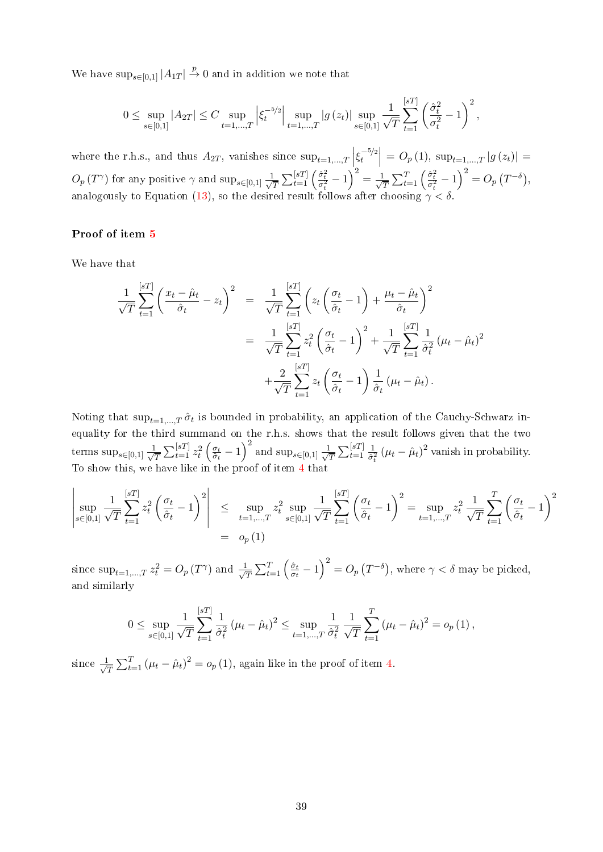We have  $\sup_{s\in[0,1]}|A_{1T}| \stackrel{p}{\to} 0$  and in addition we note that

$$
0 \leq \sup_{s \in [0,1]} |A_{2T}| \leq C \sup_{t=1,\dots,T} \left| \xi_t^{-5/2} \right| \sup_{t=1,\dots,T} |g(z_t)| \sup_{s \in [0,1]} \frac{1}{\sqrt{T}} \sum_{t=1}^{[sT]} \left( \frac{\hat{\sigma}_t^2}{\sigma_t^2} - 1 \right)^2,
$$

where the r.h.s., and thus  $A_{2T}$ , vanishes since  $\sup_{t=1,\dots,T} \left| \xi_t^{-5/2} \right|$  $\left| \frac{t^{-5/2}}{t} \right| = O_p(1), \sup_{t=1,\dots,T} |g(z_t)| =$  $O_p(T^{\gamma})$  for any positive  $\gamma$  and  $\sup_{s\in[0,1]} \frac{1}{\sqrt{s}}$  $\frac{1}{\sqrt{T}}\sum_{t=1}^{[sT]}\left(\frac{\hat{\sigma}^2_t}{\sigma^2_t}-1\right)^2=\frac{1}{\sqrt{T}}$  $\frac{1}{T} \sum_{t=1}^{T} \left( \frac{\hat{\sigma}_t^2}{\sigma_t^2} - 1 \right)^2 = O_p(T^{-\delta}),$ analogously to Equation [\(13\)](#page-38-0), so the desired result follows after choosing  $\gamma < \delta$ .

#### Proof of item [5](#page-33-5)

We have that

$$
\frac{1}{\sqrt{T}} \sum_{t=1}^{[sT]} \left( \frac{x_t - \hat{\mu}_t}{\hat{\sigma}_t} - z_t \right)^2 = \frac{1}{\sqrt{T}} \sum_{t=1}^{[sT]} \left( z_t \left( \frac{\sigma_t}{\hat{\sigma}_t} - 1 \right) + \frac{\mu_t - \hat{\mu}_t}{\hat{\sigma}_t} \right)^2
$$

$$
= \frac{1}{\sqrt{T}} \sum_{t=1}^{[sT]} z_t^2 \left( \frac{\sigma_t}{\hat{\sigma}_t} - 1 \right)^2 + \frac{1}{\sqrt{T}} \sum_{t=1}^{[sT]} \frac{1}{\hat{\sigma}_t^2} (\mu_t - \hat{\mu}_t)^2
$$

$$
+ \frac{2}{\sqrt{T}} \sum_{t=1}^{[sT]} z_t \left( \frac{\sigma_t}{\hat{\sigma}_t} - 1 \right) \frac{1}{\hat{\sigma}_t} (\mu_t - \hat{\mu}_t).
$$

Noting that  $\sup_{t=1,\dots,T} \hat{\sigma}_t$  is bounded in probability, an application of the Cauchy-Schwarz inequality for the third summand on the r.h.s. shows that the result follows given that the two terms  $\sup_{s\in[0,1]} \frac{1}{\sqrt{s}}$  $\frac{1}{T}\sum_{t=1}^{[sT]} z_t^2\left(\frac{\sigma_t}{\hat{\sigma}_t}\right)$  $\frac{\sigma_t}{\hat{\sigma}_t} - 1$ )<sup>2</sup> and sup<sub>s∈[0,1]</sub>  $\frac{1}{\sqrt{2}}$  $\frac{1}{T}\sum_{t=1}^{[sT]} \frac{1}{\hat{\sigma}_i}$  $\frac{1}{\hat{\sigma}_t^2} (\mu_t - \hat{\mu}_t)^2$  vanish in probability. To show this, we have like in the proof of item [4](#page-33-4) that

$$
\left|\sup_{s\in[0,1]}\frac{1}{\sqrt{T}}\sum_{t=1}^{[sT]}z_t^2\left(\frac{\sigma_t}{\hat{\sigma}_t}-1\right)^2\right| \leq \sup_{t=1,\dots,T}z_t^2\sup_{s\in[0,1]}\frac{1}{\sqrt{T}}\sum_{t=1}^{[sT]}\left(\frac{\sigma_t}{\hat{\sigma}_t}-1\right)^2 = \sup_{t=1,\dots,T}z_t^2\frac{1}{\sqrt{T}}\sum_{t=1}^T\left(\frac{\sigma_t}{\hat{\sigma}_t}-1\right)^2
$$

$$
= o_p(1)
$$

since  $\sup_{t=1,\dots,T} z_t^2 = O_p(T^{\gamma})$  and  $\frac{1}{\sqrt{\gamma}}$  $\frac{1}{T}\sum_{t=1}^T \left(\frac{\hat{\sigma}_t}{\sigma_t}\right)$  $\left(\frac{\hat{\sigma}_t}{\sigma_t} - 1\right)^2 = O_p\left(T^{-\delta}\right)$ , where  $\gamma < \delta$  may be picked, and similarly

$$
0 \leq \sup_{s \in [0,1]} \frac{1}{\sqrt{T}} \sum_{t=1}^{[sT]} \frac{1}{\hat{\sigma}_t^2} \left(\mu_t - \hat{\mu}_t\right)^2 \leq \sup_{t=1,\dots,T} \frac{1}{\hat{\sigma}_t^2} \frac{1}{\sqrt{T}} \sum_{t=1}^T \left(\mu_t - \hat{\mu}_t\right)^2 = o_p\left(1\right),
$$

since  $\frac{1}{\sqrt{2}}$  $\frac{1}{T} \sum_{t=1}^{T} (\mu_t - \hat{\mu}_t)^2 = o_p(1)$ , again like in the proof of item [4.](#page-33-4)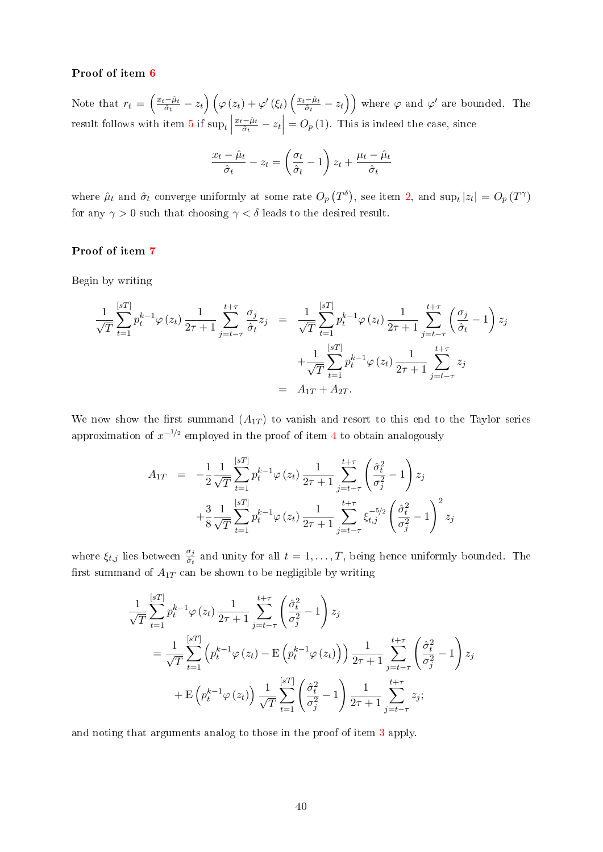#### Proof of item [6](#page-33-6)

Note that  $r_t = \left(\frac{x_t-\hat{\mu}_t}{\hat{\sigma}_t}\right)$  $\left(\frac{-\hat{\mu}_{t}}{\hat{\sigma}_{t}}-z_{t}\right)\left(\varphi\left(z_{t}\right)+\varphi^{\prime}\left(\xi_{t}\right)\left(\frac{x_{t}-\hat{\mu}_{t}}{\hat{\sigma}_{t}}\right)\right)$  $\left(\frac{c-\hat{\mu}_t}{\hat{\sigma}_t}-z_t\right)\right)$  where  $\varphi$  and  $\varphi'$  are bounded. The result follows with item [5](#page-33-5) if  $\sup_t$  $x_t-\hat{\mu}_t$  $\left| \frac{-\hat{\mu}_t}{\hat{\sigma}_t} - z_t \right| = O_p(1)$ . This is indeed the case, since

$$
\frac{x_t - \hat{\mu}_t}{\hat{\sigma}_t} - z_t = \left(\frac{\sigma_t}{\hat{\sigma}_t} - 1\right)z_t + \frac{\mu_t - \hat{\mu}_t}{\hat{\sigma}_t}
$$

where  $\hat{\mu}_t$  and  $\hat{\sigma}_t$  converge uniformly at some rate  $O_p(T^{\delta})$ , see item [2,](#page-33-2) and  $\sup_t |z_t| = O_p(T^{\gamma})$ for any  $\gamma > 0$  such that choosing  $\gamma < \delta$  leads to the desired result.

## Proof of item [7](#page-33-7)

Begin by writing

$$
\frac{1}{\sqrt{T}} \sum_{t=1}^{[sT]} p_t^{k-1} \varphi(z_t) \frac{1}{2\tau+1} \sum_{j=t-\tau}^{t+\tau} \frac{\sigma_j}{\hat{\sigma}_t} z_j = \frac{1}{\sqrt{T}} \sum_{t=1}^{[sT]} p_t^{k-1} \varphi(z_t) \frac{1}{2\tau+1} \sum_{j=t-\tau}^{t+\tau} \left( \frac{\sigma_j}{\hat{\sigma}_t} - 1 \right) z_j \n+ \frac{1}{\sqrt{T}} \sum_{t=1}^{[sT]} p_t^{k-1} \varphi(z_t) \frac{1}{2\tau+1} \sum_{j=t-\tau}^{t+\tau} z_j \n= A_{1T} + A_{2T}.
$$

We now show the first summand  $(A_{1T})$  to vanish and resort to this end to the Taylor series approximation of  $x^{-1/2}$  employed in the proof of item [4](#page-33-4) to obtain analogously

$$
A_{1T} = -\frac{1}{2} \frac{1}{\sqrt{T}} \sum_{t=1}^{[sT]} p_t^{k-1} \varphi(z_t) \frac{1}{2\tau+1} \sum_{j=t-\tau}^{t+\tau} \left( \frac{\hat{\sigma}_t^2}{\sigma_j^2} - 1 \right) z_j
$$
  
+ 
$$
\frac{3}{8} \frac{1}{\sqrt{T}} \sum_{t=1}^{[sT]} p_t^{k-1} \varphi(z_t) \frac{1}{2\tau+1} \sum_{j=t-\tau}^{t+\tau} \xi_{t,j}^{-5/2} \left( \frac{\hat{\sigma}_t^2}{\sigma_j^2} - 1 \right)^2 z_j
$$

where  $\xi_{t,j}$  lies between  $\frac{\sigma_j}{\hat{\sigma}_t}$  and unity for all  $t = 1, \ldots, T$ , being hence uniformly bounded. The first summand of  $A_{1T}$  can be shown to be negligible by writing

$$
\frac{1}{\sqrt{T}} \sum_{t=1}^{[sT]} p_t^{k-1} \varphi(z_t) \frac{1}{2\tau+1} \sum_{j=t-\tau}^{t+\tau} \left( \frac{\hat{\sigma}_t^2}{\sigma_j^2} - 1 \right) z_j
$$
\n
$$
= \frac{1}{\sqrt{T}} \sum_{t=1}^{[sT]} \left( p_t^{k-1} \varphi(z_t) - \mathcal{E} \left( p_t^{k-1} \varphi(z_t) \right) \right) \frac{1}{2\tau+1} \sum_{j=t-\tau}^{t+\tau} \left( \frac{\hat{\sigma}_t^2}{\sigma_j^2} - 1 \right) z_j
$$
\n
$$
+ \mathcal{E} \left( p_t^{k-1} \varphi(z_t) \right) \frac{1}{\sqrt{T}} \sum_{t=1}^{[sT]} \left( \frac{\hat{\sigma}_t^2}{\sigma_j^2} - 1 \right) \frac{1}{2\tau+1} \sum_{j=t-\tau}^{t+\tau} z_j;
$$

and noting that arguments analog to those in the proof of item [3](#page-33-3) apply.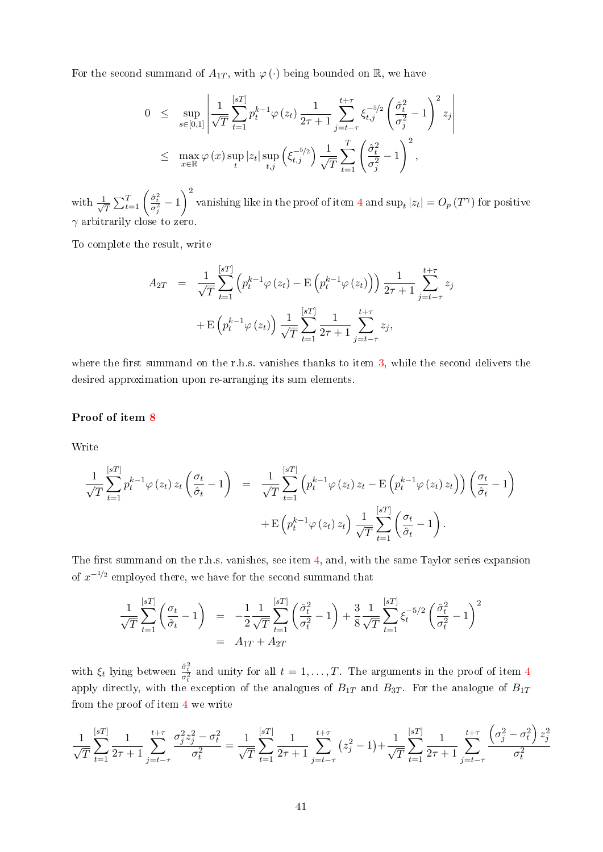For the second summand of  $A_{1T}$ , with  $\varphi(\cdot)$  being bounded on R, we have

$$
0 \leq \sup_{s \in [0,1]} \left| \frac{1}{\sqrt{T}} \sum_{t=1}^{[sT]} p_t^{k-1} \varphi(z_t) \frac{1}{2\tau + 1} \sum_{j=t-\tau}^{t+\tau} \xi_{t,j}^{-5/2} \left( \frac{\hat{\sigma}_t^2}{\sigma_j^2} - 1 \right)^2 z_j \right|
$$
  

$$
\leq \max_{x \in \mathbb{R}} \varphi(x) \sup_t |z_t| \sup_{t,j} \left( \xi_{t,j}^{-5/2} \right) \frac{1}{\sqrt{T}} \sum_{t=1}^T \left( \frac{\hat{\sigma}_t^2}{\sigma_j^2} - 1 \right)^2,
$$

with  $\frac{1}{\sqrt{2}}$  $\frac{1}{\overline{T}}\sum_{t=1}^T \left(\frac{\hat{\sigma}_t^2}{\sigma_j^2}-1\right)^2$ vanishing like in the proof of item  $4$  and  $\sup_t |z_t| = O_p(T^{\gamma})$  for positive  $\gamma$  arbitrarily close to zero.

To complete the result, write

$$
A_{2T} = \frac{1}{\sqrt{T}} \sum_{t=1}^{[sT]} \left( p_t^{k-1} \varphi(z_t) - \mathcal{E} \left( p_t^{k-1} \varphi(z_t) \right) \right) \frac{1}{2\tau + 1} \sum_{j=t-\tau}^{t+\tau} z_j
$$
  
+ 
$$
\mathcal{E} \left( p_t^{k-1} \varphi(z_t) \right) \frac{1}{\sqrt{T}} \sum_{t=1}^{[sT]} \frac{1}{2\tau + 1} \sum_{j=t-\tau}^{t+\tau} z_j,
$$

where the first summand on the r.h.s. vanishes thanks to item  $3$ , while the second delivers the desired approximation upon re-arranging its sum elements.

#### Proof of item [8](#page-33-8)

Write

$$
\frac{1}{\sqrt{T}} \sum_{t=1}^{[sT]} p_t^{k-1} \varphi(z_t) z_t \left( \frac{\sigma_t}{\hat{\sigma}_t} - 1 \right) = \frac{1}{\sqrt{T}} \sum_{t=1}^{[sT]} \left( p_t^{k-1} \varphi(z_t) z_t - \mathcal{E} \left( p_t^{k-1} \varphi(z_t) z_t \right) \right) \left( \frac{\sigma_t}{\hat{\sigma}_t} - 1 \right) + \mathcal{E} \left( p_t^{k-1} \varphi(z_t) z_t \right) \frac{1}{\sqrt{T}} \sum_{t=1}^{[sT]} \left( \frac{\sigma_t}{\hat{\sigma}_t} - 1 \right).
$$

The first summand on the r.h.s. vanishes, see item [4,](#page-33-4) and, with the same Taylor series expansion of  $x^{-1/2}$  employed there, we have for the second summand that

$$
\frac{1}{\sqrt{T}} \sum_{t=1}^{[sT]} \left( \frac{\sigma_t}{\hat{\sigma}_t} - 1 \right) = -\frac{1}{2} \frac{1}{\sqrt{T}} \sum_{t=1}^{[sT]} \left( \frac{\hat{\sigma}_t^2}{\sigma_t^2} - 1 \right) + \frac{3}{8} \frac{1}{\sqrt{T}} \sum_{t=1}^{[sT]} \xi_t^{-5/2} \left( \frac{\hat{\sigma}_t^2}{\sigma_t^2} - 1 \right)^2
$$
  
=  $A_{1T} + A_{2T}$ 

with  $\xi_t$  lying between  $\frac{\hat{\sigma}_t^2}{\sigma_t^2}$  and unity for all  $t = 1, \ldots, T$ . The arguments in the proof of item [4](#page-33-4) apply directly, with the exception of the analogues of  $B_{1T}$  and  $B_{3T}$ . For the analogue of  $B_{1T}$ from the proof of item [4](#page-33-4) we write

$$
\frac{1}{\sqrt{T}}\sum_{t=1}^{[sT]} \frac{1}{2\tau+1} \sum_{j=t-\tau}^{t+\tau} \frac{\sigma_j^2 z_j^2 - \sigma_t^2}{\sigma_t^2} = \frac{1}{\sqrt{T}}\sum_{t=1}^{[sT]} \frac{1}{2\tau+1} \sum_{j=t-\tau}^{t+\tau} (z_j^2 - 1) + \frac{1}{\sqrt{T}}\sum_{t=1}^{[sT]} \frac{1}{2\tau+1} \sum_{j=t-\tau}^{t+\tau} \frac{\left(\sigma_j^2 - \sigma_t^2\right) z_j^2}{\sigma_t^2}
$$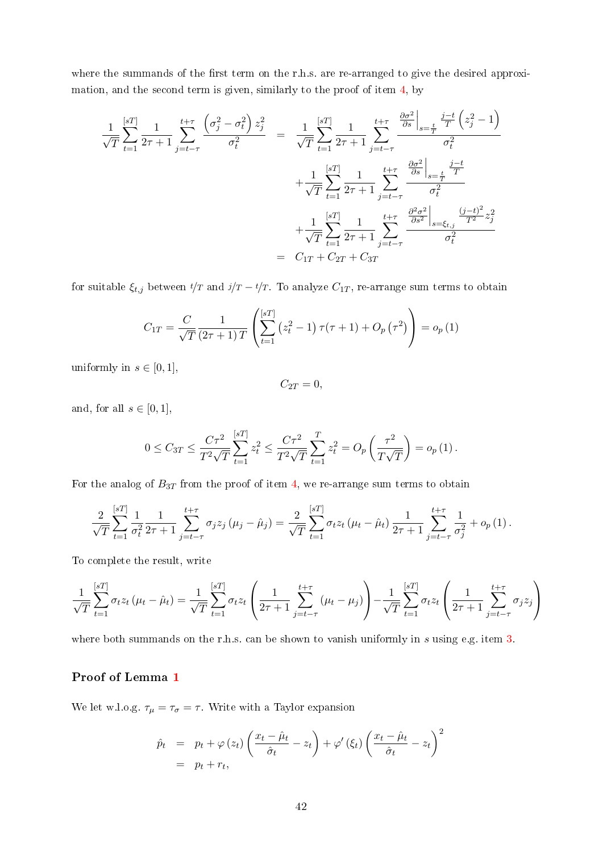where the summands of the first term on the r.h.s. are re-arranged to give the desired approximation, and the second term is given, similarly to the proof of item [4,](#page-33-4) by

$$
\frac{1}{\sqrt{T}} \sum_{t=1}^{[sT]} \frac{1}{2\tau+1} \sum_{j=t-\tau}^{t+\tau} \frac{\left(\sigma_j^2 - \sigma_t^2\right) z_j^2}{\sigma_t^2} = \frac{1}{\sqrt{T}} \sum_{t=1}^{[sT]} \frac{1}{2\tau+1} \sum_{j=t-\tau}^{t+\tau} \frac{\frac{\partial \sigma^2}{\partial s} \Big|_{s=\frac{t}{T}} \frac{j-t}{T} \left(z_j^2 - 1\right)}{\sigma_t^2} + \frac{1}{\sqrt{T}} \sum_{t=1}^{[sT]} \frac{1}{2\tau+1} \sum_{j=t-\tau}^{t+\tau} \frac{\frac{\partial \sigma^2}{\partial s} \Big|_{s=\frac{t}{T}} \frac{j-t}{T}}{\sigma_t^2} + \frac{1}{\sqrt{T}} \sum_{t=1}^{[sT]} \frac{1}{2\tau+1} \sum_{j=t-\tau}^{t+\tau} \frac{\frac{\partial^2 \sigma^2}{\partial s^2} \Big|_{s=\xi_{t,j}} \frac{(j-t)^2}{T^2} z_j^2}{\sigma_t^2} = C_{1T} + C_{2T} + C_{3T}
$$

for suitable  $\xi_{t,j}$  between  $t/T$  and  $j/T - t/T$ . To analyze  $C_{1T}$ , re-arrange sum terms to obtain

$$
C_{1T} = \frac{C}{\sqrt{T}} \frac{1}{(2\tau + 1)T} \left( \sum_{t=1}^{[sT]} (z_t^2 - 1) \tau(\tau + 1) + O_p(\tau^2) \right) = o_p(1)
$$

uniformly in  $s \in [0, 1]$ ,

 $C_{2T} = 0,$ 

and, for all  $s \in [0, 1]$ ,

$$
0 \leq C_{3T} \leq \frac{C\tau^2}{T^2\sqrt{T}} \sum_{t=1}^{[sT]} z_t^2 \leq \frac{C\tau^2}{T^2\sqrt{T}} \sum_{t=1}^T z_t^2 = O_p\left(\frac{\tau^2}{T\sqrt{T}}\right) = o_p\left(1\right).
$$

For the analog of  $B_{3T}$  from the proof of item [4,](#page-33-4) we re-arrange sum terms to obtain

$$
\frac{2}{\sqrt{T}}\sum_{t=1}^{[sT]} \frac{1}{\sigma_t^2} \frac{1}{2\tau+1} \sum_{j=t-\tau}^{t+\tau} \sigma_j z_j (\mu_j - \hat{\mu}_j) = \frac{2}{\sqrt{T}}\sum_{t=1}^{[sT]} \sigma_t z_t (\mu_t - \hat{\mu}_t) \frac{1}{2\tau+1} \sum_{j=t-\tau}^{t+\tau} \frac{1}{\sigma_j^2} + o_p(1).
$$

To complete the result, write

$$
\frac{1}{\sqrt{T}} \sum_{t=1}^{[sT]} \sigma_t z_t (\mu_t - \hat{\mu}_t) = \frac{1}{\sqrt{T}} \sum_{t=1}^{[sT]} \sigma_t z_t \left( \frac{1}{2\tau + 1} \sum_{j=t-\tau}^{t+\tau} (\mu_t - \mu_j) \right) - \frac{1}{\sqrt{T}} \sum_{t=1}^{[sT]} \sigma_t z_t \left( \frac{1}{2\tau + 1} \sum_{j=t-\tau}^{t+\tau} \sigma_j z_j \right)
$$

where both summands on the r.h.s. can be shown to vanish uniformly in s using e.g. item [3.](#page-33-3)

### Proof of Lemma [1](#page-10-2)

We let w.l.o.g.  $\tau_{\mu} = \tau_{\sigma} = \tau$ . Write with a Taylor expansion

$$
\hat{p}_t = p_t + \varphi(z_t) \left( \frac{x_t - \hat{\mu}_t}{\hat{\sigma}_t} - z_t \right) + \varphi'(\xi_t) \left( \frac{x_t - \hat{\mu}_t}{\hat{\sigma}_t} - z_t \right)^2
$$
\n
$$
= p_t + r_t,
$$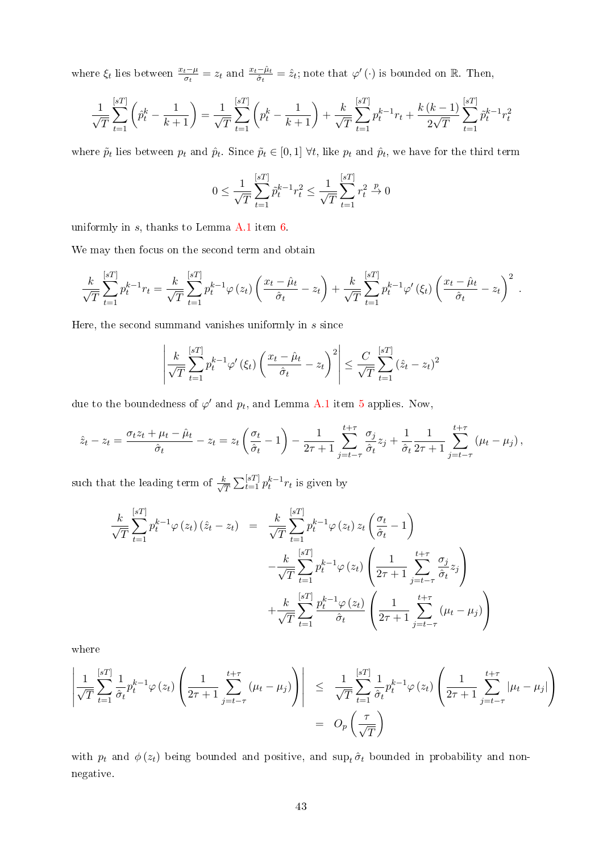where  $\xi_t$  lies between  $\frac{x_t-\mu}{\sigma_t} = z_t$  and  $\frac{x_t-\hat{\mu}_t}{\hat{\sigma}_t} = \hat{z}_t$ ; note that  $\varphi'(\cdot)$  is bounded on R. Then,

$$
\frac{1}{\sqrt{T}}\sum_{t=1}^{[sT]} \left(\hat{p}_t^k - \frac{1}{k+1}\right) = \frac{1}{\sqrt{T}}\sum_{t=1}^{[sT]} \left(p_t^k - \frac{1}{k+1}\right) + \frac{k}{\sqrt{T}}\sum_{t=1}^{[sT]} p_t^{k-1}r_t + \frac{k(k-1)}{2\sqrt{T}}\sum_{t=1}^{[sT]} \tilde{p}_t^{k-1}r_t^2
$$

where  $\tilde{p}_t$  lies between  $p_t$  and  $\hat{p}_t$ . Since  $\tilde{p}_t \in [0,1]$   $\forall t$ , like  $p_t$  and  $\hat{p}_t$ , we have for the third term

$$
0 \le \frac{1}{\sqrt{T}} \sum_{t=1}^{[sT]} \tilde{p}_t^{k-1} r_t^2 \le \frac{1}{\sqrt{T}} \sum_{t=1}^{[sT]} r_t^2 \xrightarrow{p} 0
$$

uniformly in  $s$ , thanks to Lemma [A.1](#page-10-2) item  $6$ .

We may then focus on the second term and obtain

$$
\frac{k}{\sqrt{T}}\sum_{t=1}^{[sT]}p_t^{k-1}r_t = \frac{k}{\sqrt{T}}\sum_{t=1}^{[sT]}p_t^{k-1}\varphi(z_t)\left(\frac{x_t-\hat{\mu}_t}{\hat{\sigma}_t} - z_t\right) + \frac{k}{\sqrt{T}}\sum_{t=1}^{[sT]}p_t^{k-1}\varphi'(\xi_t)\left(\frac{x_t-\hat{\mu}_t}{\hat{\sigma}_t} - z_t\right)^2.
$$

Here, the second summand vanishes uniformly in  $s$  since

$$
\left| \frac{k}{\sqrt{T}} \sum_{t=1}^{[sT]} p_t^{k-1} \varphi'(\xi_t) \left( \frac{x_t - \hat{\mu}_t}{\hat{\sigma}_t} - z_t \right)^2 \right| \leq \frac{C}{\sqrt{T}} \sum_{t=1}^{[sT]} (\hat{z}_t - z_t)^2
$$

due to the boundedness of  $\varphi'$  and  $p_t$ , and Lemma [A.1](#page-10-2) item [5](#page-33-5) applies. Now,

$$
\hat{z}_t - z_t = \frac{\sigma_t z_t + \mu_t - \hat{\mu}_t}{\hat{\sigma}_t} - z_t = z_t \left( \frac{\sigma_t}{\hat{\sigma}_t} - 1 \right) - \frac{1}{2\tau + 1} \sum_{j=t-\tau}^{t+\tau} \frac{\sigma_j}{\hat{\sigma}_t} z_j + \frac{1}{\hat{\sigma}_t} \frac{1}{2\tau + 1} \sum_{j=t-\tau}^{t+\tau} (\mu_t - \mu_j),
$$

such that the leading term of  $\frac{k}{\sqrt{k}}$  $\frac{c}{T} \sum_{t=1}^{[sT]} p_t^{k-1} r_t$  is given by

$$
\frac{k}{\sqrt{T}} \sum_{t=1}^{[sT]} p_t^{k-1} \varphi(z_t) (\hat{z}_t - z_t) = \frac{k}{\sqrt{T}} \sum_{t=1}^{[sT]} p_t^{k-1} \varphi(z_t) z_t \left( \frac{\sigma_t}{\hat{\sigma}_t} - 1 \right)
$$

$$
- \frac{k}{\sqrt{T}} \sum_{t=1}^{[sT]} p_t^{k-1} \varphi(z_t) \left( \frac{1}{2\tau + 1} \sum_{j=t-\tau}^{t+\tau} \frac{\sigma_j}{\hat{\sigma}_t} z_j \right)
$$

$$
+ \frac{k}{\sqrt{T}} \sum_{t=1}^{[sT]} \frac{p_t^{k-1} \varphi(z_t)}{\hat{\sigma}_t} \left( \frac{1}{2\tau + 1} \sum_{j=t-\tau}^{t+\tau} (\mu_t - \mu_j) \right)
$$

where

$$
\left| \frac{1}{\sqrt{T}} \sum_{t=1}^{[sT]} \frac{1}{\hat{\sigma}_t} p_t^{k-1} \varphi(z_t) \left( \frac{1}{2\tau+1} \sum_{j=t-\tau}^{t+\tau} (\mu_t - \mu_j) \right) \right| \leq \frac{1}{\sqrt{T}} \sum_{t=1}^{[sT]} \frac{1}{\hat{\sigma}_t} p_t^{k-1} \varphi(z_t) \left( \frac{1}{2\tau+1} \sum_{j=t-\tau}^{t+\tau} |\mu_t - \mu_j| \right) = O_p\left(\frac{\tau}{\sqrt{T}}\right)
$$

with  $p_t$  and  $\phi(z_t)$  being bounded and positive, and sup<sub>t</sub>  $\hat{\sigma}_t$  bounded in probability and nonnegative.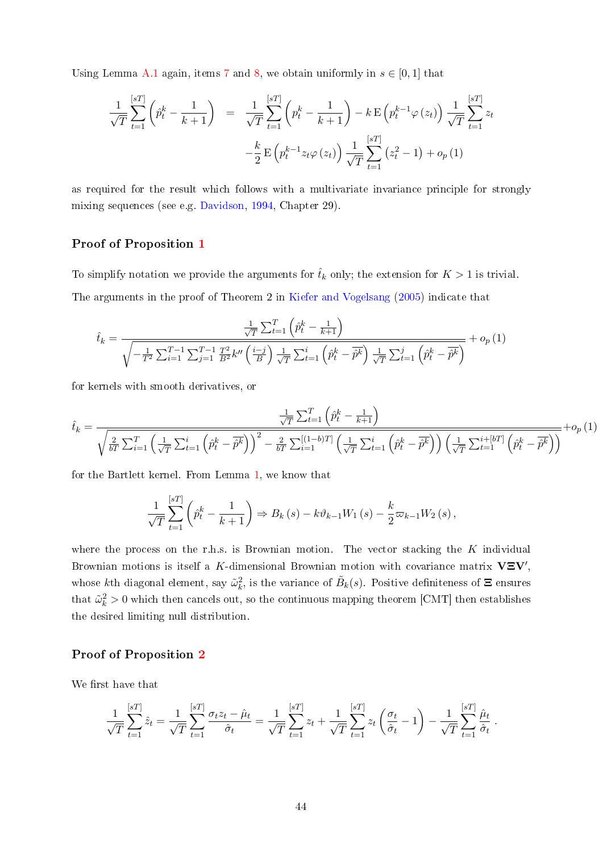Using Lemma [A.1](#page-10-2) again, items [7](#page-33-7) and [8,](#page-33-8) we obtain uniformly in  $s \in [0,1]$  that

$$
\frac{1}{\sqrt{T}} \sum_{t=1}^{[sT]} \left( \hat{p}_t^k - \frac{1}{k+1} \right) = \frac{1}{\sqrt{T}} \sum_{t=1}^{[sT]} \left( p_t^k - \frac{1}{k+1} \right) - k \mathbf{E} \left( p_t^{k-1} \varphi \left( z_t \right) \right) \frac{1}{\sqrt{T}} \sum_{t=1}^{[sT]} z_t \n- \frac{k}{2} \mathbf{E} \left( p_t^{k-1} z_t \varphi \left( z_t \right) \right) \frac{1}{\sqrt{T}} \sum_{t=1}^{[sT]} \left( z_t^2 - 1 \right) + o_p \left( 1 \right)
$$

as required for the result which follows with a multivariate invariance principle for strongly mixing sequences (see e.g. [Davidson,](#page-29-9) [1994,](#page-29-9) Chapter 29).

### Proof of Proposition [1](#page-12-0)

To simplify notation we provide the arguments for  $\hat{t}_k$  only; the extension for  $K > 1$  is trivial.

The arguments in the proof of Theorem 2 in [Kiefer and Vogelsang](#page-30-10) [\(2005\)](#page-30-10) indicate that

$$
\hat{t}_{k} = \frac{\frac{1}{\sqrt{T}} \sum_{t=1}^{T} \left( \hat{p}_{t}^{k} - \frac{1}{k+1} \right)}{\sqrt{-\frac{1}{T^{2}} \sum_{i=1}^{T-1} \sum_{j=1}^{T-1} \frac{T^{2}}{B^{2}} k'' \left( \frac{i-j}{B} \right) \frac{1}{\sqrt{T}} \sum_{t=1}^{i} \left( \hat{p}_{t}^{k} - \hat{p}^{k} \right) \frac{1}{\sqrt{T}} \sum_{t=1}^{j} \left( \hat{p}_{t}^{k} - \hat{p}^{k} \right)}} + o_{p}(1)
$$

for kernels with smooth derivatives, or

$$
\hat{t}_k = \frac{\frac{1}{\sqrt{T}} \sum_{t=1}^T \left(\hat{p}_t^k - \frac{1}{k+1}\right)}{\sqrt{\frac{2}{bT} \sum_{i=1}^T \left(\frac{1}{\sqrt{T}} \sum_{t=1}^i \left(\hat{p}_t^k - \overline{\hat{p}^k}\right)\right)^2 - \frac{2}{bT} \sum_{i=1}^{\left[(1-b)T\right]} \left(\frac{1}{\sqrt{T}} \sum_{t=1}^i \left(\hat{p}_t^k - \overline{\hat{p}^k}\right)\right) \left(\frac{1}{\sqrt{T}} \sum_{t=1}^{i+\left[bT\right]} \left(\hat{p}_t^k - \overline{\hat{p}^k}\right)\right)}} + o_p\left(1\right)
$$

for the Bartlett kernel. From Lemma [1,](#page-10-2) we know that

$$
\frac{1}{\sqrt{T}}\sum_{t=1}^{[sT]} \left( \hat{p}_t^k - \frac{1}{k+1} \right) \Rightarrow B_k(s) - k\vartheta_{k-1}W_1(s) - \frac{k}{2}\varpi_{k-1}W_2(s),
$$

where the process on the r.h.s. is Brownian motion. The vector stacking the  $K$  individual Brownian motions is itself a K-dimensional Brownian motion with covariance matrix  $V\Sigma V'$ , whose kth diagonal element, say  $\tilde{\omega}_k^2$ , is the variance of  $\tilde{B}_k(s)$ . Positive definiteness of  $\Xi$  ensures that  $\tilde{\omega}_k^2 > 0$  which then cancels out, so the continuous mapping theorem [CMT] then establishes the desired limiting null distribution.

### Proof of Proposition [2](#page-13-2)

We first have that

$$
\frac{1}{\sqrt{T}}\sum_{t=1}^{[sT]}\hat{z}_t = \frac{1}{\sqrt{T}}\sum_{t=1}^{[sT]}\frac{\sigma_t z_t - \hat{\mu}_t}{\hat{\sigma}_t} = \frac{1}{\sqrt{T}}\sum_{t=1}^{[sT]}z_t + \frac{1}{\sqrt{T}}\sum_{t=1}^{[sT]}z_t\left(\frac{\sigma_t}{\hat{\sigma}_t} - 1\right) - \frac{1}{\sqrt{T}}\sum_{t=1}^{[sT]}\frac{\hat{\mu}_t}{\hat{\sigma}_t}.
$$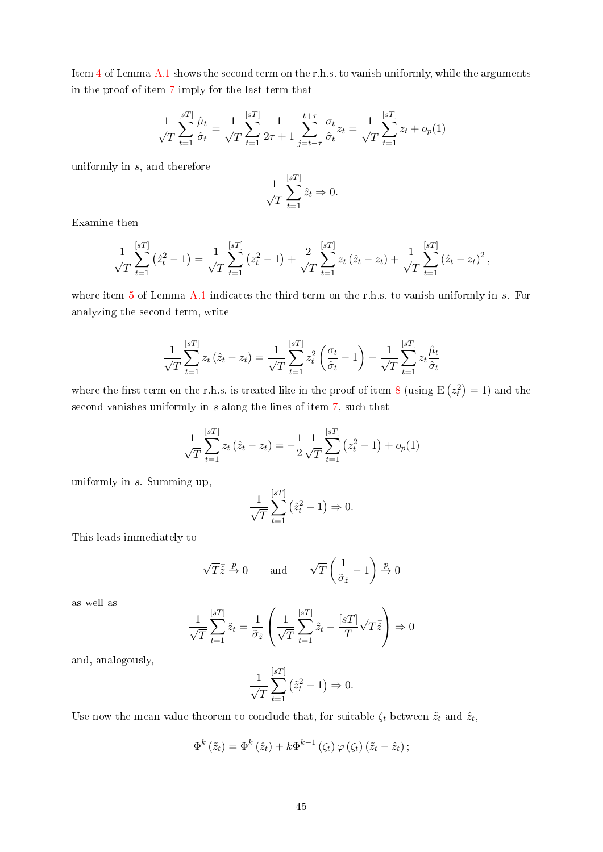Item [4](#page-33-4) of Lemma [A.1](#page-10-2) shows the second term on the r.h.s. to vanish uniformly, while the arguments in the proof of item [7](#page-33-7) imply for the last term that

$$
\frac{1}{\sqrt{T}}\sum_{t=1}^{[sT]} \frac{\hat{\mu}_t}{\hat{\sigma}_t} = \frac{1}{\sqrt{T}}\sum_{t=1}^{[sT]} \frac{1}{2\tau+1} \sum_{j=t-\tau}^{t+\tau} \frac{\sigma_t}{\hat{\sigma}_t} z_t = \frac{1}{\sqrt{T}}\sum_{t=1}^{[sT]} z_t + o_p(1)
$$

uniformly in s, and therefore

$$
\frac{1}{\sqrt{T}} \sum_{t=1}^{[sT]} \hat{z}_t \Rightarrow 0.
$$

Examine then

$$
\frac{1}{\sqrt{T}}\sum_{t=1}^{[sT]}(\hat{z}_t^2-1)=\frac{1}{\sqrt{T}}\sum_{t=1}^{[sT]}(z_t^2-1)+\frac{2}{\sqrt{T}}\sum_{t=1}^{[sT]}z_t(\hat{z}_t-z_t)+\frac{1}{\sqrt{T}}\sum_{t=1}^{[sT]}(\hat{z}_t-z_t)^2,
$$

where item  $5$  of Lemma [A.1](#page-10-2) indicates the third term on the r.h.s. to vanish uniformly in s. For analyzing the second term, write

$$
\frac{1}{\sqrt{T}}\sum_{t=1}^{[sT]} z_t \left(\hat{z}_t - z_t\right) = \frac{1}{\sqrt{T}}\sum_{t=1}^{[sT]} z_t^2 \left(\frac{\sigma_t}{\hat{\sigma}_t} - 1\right) - \frac{1}{\sqrt{T}}\sum_{t=1}^{[sT]} z_t \frac{\hat{\mu}_t}{\hat{\sigma}_t}
$$

where the first term on the r.h.s. is treated like in the proof of item [8](#page-33-8) (using  $E(z_t^2) = 1$ ) and the second vanishes uniformly in s along the lines of item [7,](#page-33-7) such that

$$
\frac{1}{\sqrt{T}}\sum_{t=1}^{[sT]} z_t \left(\hat{z}_t - z_t\right) = -\frac{1}{2} \frac{1}{\sqrt{T}} \sum_{t=1}^{[sT]} \left(z_t^2 - 1\right) + o_p(1)
$$

uniformly in s. Summing up,

$$
\frac{1}{\sqrt{T}}\sum_{t=1}^{[sT]} (\hat{z}_t^2 - 1) \Rightarrow 0.
$$

This leads immediately to

$$
\sqrt{T}\bar{\hat{z}} \xrightarrow{p} 0 \quad \text{and} \quad \sqrt{T}\left(\frac{1}{\tilde{\sigma}_{\hat{z}}} - 1\right) \xrightarrow{p} 0
$$

as well as

$$
\frac{1}{\sqrt{T}}\sum_{t=1}^{[sT]}\tilde{z}_t = \frac{1}{\tilde{\sigma}_{\hat{z}}}\left(\frac{1}{\sqrt{T}}\sum_{t=1}^{[sT]}\hat{z}_t - \frac{[sT]}{T}\sqrt{T}\tilde{z}\right) \Rightarrow 0
$$

and, analogously,

$$
\frac{1}{\sqrt{T}}\sum_{t=1}^{[sT]} (\tilde{z}_t^2 - 1) \Rightarrow 0.
$$

Use now the mean value theorem to conclude that, for suitable  $\zeta_t$  between  $\tilde{z}_t$  and  $\hat{z}_t$ ,

$$
\Phi^{k}(\tilde{z}_{t}) = \Phi^{k}(\hat{z}_{t}) + k\Phi^{k-1}(\zeta_{t})\varphi(\zeta_{t})(\tilde{z}_{t} - \hat{z}_{t});
$$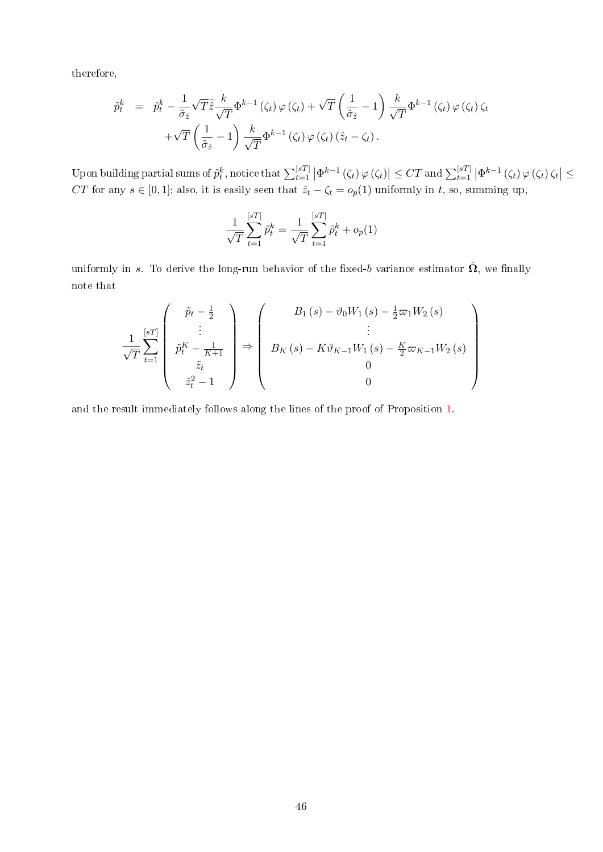therefore,

$$
\tilde{p}_t^k = \hat{p}_t^k - \frac{1}{\tilde{\sigma}_{\hat{z}}} \sqrt{T} \bar{\hat{z}} \frac{k}{\sqrt{T}} \Phi^{k-1}(\zeta_t) \varphi(\zeta_t) + \sqrt{T} \left(\frac{1}{\tilde{\sigma}_{\hat{z}}} - 1\right) \frac{k}{\sqrt{T}} \Phi^{k-1}(\zeta_t) \varphi(\zeta_t) \zeta_t \n+ \sqrt{T} \left(\frac{1}{\tilde{\sigma}_{\hat{z}}} - 1\right) \frac{k}{\sqrt{T}} \Phi^{k-1}(\zeta_t) \varphi(\zeta_t) (\hat{z}_t - \zeta_t).
$$

Upon building partial sums of  $\tilde{p}_t^k$ , notice that  $\sum_{t=1}^{[sT]} \left| \Phi^{k-1}(\zeta_t) \varphi(\zeta_t) \right| \leq CT$  and  $\sum_{t=1}^{[sT]} \left| \Phi^{k-1}(\zeta_t) \varphi(\zeta_t) \zeta_t \right| \leq$ CT for any  $s \in [0,1]$ ; also, it is easily seen that  $\hat{z}_t - \zeta_t = o_p(1)$  uniformly in t, so, summing up,

$$
\frac{1}{\sqrt{T}} \sum_{t=1}^{[sT]} \hat{p}_t^k = \frac{1}{\sqrt{T}} \sum_{t=1}^{[sT]} \hat{p}_t^k + o_p(1)
$$

uniformly in s. To derive the long-run behavior of the fixed-b variance estimator  $\hat{\Omega}$ , we finally note that

$$
\frac{1}{\sqrt{T}} \sum_{t=1}^{[sT]} \begin{pmatrix} \tilde{p}_t - \frac{1}{2} \\ \tilde{p}_t^K - \frac{1}{K+1} \\ \tilde{z}_t \\ \tilde{z}_t^2 - 1 \end{pmatrix} \Rightarrow \begin{pmatrix} B_1(s) - \vartheta_0 W_1(s) - \frac{1}{2} \varpi_1 W_2(s) \\ \vdots \\ B_K(s) - K \vartheta_{K-1} W_1(s) - \frac{K}{2} \varpi_{K-1} W_2(s) \\ 0 \\ 0 \end{pmatrix}
$$

and the result immediately follows along the lines of the proof of Proposition [1.](#page-12-0)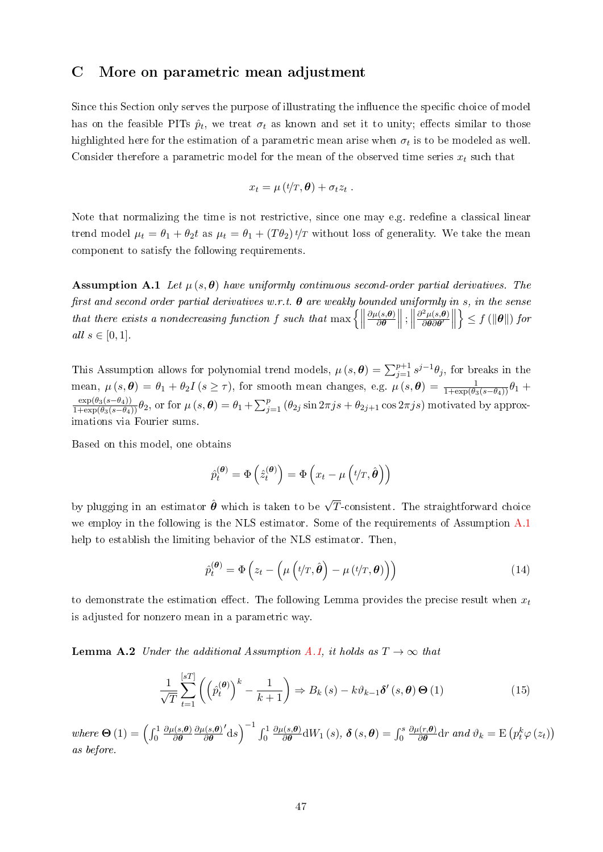## <span id="page-47-0"></span>C More on parametric mean adjustment

Since this Section only serves the purpose of illustrating the influence the specific choice of model has on the feasible PITs  $\hat{p}_t$ , we treat  $\sigma_t$  as known and set it to unity; effects similar to those highlighted here for the estimation of a parametric mean arise when  $\sigma_t$  is to be modeled as well. Consider therefore a parametric model for the mean of the observed time series  $x_t$  such that

$$
x_t = \mu(t/T, \boldsymbol{\theta}) + \sigma_t z_t.
$$

Note that normalizing the time is not restrictive, since one may e.g. redefine a classical linear trend model  $\mu_t = \theta_1 + \theta_2 t$  as  $\mu_t = \theta_1 + (T\theta_2)^t/T$  without loss of generality. We take the mean component to satisfy the following requirements.

**Assumption A.1** Let  $\mu(s, \theta)$  have uniformly continuous second-order partial derivatives. The first and second order partial derivatives w.r.t.  $\boldsymbol{\theta}$  are weakly bounded uniformly in s, in the sense that there exists a nondecreasing function f such that  $\max \{ \parallel \}$  $\partial \mu(s,{\bm{\theta}})$  $\frac{\partial \bm{\theta}(\bm{s},\bm{\theta})}{\partial \bm{\theta}} \bigg\|$  ;  $\bigg\|$  $\partial^2\mu(s,\theta)$  $\frac{\partial^2 \mu(s, \boldsymbol{\theta})}{\partial \boldsymbol{\theta} \partial \boldsymbol{\theta}'}$  $\Big\} \leq f(\|\boldsymbol{\theta}\|)$  for all  $s \in [0,1]$ .

This Assumption allows for polynomial trend models,  $\mu(s, \theta) = \sum_{j=1}^{p+1} s^{j-1} \theta_j$ , for breaks in the mean,  $\mu(s, \theta) = \theta_1 + \theta_2 I$   $(s \ge \tau)$ , for smooth mean changes, e.g.  $\mu(s, \theta) = \frac{1}{1 + \exp(\theta_3(s - \theta_4))} \theta_1 +$  $\frac{\exp(\theta_3(s-\theta_4))}{1+\exp(\theta_3(s-\theta_4))}\theta_2$ , or for  $\mu(s,\boldsymbol{\theta})=\theta_1+\sum_{j=1}^p{(\theta_{2j}\sin 2\pi js+\theta_{2j+1}\cos 2\pi js)}$  motivated by approximations via Fourier sums.

Based on this model, one obtains

$$
\hat{p}_t^{(\boldsymbol{\theta})} = \Phi\left(\hat{z}_t^{(\boldsymbol{\theta})}\right) = \Phi\left(x_t - \mu\left(t/T, \hat{\boldsymbol{\theta}}\right)\right)
$$

by plugging in an estimator  $\hat{\boldsymbol{\theta}}$  which is taken to be  $\sqrt{T}$ -consistent. The straightforward choice we employ in the following is the NLS estimator. Some of the requirements of Assumption [A.1](#page-5-1) help to establish the limiting behavior of the NLS estimator. Then,

$$
\hat{p}_t^{(\boldsymbol{\theta})} = \Phi\left(z_t - \left(\mu\left(t/T, \hat{\boldsymbol{\theta}}\right) - \mu\left(t/T, \boldsymbol{\theta}\right)\right)\right) \tag{14}
$$

to demonstrate the estimation effect. The following Lemma provides the precise result when  $x_t$ is adjusted for nonzero mean in a parametric way.

<span id="page-47-1"></span>**Lemma A.2** Under the additional Assumption [A.1,](#page-5-1) it holds as  $T \rightarrow \infty$  that

<span id="page-47-2"></span>
$$
\frac{1}{\sqrt{T}}\sum_{t=1}^{[sT]} \left( \left( \hat{p}_t^{(\theta)} \right)^k - \frac{1}{k+1} \right) \Rightarrow B_k(s) - k\vartheta_{k-1} \delta'(s, \theta) \Theta(1) \tag{15}
$$

where  $\Theta(1) = \left(\int_0^1$  $\partial \mu(s,{\bm{\theta}})$ ∂θ  $\partial \mu(s,{\bm{\theta}})$ ∂θ  $\int_{0}^{1} ds \bigg)^{-1} \int_{0}^{1}$  $\partial \mu(s,{\bm{\theta}})$  $\frac{\partial \phi(\mathcal{s},\boldsymbol{\theta})}{\partial \boldsymbol{\theta}}\mathrm{d}W_1\left(s\right),\,\boldsymbol{\delta}\left(s,\boldsymbol{\theta}\right)=\int_{0}^{s}\mathcal{S}_0\left(s,\boldsymbol{\theta}\right)$  $\partial \mu(r,\boldsymbol{\theta})$  $\frac{u(r,\theta)}{\partial \theta}$ dr and  $\vartheta_k = E(p_t^k \varphi(z_t))$ as before.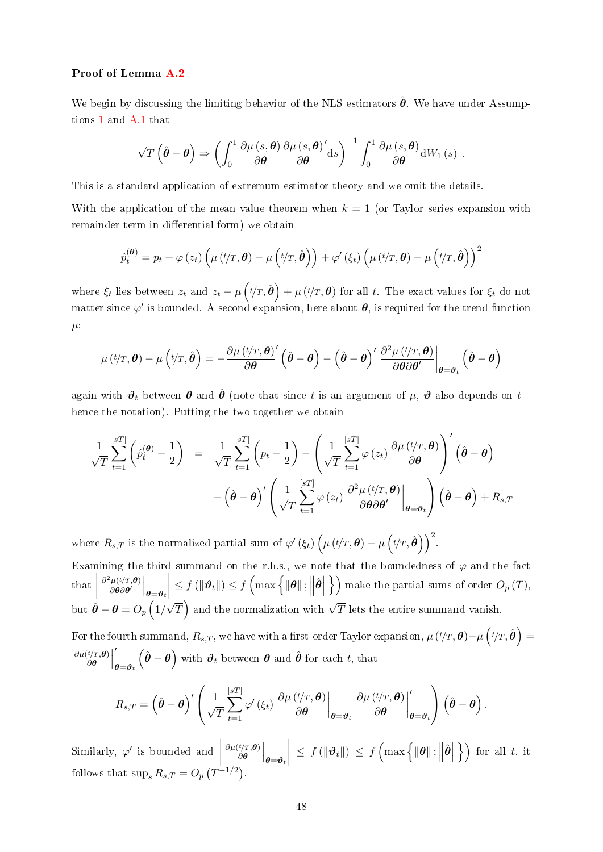#### Proof of Lemma [A.2](#page-47-1)

We begin by discussing the limiting behavior of the NLS estimators  $\hat{\theta}$ . We have under Assumptions [1](#page-5-1) and [A.1](#page-5-1) that

$$
\sqrt{T}\left(\hat{\boldsymbol{\theta}}-\boldsymbol{\theta}\right) \Rightarrow \left(\int_0^1 \frac{\partial \mu\left(s,\boldsymbol{\theta}\right)}{\partial \boldsymbol{\theta}} \frac{\partial \mu\left(s,\boldsymbol{\theta}\right)'}{\partial \boldsymbol{\theta}} \mathrm{d}s\right)^{-1} \int_0^1 \frac{\partial \mu\left(s,\boldsymbol{\theta}\right)}{\partial \boldsymbol{\theta}} \mathrm{d}W_1\left(s\right) .
$$

This is a standard application of extremum estimator theory and we omit the details.

With the application of the mean value theorem when  $k = 1$  (or Taylor series expansion with remainder term in differential form) we obtain

$$
\hat{p}_t^{(\boldsymbol{\theta})} = p_t + \varphi(z_t) \left( \mu(t/T, \boldsymbol{\theta}) - \mu(t/T, \hat{\boldsymbol{\theta}}) \right) + \varphi'(\xi_t) \left( \mu(t/T, \boldsymbol{\theta}) - \mu(t/T, \hat{\boldsymbol{\theta}}) \right)^2
$$

where  $\xi_t$  lies between  $z_t$  and  $z_t - \mu\left(t/T, \hat{\theta}\right) + \mu\left(t/T, \theta\right)$  for all t. The exact values for  $\xi_t$  do not matter since  $\varphi'$  is bounded. A second expansion, here about  $\bm{\theta}$ , is required for the trend function  $\mu$ :

$$
\mu(t/T,\theta) - \mu(t/T,\hat{\theta}) = -\frac{\partial \mu(t/T,\theta)}{\partial \theta} \left( \hat{\theta} - \theta \right) - \left( \hat{\theta} - \theta \right)' \left. \frac{\partial^2 \mu(t/T,\theta)}{\partial \theta \partial \theta'} \right|_{\theta = \theta_t} \left( \hat{\theta} - \theta \right)
$$

again with  $\vartheta_t$  between  $\theta$  and  $\hat{\theta}$  (note that since t is an argument of  $\mu$ ,  $\vartheta$  also depends on  $t$  – hence the notation). Putting the two together we obtain

$$
\frac{1}{\sqrt{T}} \sum_{t=1}^{[sT]} \left( \hat{p}_t^{(\theta)} - \frac{1}{2} \right) = \frac{1}{\sqrt{T}} \sum_{t=1}^{[sT]} \left( p_t - \frac{1}{2} \right) - \left( \frac{1}{\sqrt{T}} \sum_{t=1}^{[sT]} \varphi(z_t) \frac{\partial \mu(t/T, \theta)}{\partial \theta} \right)' \left( \hat{\theta} - \theta \right) \n- \left( \hat{\theta} - \theta \right)' \left( \frac{1}{\sqrt{T}} \sum_{t=1}^{[sT]} \varphi(z_t) \frac{\partial^2 \mu(t/T, \theta)}{\partial \theta \partial \theta'} \Big|_{\theta = \theta_t} \right) \left( \hat{\theta} - \theta \right) + R_{s,T}
$$

where  $R_{s,T}$  is the normalized partial sum of  $\varphi'(\xi_t) \left( \mu(t/T, \theta) - \mu(t/T, \hat{\theta}) \right)^2$ .

Examining the third summand on the r.h.s., we note that the boundedness of  $\varphi$  and the fact that  $\begin{array}{c} \begin{array}{c} \begin{array}{c} \begin{array}{c} \end{array}\\ \end{array} \end{array} \end{array}$  $\partial^2\mu(t/T,\theta)$  $\left.\frac{\mu(t/T,\boldsymbol{\theta})}{\partial\boldsymbol{\theta}\partial\boldsymbol{\theta}'}\right|_{\boldsymbol{\theta}=\boldsymbol{\vartheta}_t}$   $\leq f(\Vert \boldsymbol{\vartheta}_t \Vert) \leq f\left(\max\left\{\Vert \boldsymbol{\theta} \Vert: \right\Vert\right)$  $\hat{\theta}\Big\Vert\Big\}\Big)$  make the partial sums of order  $O_p\left(T\right)$ , but  $\hat{\boldsymbol{\theta}} - \boldsymbol{\theta} = O_p\left(1\right)$ √  $\overline{T}$  and the normalization with  $\sqrt{T}$  lets the entire summand vanish.

For the fourth summand,  $R_{s,T},$  we have with a first-order Taylor expansion,  $\mu\left(t/T,\bm{\theta}\right)-\mu\left(t/T,\hat{\bm{\theta}}\right)=$  $\partial \mu (t/T, \bm{\theta})$  $\left(\frac{t/T,\boldsymbol{\theta})}{\partial \boldsymbol{\theta}}\right)$  $\prime$  $\boldsymbol{\theta} = \boldsymbol{\vartheta}_t$  $(\hat{\boldsymbol{\theta}} - \boldsymbol{\theta})$  with  $\boldsymbol{\vartheta}_t$  between  $\boldsymbol{\theta}$  and  $\hat{\boldsymbol{\theta}}$  for each t, that

$$
R_{s,T} = \left(\hat{\boldsymbol{\theta}} - \boldsymbol{\theta}\right)' \left(\frac{1}{\sqrt{T}} \sum_{t=1}^{[sT]} \varphi' \left(\xi_t\right) \left.\frac{\partial \mu\left(t/T, \boldsymbol{\theta}\right)}{\partial \boldsymbol{\theta}}\right|_{\boldsymbol{\theta} = \boldsymbol{\vartheta}_t} \left.\frac{\partial \mu\left(t/T, \boldsymbol{\theta}\right)}{\partial \boldsymbol{\theta}}\right|_{\boldsymbol{\theta} = \boldsymbol{\vartheta}_t} \right) \left(\hat{\boldsymbol{\theta}} - \boldsymbol{\theta}\right).
$$

Similarly,  $\varphi'$  is bounded and  $\begin{array}{c} \begin{array}{c} \begin{array}{c} \end{array} \\ \begin{array}{c} \end{array} \end{array} \end{array}$  $\partial \mu (t/T, \bm{\theta})$  $\left.\frac{\partial^t(T,\bm{\theta})}{\partial\bm{\theta}}\right|_{\bm{\theta}=\bm{\vartheta}_t}$   $\leq f(\Vert \boldsymbol{\vartheta}_t \Vert) \leq f\left(\max\left\{\Vert \boldsymbol{\theta} \Vert; \Big \| \right.\right)$  $\hat{\theta}$  $\{\}$  for all t, it follows that  $\sup_s R_{s,T} = O_p\left(T^{-1/2}\right)$ .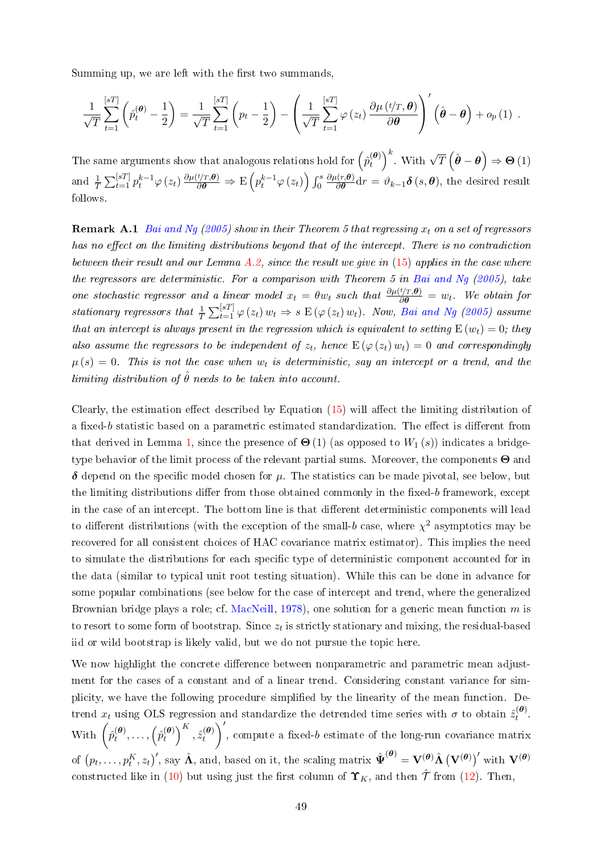Summing up, we are left with the first two summands,

$$
\frac{1}{\sqrt{T}}\sum_{t=1}^{[sT]} \left(\hat{p}_t^{(\boldsymbol{\theta})} - \frac{1}{2}\right) = \frac{1}{\sqrt{T}}\sum_{t=1}^{[sT]} \left(p_t - \frac{1}{2}\right) - \left(\frac{1}{\sqrt{T}}\sum_{t=1}^{[sT]} \varphi(z_t) \frac{\partial \mu(t/T, \boldsymbol{\theta})}{\partial \boldsymbol{\theta}}\right)'(\hat{\boldsymbol{\theta}} - \boldsymbol{\theta}) + o_p(1) .
$$

The same arguments show that analogous relations hold for  $\left(\hat{p}_t^{(\bm{\theta})}\right)$  $\left(\begin{matrix} \theta \\ t \end{matrix}\right)^k$  With  $\sqrt{T}(\hat{\theta} - \theta) \Rightarrow \Theta(1)$ and  $\frac{1}{T} \sum_{t=1}^{[sT]} p_t^{k-1} \varphi(z_t) \frac{\partial \mu(t/T, \theta)}{\partial \theta} \Rightarrow E\left(p_t^{k-1} \varphi(z_t)\right) \int_0^s$  $\partial \mu(r,\boldsymbol{\theta})$  $\frac{\partial \theta}{\partial \boldsymbol{\theta}} \mathrm{d}r = \vartheta_{k-1} \boldsymbol{\delta}\left(s, \boldsymbol{\theta}\right)$ , the desired result follows.

**Remark A.1** [Bai and Ng](#page-28-1) [\(2005\)](#page-28-1) show in their Theorem 5 that regressing  $x_t$  on a set of regressors has no effect on the limiting distributions beyond that of the intercept. There is no contradiction between their result and our Lemma  $A.2$ , since the result we give in  $(15)$  applies in the case where the regressors are deterministic. For a comparison with Theorem 5 in [Bai and Ng](#page-28-1)  $(2005)$ , take one stochastic regressor and a linear model  $x_t = \theta w_t$  such that  $\frac{\partial \mu(t/T, \theta)}{\partial \theta} = w_t$ . We obtain for stationary regressors that  $\frac{1}{T} \sum_{t=1}^{[sT]} \varphi(z_t) w_t \Rightarrow s \to (\varphi(z_t) w_t)$ . Now, [Bai and Ng](#page-28-1) [\(2005\)](#page-28-1) assume that an intercept is always present in the regression which is equivalent to setting  $E(w_t) = 0$ ; they also assume the regressors to be independent of  $z_t$ , hence  $E(\varphi(z_t) w_t) = 0$  and correspondingly  $\mu(s) = 0$ . This is not the case when  $w_t$  is deterministic, say an intercept or a trend, and the limiting distribution of  $\hat{\theta}$  needs to be taken into account.

Clearly, the estimation effect described by Equation  $(15)$  will affect the limiting distribution of a fixed-b statistic based on a parametric estimated standardization. The effect is different from that derived in Lemma [1,](#page-10-2) since the presence of  $\Theta(1)$  (as opposed to  $W_1(s)$ ) indicates a bridgetype behavior of the limit process of the relevant partial sums. Moreover, the components  $\Theta$  and  $\delta$  depend on the specific model chosen for  $\mu$ . The statistics can be made pivotal, see below, but the limiting distributions differ from those obtained commonly in the fixed-b framework, except in the case of an intercept. The bottom line is that different deterministic components will lead to different distributions (with the exception of the small-b case, where  $\chi^2$  asymptotics may be recovered for all consistent choices of HAC covariance matrix estimator). This implies the need to simulate the distributions for each specific type of deterministic component accounted for in the data (similar to typical unit root testing situation). While this can be done in advance for some popular combinations (see below for the case of intercept and trend, where the generalized Brownian bridge plays a role; cf. [MacNeill,](#page-31-14) [1978\)](#page-31-14), one solution for a generic mean function m is to resort to some form of bootstrap. Since  $z_t$  is strictly stationary and mixing, the residual-based iid or wild bootstrap is likely valid, but we do not pursue the topic here.

We now highlight the concrete difference between nonparametric and parametric mean adjustment for the cases of a constant and of a linear trend. Considering constant variance for simplicity, we have the following procedure simplied by the linearity of the mean function. Detrend  $x_t$  using OLS regression and standardize the detrended time series with  $\sigma$  to obtain  $\hat{z}_t^{(\bm{\theta})}$  $\hat{t}^{(\boldsymbol{\sigma})}$ . With  $\left( \hat{p}_{t}^{(\theta)} \right)$  $\hat{p}_t^{(\bm{\theta})}, \ldots, \left( \hat{p}_t^{(\bm{\theta})} \right)$  $\left(\begin{matrix}\boldsymbol{\theta}\end{matrix}\right)^K, \hat{z}_t^{(\boldsymbol{\theta})}$ t  $\bigg)$ , compute a fixed-b estimate of the long-run covariance matrix of  $(p_t, \ldots, p_t^K, z_t)'$ , say  $\hat{\mathbf{\Lambda}}$ , and, based on it, the scaling matrix  $\hat{\mathbf{\Psi}}^{(\bm{\theta})} = \mathbf{V}^{(\bm{\theta})} \hat{\mathbf{\Lambda}} (\mathbf{V}^{(\bm{\theta})})'$  with  $\mathbf{V}^{(\bm{\theta})}$ constructed like in [\(10\)](#page-11-0) but using just the first column of  $\Upsilon_K$ , and then  $\hat{\mathcal{T}}$  from [\(12\)](#page-13-1). Then,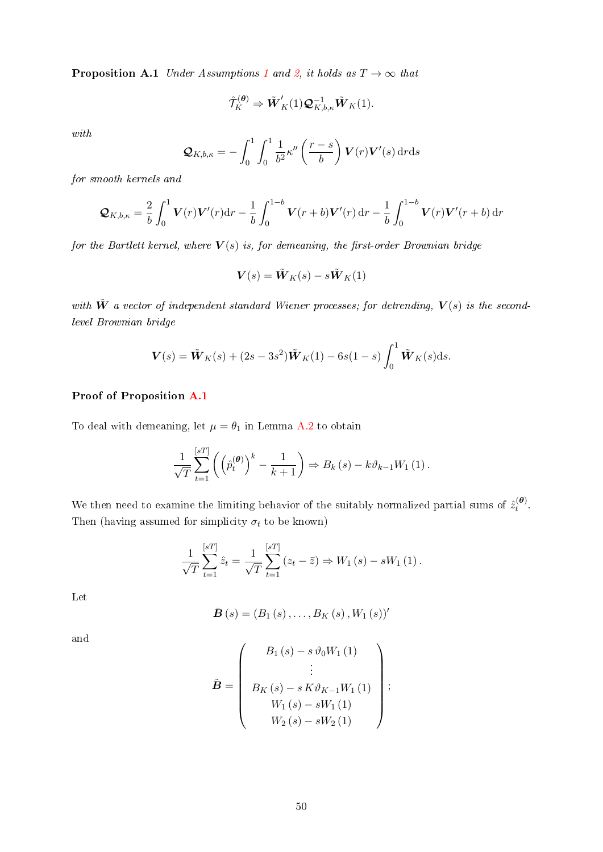**Proposition A.[1](#page-5-1)** Under Assumptions 1 and [2,](#page-6-0) it holds as  $T \rightarrow \infty$  that

$$
\hat{\mathcal{T}}_K^{(\theta)} \Rightarrow \tilde{\boldsymbol{W}}_K'(1)\boldsymbol{\mathcal{Q}}_{K,b,\kappa}^{-1}\tilde{\boldsymbol{W}}_K(1).
$$

with

$$
\mathcal{Q}_{K,b,\kappa} = -\int_0^1 \int_0^1 \frac{1}{b^2} \kappa''\left(\frac{r-s}{b}\right) V(r) V'(s) dr ds
$$

for smooth kernels and

$$
\mathcal{Q}_{K,b,\kappa} = \frac{2}{b} \int_0^1 \mathbf{V}(r) \mathbf{V}'(r) dr - \frac{1}{b} \int_0^{1-b} \mathbf{V}(r+b) \mathbf{V}'(r) dr - \frac{1}{b} \int_0^{1-b} \mathbf{V}(r) \mathbf{V}'(r+b) dr
$$

for the Bartlett kernel, where  $V(s)$  is, for demeaning, the first-order Brownian bridge

$$
\boldsymbol{V}(s) = \tilde{\boldsymbol{W}}_{K}(s) - s\tilde{\boldsymbol{W}}_{K}(1)
$$

with  $\tilde{W}$  a vector of independent standard Wiener processes; for detrending,  $V(s)$  is the secondlevel Brownian bridge

$$
\boldsymbol{V}(s) = \tilde{\boldsymbol{W}}_K(s) + (2s - 3s^2)\tilde{\boldsymbol{W}}_K(1) - 6s(1 - s)\int_0^1 \tilde{\boldsymbol{W}}_K(s)ds.
$$

## Proof of Proposition [A.1](#page-12-0)

To deal with demeaning, let  $\mu = \theta_1$  in Lemma [A.2](#page-47-1) to obtain

$$
\frac{1}{\sqrt{T}}\sum_{t=1}^{[sT]} \left( \left( \hat{p}_t^{(\theta)} \right)^k - \frac{1}{k+1} \right) \Rightarrow B_k(s) - k\vartheta_{k-1}W_1(1).
$$

We then need to examine the limiting behavior of the suitably normalized partial sums of  $\hat{z}^{(\theta)}_t$  $\frac{t^{(\sigma)}}{t}$ . Then (having assumed for simplicity  $\sigma_t$  to be known)

$$
\frac{1}{\sqrt{T}}\sum_{t=1}^{[sT]} \hat{z}_t = \frac{1}{\sqrt{T}}\sum_{t=1}^{[sT]} (z_t - \bar{z}) \Rightarrow W_1(s) - sW_1(1).
$$

Let

$$
\bar{\bm{B}}(s) = (B_1(s), \ldots, B_K(s), W_1(s))'
$$

and

$$
\tilde{B} = \begin{pmatrix} B_1(s) - s \,\vartheta_0 W_1(1) \\ \vdots \\ B_K(s) - s \, K \vartheta_{K-1} W_1(1) \\ W_1(s) - s W_1(1) \\ W_2(s) - s W_2(1) \end{pmatrix};
$$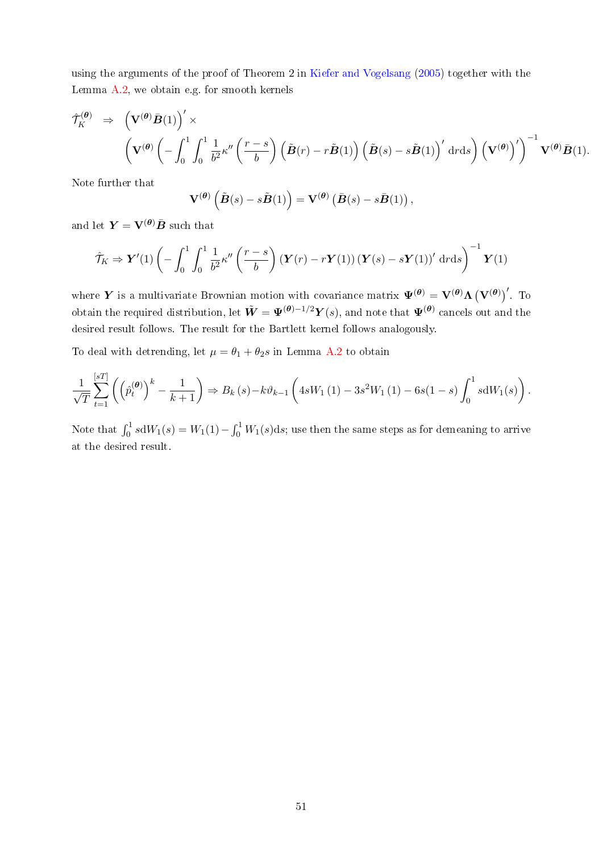using the arguments of the proof of Theorem 2 in [Kiefer and Vogelsang](#page-30-10) [\(2005\)](#page-30-10) together with the Lemma [A.2,](#page-47-1) we obtain e.g. for smooth kernels

$$
\hat{\mathcal{T}}_K^{(\theta)} \Rightarrow \left(\mathbf{V}^{(\theta)}\bar{\mathbf{B}}(1)\right)' \times \left(\mathbf{V}^{(\theta)}\left(-\int_0^1 \int_0^1 \frac{1}{b^2} \kappa''\left(\frac{r-s}{b}\right) \left(\tilde{\mathbf{B}}(r) - r\tilde{\mathbf{B}}(1)\right) \left(\tilde{\mathbf{B}}(s) - s\tilde{\mathbf{B}}(1)\right)' dr ds\right) \left(\mathbf{V}^{(\theta)}\right)' \right)^{-1} \mathbf{V}^{(\theta)}\bar{\mathbf{B}}(1).
$$

Note further that

$$
\mathbf{V}^{(\theta)}\left(\tilde{\boldsymbol{B}}(s)-s\tilde{\boldsymbol{B}}(1)\right)=\mathbf{V}^{(\theta)}\left(\bar{\boldsymbol{B}}(s)-s\bar{\boldsymbol{B}}(1)\right),\,
$$

and let  $\mathbf{Y} = \mathbf{V}^{(\theta)} \bar{\mathbf{B}}$  such that

$$
\hat{\mathcal{T}}_K \Rightarrow \mathbf{Y}'(1) \left( -\int_0^1 \int_0^1 \frac{1}{b^2} \kappa''\left(\frac{r-s}{b}\right) (\mathbf{Y}(r) - r\mathbf{Y}(1)) (\mathbf{Y}(s) - s\mathbf{Y}(1))' \,drds \right)^{-1} \mathbf{Y}(1)
$$

where Y is a multivariate Brownian motion with covariance matrix  $\Psi^{(\theta)} = V^{(\theta)} \Lambda (V^{(\theta)})'$ . To obtain the required distribution, let  $\tilde{\bm{W}}=\bm{\Psi^{(\theta)}}^{-1/2}\bm{Y}(s),$  and note that  $\bm{\Psi^{(\theta)}}$  cancels out and the desired result follows. The result for the Bartlett kernel follows analogously.

To deal with detrending, let  $\mu = \theta_1 + \theta_2 s$  in Lemma [A.2](#page-47-1) to obtain

$$
\frac{1}{\sqrt{T}}\sum_{t=1}^{[sT]} \left( \left( \hat{p}_t^{(\theta)} \right)^k - \frac{1}{k+1} \right) \Rightarrow B_k(s) - k\vartheta_{k-1} \left( 4sW_1(1) - 3s^2W_1(1) - 6s(1-s) \int_0^1 s dW_1(s) \right).
$$

Note that  $\int_0^1 s \mathrm{d} W_1(s) = W_1(1) - \int_0^1 W_1(s) \mathrm{d} s;$  use then the same steps as for demeaning to arrive at the desired result.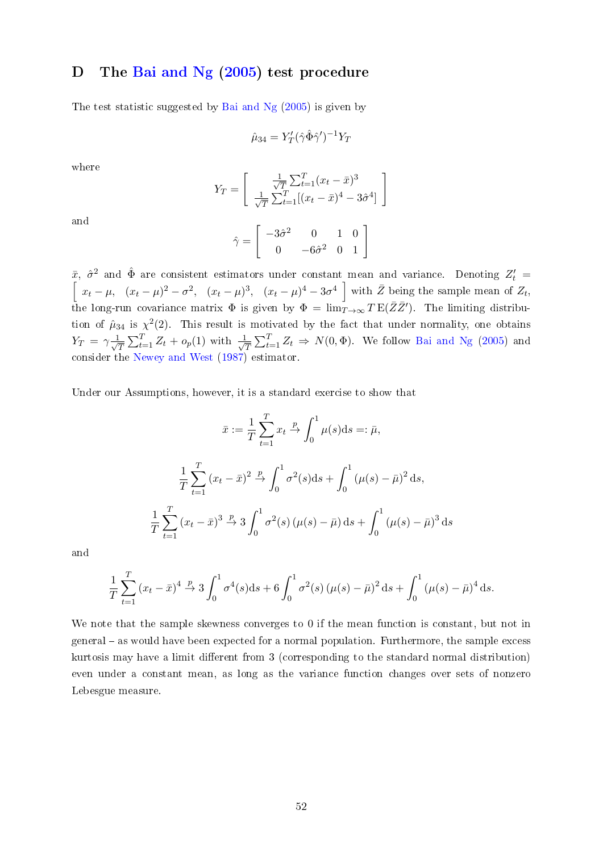# <span id="page-52-0"></span>D The [Bai and Ng](#page-28-1) [\(2005\)](#page-28-1) test procedure

The test statistic suggested by [Bai and Ng](#page-28-1) [\(2005\)](#page-28-1) is given by

$$
\hat{\mu}_{34} = Y'_T (\hat{\gamma} \hat{\Phi} \hat{\gamma}')^{-1} Y_T
$$

where

$$
Y_T = \begin{bmatrix} \frac{1}{\sqrt{T}} \sum_{t=1}^T (x_t - \bar{x})^3 \\ \frac{1}{\sqrt{T}} \sum_{t=1}^T [(x_t - \bar{x})^4 - 3\hat{\sigma}^4] \end{bmatrix}
$$

and

$$
\hat{\gamma} = \left[ \begin{array}{rrr} -3\hat{\sigma}^2 & 0 & 1 & 0 \\ 0 & -6\hat{\sigma}^2 & 0 & 1 \end{array} \right]
$$

 $\bar{x}$ ,  $\hat{\sigma}^2$  and  $\hat{\Phi}$  are consistent estimators under constant mean and variance. Denoting  $Z'_t = \begin{bmatrix} x_t - \mu, & (x_t - \mu)^2 - \sigma^2, & (x_t - \mu)^3, & (x_t - \mu)^4 - 3\sigma^4 \end{bmatrix}$  with  $\bar{Z}$  being the sample mean of  $Z_t$ , the long-run covariance matrix  $\Phi$  is given by  $\Phi = \lim_{T\to\infty} T \mathbb{E}(\bar{Z} \bar{Z}')$ . The limiting distribution of  $\hat{\mu}_{34}$  is  $\chi^2(2)$ . This result is motivated by the fact that under normality, one obtains  $Y_T = \gamma \frac{1}{\sqrt{2}}$  $\frac{1}{T} \sum_{t=1}^{T} Z_t + o_p(1)$  with  $\frac{1}{\sqrt{2}}$  $\frac{1}{T} \sum_{t=1}^{T} Z_t \Rightarrow N(0, \Phi)$ . We follow [Bai and Ng](#page-28-1) [\(2005\)](#page-28-1) and consider the [Newey and West](#page-31-12) [\(1987\)](#page-31-12) estimator.

Under our Assumptions, however, it is a standard exercise to show that

$$
\bar{x} := \frac{1}{T} \sum_{t=1}^{T} x_t \xrightarrow{p} \int_0^1 \mu(s) \, \mathrm{d}s =: \bar{\mu},
$$
\n
$$
\frac{1}{T} \sum_{t=1}^{T} (x_t - \bar{x})^2 \xrightarrow{p} \int_0^1 \sigma^2(s) \, \mathrm{d}s + \int_0^1 (\mu(s) - \bar{\mu})^2 \, \mathrm{d}s,
$$
\n
$$
\frac{1}{T} \sum_{t=1}^{T} (x_t - \bar{x})^3 \xrightarrow{p} 3 \int_0^1 \sigma^2(s) \, (\mu(s) - \bar{\mu}) \, \mathrm{d}s + \int_0^1 (\mu(s) - \bar{\mu})^3 \, \mathrm{d}s
$$

and

$$
\frac{1}{T} \sum_{t=1}^{T} (x_t - \bar{x})^4 \xrightarrow{p} 3 \int_0^1 \sigma^4(s) ds + 6 \int_0^1 \sigma^2(s) (\mu(s) - \bar{\mu})^2 ds + \int_0^1 (\mu(s) - \bar{\mu})^4 ds.
$$

We note that the sample skewness converges to 0 if the mean function is constant, but not in general - as would have been expected for a normal population. Furthermore, the sample excess kurtosis may have a limit different from 3 (corresponding to the standard normal distribution) even under a constant mean, as long as the variance function changes over sets of nonzero Lebesgue measure.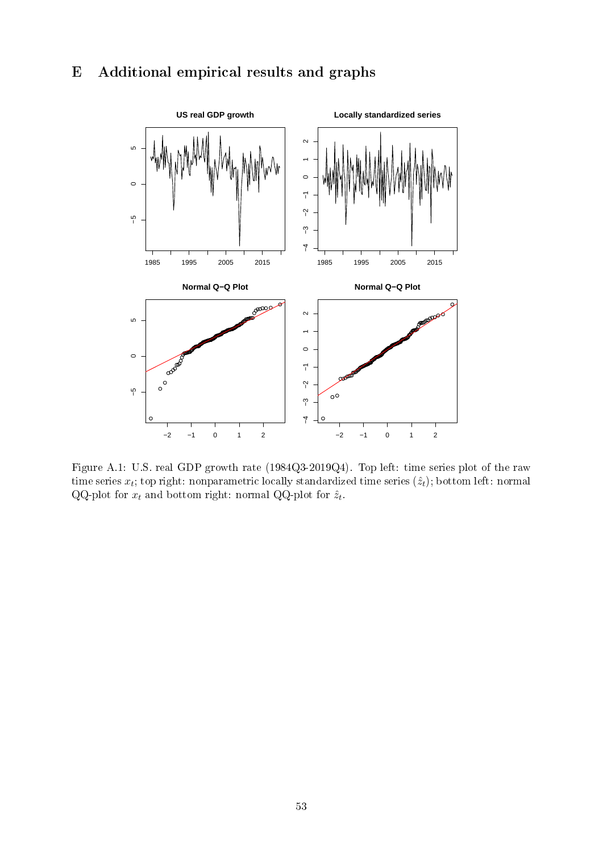# <span id="page-53-0"></span>E Additional empirical results and graphs



Figure A.1: U.S. real GDP growth rate (1984Q3-2019Q4). Top left: time series plot of the raw time series  $x_t$ ; top right: nonparametric locally standardized time series  $(\hat{z}_t)$ ; bottom left: normal QQ-plot for  $x_t$  and bottom right: normal QQ-plot for  $\hat{z}_t$ .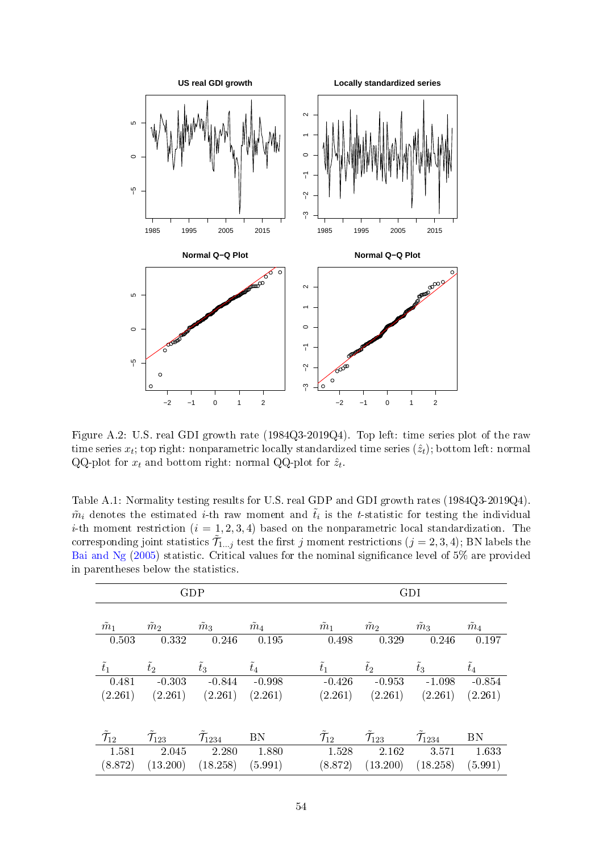

Figure A.2: U.S. real GDI growth rate (1984Q3-2019Q4). Top left: time series plot of the raw time series  $x_t$ ; top right: nonparametric locally standardized time series  $(\hat{z}_t)$ ; bottom left: normal QQ-plot for  $x_t$  and bottom right: normal QQ-plot for  $\hat{z}_t$ .

Table A.1: Normality testing results for U.S. real GDP and GDI growth rates (1984Q3-2019Q4).  $\tilde{m}_i$  denotes the estimated *i*-th raw moment and  $\tilde{t}_i$  is the *t*-statistic for testing the individual *i*-th moment restriction  $(i = 1, 2, 3, 4)$  based on the nonparametric local standardization. The corresponding joint statistics  $\tilde{\mathcal{T}}_{1...j}$  test the first j moment restrictions  $(j = 2, 3, 4)$ ; BN labels the [Bai and Ng](#page-28-1) [\(2005\)](#page-28-1) statistic. Critical values for the nominal significance level of 5% are provided in parentheses below the statistics.

|                            |                     | <b>GDP</b>           |               | GDI                        |                             |                      |               |  |  |
|----------------------------|---------------------|----------------------|---------------|----------------------------|-----------------------------|----------------------|---------------|--|--|
|                            |                     |                      |               |                            |                             |                      |               |  |  |
| $\tilde{m}_1$              | $\tilde{m}_2$       | $\tilde{m}_3$        | $\tilde{m}_4$ | $\tilde{m}_1$              | $\tilde{m}_2$               | $\tilde{m}_3$        | $\tilde{m}_4$ |  |  |
| 0.503                      | 0.332               | 0.246                | 0.195         | 0.498                      | 0.329                       | 0.246                | 0.197         |  |  |
|                            |                     |                      |               |                            |                             |                      |               |  |  |
| $\tilde{t}_1$              | $\tilde{t}_2$       | $t_3$                | $t_4$         | $\tilde{t}_1$              | $t_2$                       | $\tilde{t}_3$        | $\tilde{t}_4$ |  |  |
| $\sqrt{0.481}$             | $-0.303$            | $-0.844$             | $-0.998$      | $-0.426$                   | $-0.953$                    | $-1.098$             | $-0.854$      |  |  |
| (2.261)                    | (2.261)             | (2.261)              | (2.261)       | (2.261)                    | (2.261)                     | (2.261)              | (2.261)       |  |  |
|                            |                     |                      |               |                            |                             |                      |               |  |  |
|                            |                     |                      |               |                            |                             |                      |               |  |  |
| $\tilde{\mathcal{T}}_{12}$ | $\mathcal{T}_{123}$ | $\mathcal{T}_{1234}$ | BN            | $\tilde{\mathcal{T}}_{12}$ | $\tilde{\mathcal{T}}_{123}$ | $\mathcal{T}_{1234}$ | <b>BN</b>     |  |  |
| 1.581                      | 2.045               | 2.280                | 1.880         | 1.528                      | 2.162                       | 3.571                | 1633          |  |  |
| (8.872)                    | (13.200)            | (18.258)             | (5.991)       | (8.872)                    | (13.200)                    | (18.258)             | (5.991)       |  |  |
|                            |                     |                      |               |                            |                             |                      |               |  |  |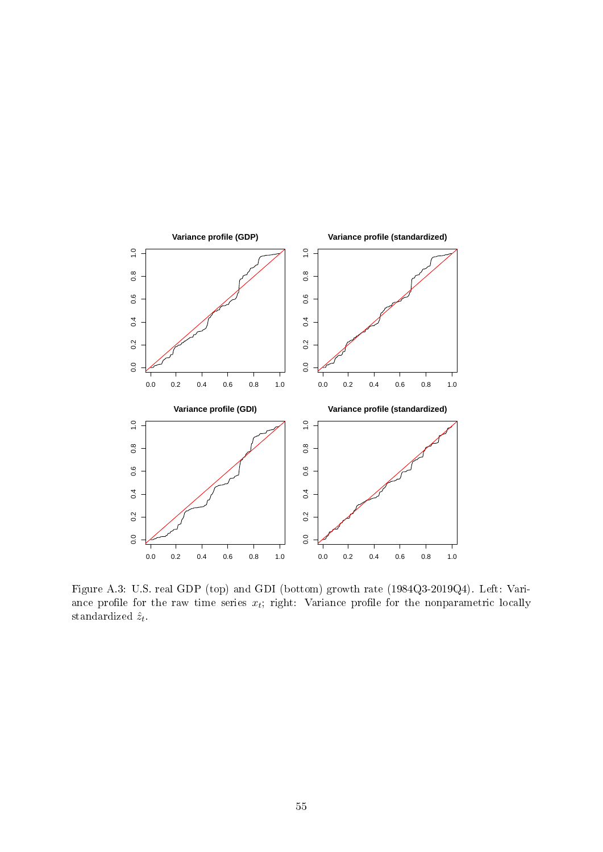

Figure A.3: U.S. real GDP (top) and GDI (bottom) growth rate (1984Q3-2019Q4). Left: Variance profile for the raw time series  $x_t$ ; right: Variance profile for the nonparametric locally standardized  $\hat{z}_t$ .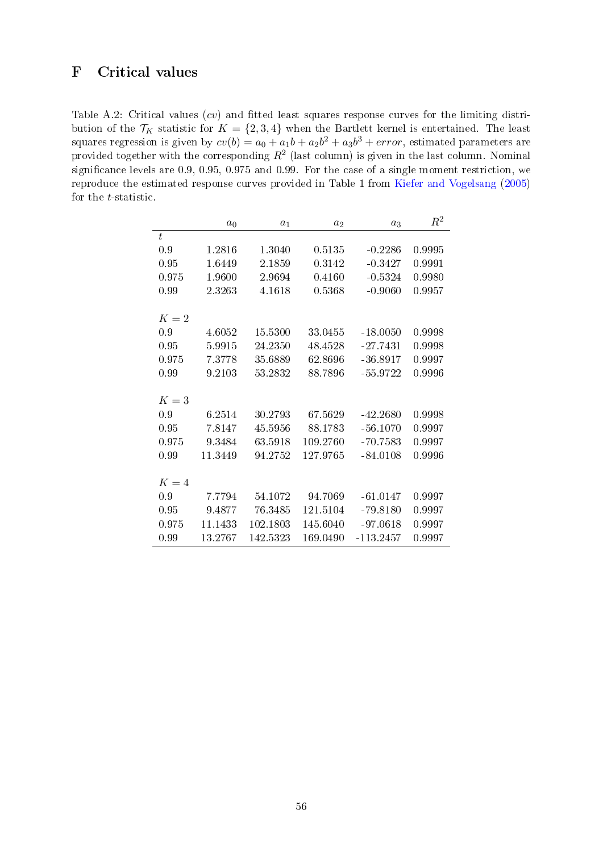# <span id="page-56-0"></span>F Critical values

Table A.2: Critical values  $(cv)$  and fitted least squares response curves for the limiting distribution of the  $\mathcal{T}_K$  statistic for  $K = \{2, 3, 4\}$  when the Bartlett kernel is entertained. The least squares regression is given by  $cv(b) = a_0 + a_1b + a_2b^2 + a_3b^3 + error$ , estimated parameters are provided together with the corresponding  $R^2$  (last column) is given in the last column. Nominal significance levels are 0.9, 0.95, 0.975 and 0.99. For the case of a single moment restriction, we reproduce the estimated response curves provided in Table 1 from [Kiefer and Vogelsang](#page-30-10) [\(2005\)](#page-30-10) for the  $t$ -statistic.

|       | $a_0$   | $a_1$    | $a_2$    | $a_3$       | $R^2$  |
|-------|---------|----------|----------|-------------|--------|
| t     |         |          |          |             |        |
| 0.9   | 1.2816  | 1 3040   | 0.5135   | $-0.2286$   | 0.9995 |
| 0.95  | 1.6449  | 2.1859   | 0.3142   | $-0.3427$   | 0.9991 |
| 0.975 | 1.9600  | 2.9694   | 0.4160   | $-0.5324$   | 0.9980 |
| 0.99  | 2.3263  | 4.1618   | 0.5368   | $-0.9060$   | 0.9957 |
|       |         |          |          |             |        |
| $K=2$ |         |          |          |             |        |
| 0.9   | 4.6052  | 15.5300  | 33.0455  | $-18.0050$  | 0.9998 |
| 0.95  | 5.9915  | 24.2350  | 48.4528  | $-27.7431$  | 0.9998 |
| 0.975 | 7.3778  | 35.6889  | 62.8696  | $-36.8917$  | 0.9997 |
| 0.99  | 9.2103  | 53.2832  | 88.7896  | $-55.9722$  | 0.9996 |
|       |         |          |          |             |        |
| $K=3$ |         |          |          |             |        |
| 0.9   | 6.2514  | 30.2793  | 67.5629  | $-42.2680$  | 0.9998 |
| 0.95  | 7.8147  | 45.5956  | 88.1783  | $-56.1070$  | 0.9997 |
| 0.975 | 9.3484  | 63.5918  | 109.2760 | $-70.7583$  | 0.9997 |
| 0.99  | 11.3449 | 94.2752  | 127.9765 | $-84.0108$  | 0.9996 |
|       |         |          |          |             |        |
| $K=4$ |         |          |          |             |        |
| 0.9   | 7.7794  | 54.1072  | 94.7069  | $-61.0147$  | 0.9997 |
| 0.95  | 9.4877  | 76.3485  | 121.5104 | $-79.8180$  | 0.9997 |
| 0.975 | 11.1433 | 102.1803 | 145.6040 | $-97.0618$  | 0.9997 |
| 0.99  | 13.2767 | 142.5323 | 169.0490 | $-113.2457$ | 0.9997 |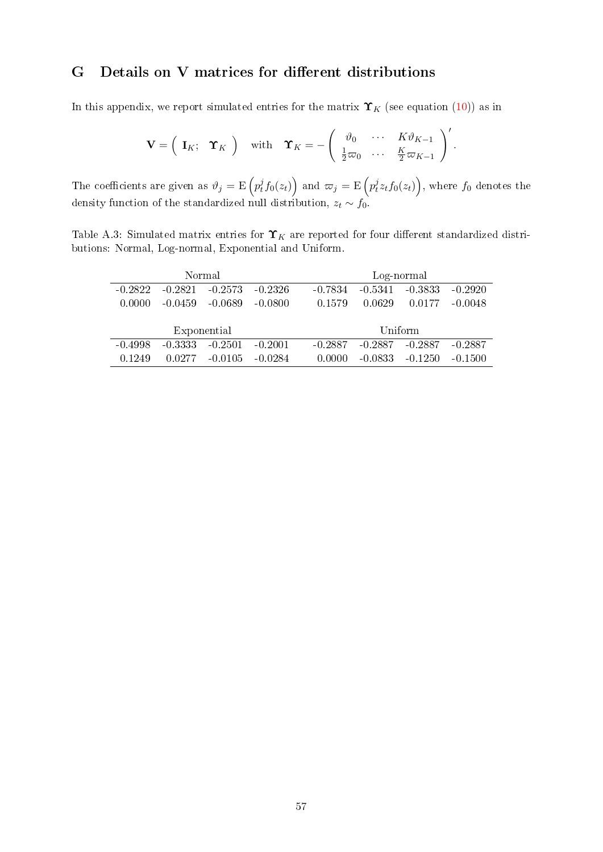# <span id="page-57-0"></span>G Details on V matrices for different distributions

In this appendix, we report simulated entries for the matrix  $\Upsilon_K$  (see equation [\(10\)](#page-11-0)) as in

$$
\mathbf{V} = \begin{pmatrix} \mathbf{I}_K; \quad \Upsilon_K \end{pmatrix} \quad \text{with} \quad \Upsilon_K = -\begin{pmatrix} \vartheta_0 & \cdots & K\vartheta_{K-1} \\ \frac{1}{2}\varpi_0 & \cdots & \frac{K}{2}\varpi_{K-1} \end{pmatrix}'.
$$

The coefficients are given as  $\vartheta_j = \mathrm{E}\left( p_t^j \right)$  $\left(p_t^j f_0(z_t)\right)$  and  $\varpi_j = \operatorname{E}\left(p_t^j\right)$  $\left( \dot{t}z_{t}f_{0}(z_{t})\right) ,$  where  $f_{0}$  denotes the density function of the standardized null distribution,  $z_t \sim f_0$ .

Table A.3: Simulated matrix entries for  $\Upsilon_K$  are reported for four different standardized distributions: Normal, Log-normal, Exponential and Uniform.

|           |           | Normal      |           |           | Log-normal |           |           |  |  |  |
|-----------|-----------|-------------|-----------|-----------|------------|-----------|-----------|--|--|--|
| $-0.2822$ | $-0.2821$ | $-0.2573$   | $-0.2326$ | $-0.7834$ | $-0.5341$  | $-0.3833$ | $-0.2920$ |  |  |  |
| 0.0000    | $-0.0459$ | -0.0689     | $-0.0800$ | 0.1579    | 0.0629     | 0.0177    | $-0.0048$ |  |  |  |
|           |           |             |           |           |            |           |           |  |  |  |
|           |           | Exponential |           |           | Uniform    |           |           |  |  |  |
| $-0.4998$ | $-0.3333$ | $-0.2501$   | $-0.2001$ | $-0.2887$ | $-0.2887$  | $-0.2887$ | $-0.2887$ |  |  |  |
| 0.1249    | 0.0277    | $-0.0105$   | $-0.0284$ | 0.0000    | $-0.0833$  | $-0.1250$ | $-0.1500$ |  |  |  |